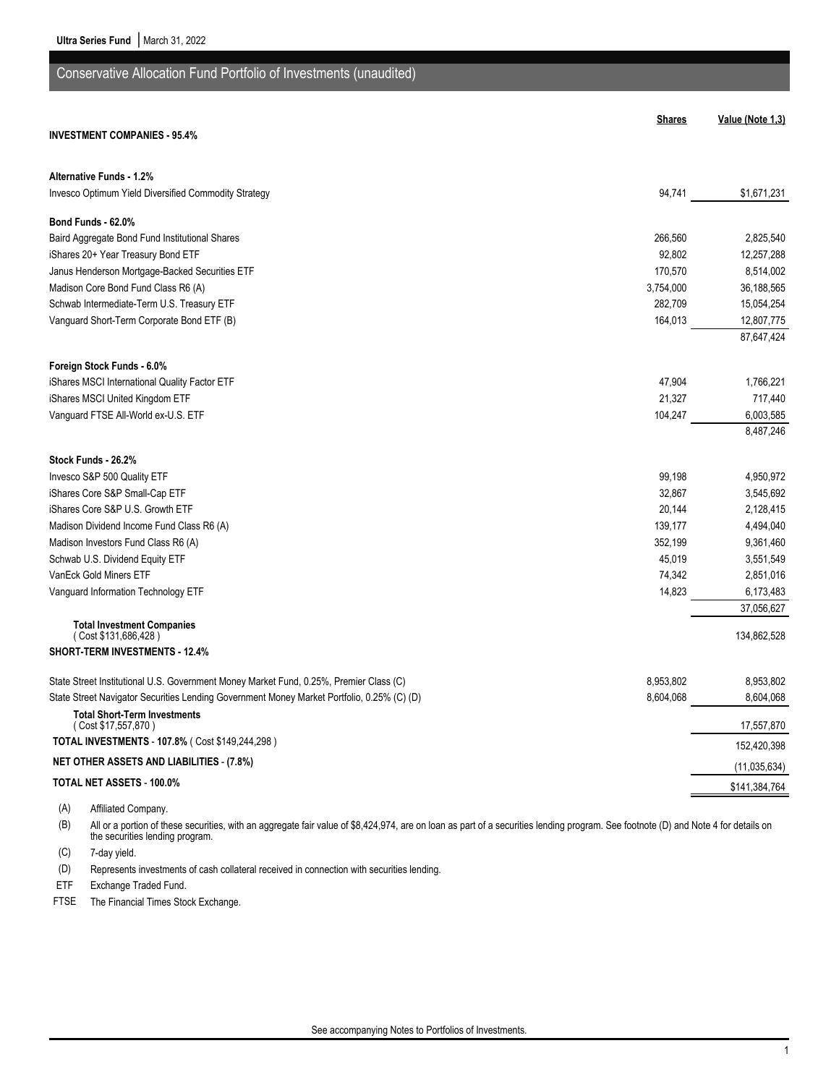| Conservative Allocation Fund Portfolio of Investments (unaudited)                          |                  |                        |
|--------------------------------------------------------------------------------------------|------------------|------------------------|
|                                                                                            | <b>Shares</b>    | Value (Note 1,3)       |
| <b>INVESTMENT COMPANIES - 95.4%</b>                                                        |                  |                        |
| <b>Alternative Funds - 1.2%</b>                                                            |                  |                        |
| Invesco Optimum Yield Diversified Commodity Strategy                                       | 94,741           | \$1,671,231            |
| Bond Funds - 62.0%                                                                         |                  |                        |
| Baird Aggregate Bond Fund Institutional Shares                                             | 266,560          | 2,825,540              |
| iShares 20+ Year Treasury Bond ETF                                                         | 92,802           | 12,257,288             |
| Janus Henderson Mortgage-Backed Securities ETF                                             | 170,570          | 8,514,002              |
| Madison Core Bond Fund Class R6 (A)                                                        | 3,754,000        | 36,188,565             |
| Schwab Intermediate-Term U.S. Treasury ETF                                                 | 282,709          | 15,054,254             |
| Vanguard Short-Term Corporate Bond ETF (B)                                                 | 164,013          | 12,807,775             |
|                                                                                            |                  | 87,647,424             |
|                                                                                            |                  |                        |
| Foreign Stock Funds - 6.0%                                                                 |                  |                        |
| iShares MSCI International Quality Factor ETF                                              | 47,904<br>21,327 | 1,766,221              |
| iShares MSCI United Kingdom ETF                                                            |                  | 717,440                |
| Vanguard FTSE All-World ex-U.S. ETF                                                        | 104,247          | 6,003,585<br>8,487,246 |
|                                                                                            |                  |                        |
| Stock Funds - 26.2%                                                                        |                  |                        |
| Invesco S&P 500 Quality ETF                                                                | 99,198           | 4,950,972              |
| iShares Core S&P Small-Cap ETF                                                             | 32,867           | 3,545,692              |
| iShares Core S&P U.S. Growth ETF                                                           | 20,144           | 2,128,415              |
| Madison Dividend Income Fund Class R6 (A)                                                  | 139,177          | 4,494,040              |
| Madison Investors Fund Class R6 (A)                                                        | 352,199          | 9,361,460              |
| Schwab U.S. Dividend Equity ETF                                                            | 45,019           | 3,551,549              |
| VanEck Gold Miners ETF                                                                     | 74,342           | 2,851,016              |
| Vanguard Information Technology ETF                                                        | 14,823           | 6,173,483              |
|                                                                                            |                  | 37,056,627             |
| <b>Total Investment Companies</b><br>(Cost \$131,686,428)                                  |                  | 134,862,528            |
| <b>SHORT-TERM INVESTMENTS - 12.4%</b>                                                      |                  |                        |
|                                                                                            |                  |                        |
| State Street Institutional U.S. Government Money Market Fund, 0.25%, Premier Class (C)     | 8,953,802        | 8,953,802              |
| State Street Navigator Securities Lending Government Money Market Portfolio, 0.25% (C) (D) | 8,604,068        | 8,604,068              |
| <b>Total Short-Term Investments</b><br>(Cost \$17,557,870)                                 |                  | 17,557,870             |
| TOTAL INVESTMENTS - 107.8% ( Cost \$149,244,298)                                           |                  | 152,420,398            |
| <b>NET OTHER ASSETS AND LIABILITIES - (7.8%)</b>                                           |                  | (11, 035, 634)         |
| TOTAL NET ASSETS - 100.0%                                                                  |                  | \$141,384,764          |
|                                                                                            |                  |                        |

(A) Affiliated Company.

(B) All or a portion of these securities, with an aggregate fair value of \$8,424,974, are on loan as part of a securities lending program. See footnote (D) and Note 4 for details on the securities lending program.

(C) 7-day yield.

(D) Represents investments of cash collateral received in connection with securities lending.

ETF Exchange Traded Fund.

FTSE The Financial Times Stock Exchange.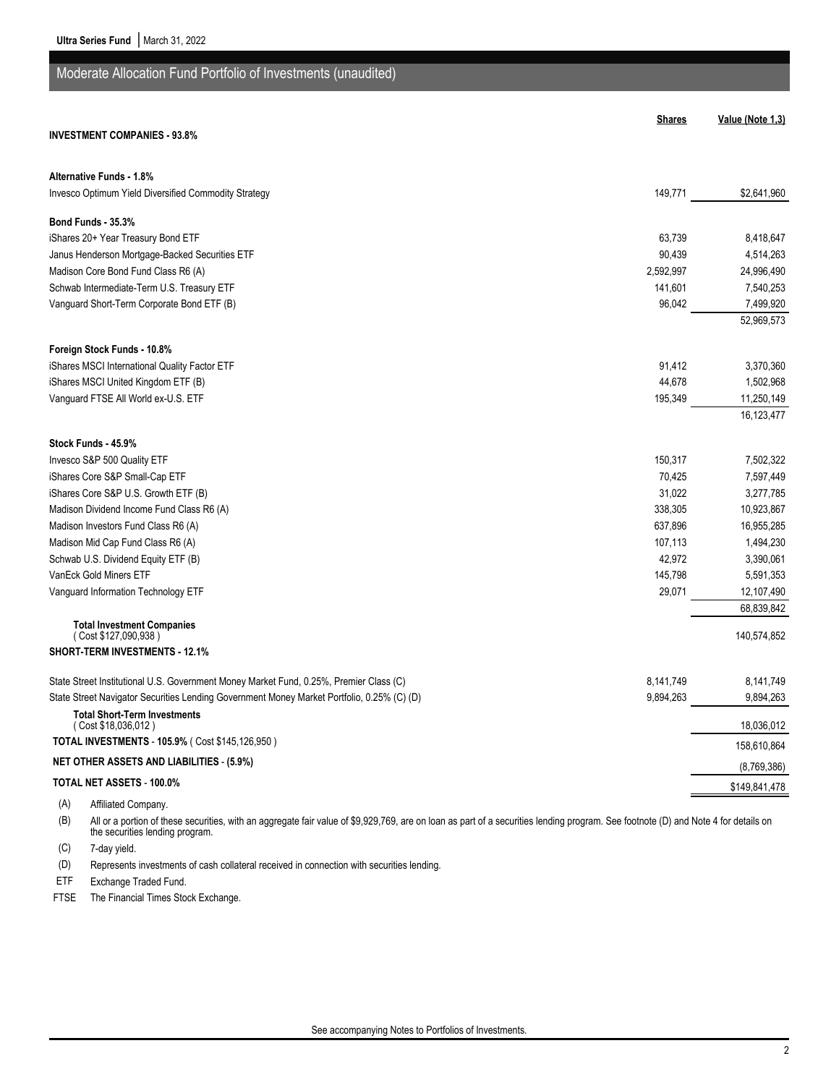| Moderate Allocation Fund Portfolio of Investments (unaudited)                              |               |                  |
|--------------------------------------------------------------------------------------------|---------------|------------------|
|                                                                                            | <b>Shares</b> | Value (Note 1,3) |
| <b>INVESTMENT COMPANIES - 93.8%</b>                                                        |               |                  |
| <b>Alternative Funds - 1.8%</b>                                                            |               |                  |
| Invesco Optimum Yield Diversified Commodity Strategy                                       | 149,771       | \$2,641,960      |
| Bond Funds - 35.3%                                                                         |               |                  |
| iShares 20+ Year Treasury Bond ETF                                                         | 63,739        | 8,418,647        |
| Janus Henderson Mortgage-Backed Securities ETF                                             | 90,439        | 4,514,263        |
| Madison Core Bond Fund Class R6 (A)                                                        | 2,592,997     | 24,996,490       |
| Schwab Intermediate-Term U.S. Treasury ETF                                                 | 141,601       | 7,540,253        |
| Vanguard Short-Term Corporate Bond ETF (B)                                                 | 96,042        | 7,499,920        |
|                                                                                            |               | 52,969,573       |
| Foreign Stock Funds - 10.8%                                                                |               |                  |
| iShares MSCI International Quality Factor ETF                                              | 91,412        | 3,370,360        |
| iShares MSCI United Kingdom ETF (B)                                                        | 44,678        | 1,502,968        |
| Vanguard FTSE All World ex-U.S. ETF                                                        | 195,349       | 11,250,149       |
|                                                                                            |               | 16,123,477       |
| Stock Funds - 45.9%                                                                        |               |                  |
| Invesco S&P 500 Quality ETF                                                                | 150,317       | 7,502,322        |
| iShares Core S&P Small-Cap ETF                                                             | 70,425        | 7,597,449        |
| iShares Core S&P U.S. Growth ETF (B)                                                       | 31,022        | 3,277,785        |
| Madison Dividend Income Fund Class R6 (A)                                                  | 338,305       | 10,923,867       |
| Madison Investors Fund Class R6 (A)                                                        | 637,896       | 16,955,285       |
| Madison Mid Cap Fund Class R6 (A)                                                          | 107,113       | 1,494,230        |
| Schwab U.S. Dividend Equity ETF (B)                                                        | 42,972        | 3,390,061        |
| VanEck Gold Miners ETF                                                                     | 145,798       | 5,591,353        |
| Vanguard Information Technology ETF                                                        | 29,071        | 12,107,490       |
| <b>Total Investment Companies</b>                                                          |               | 68,839,842       |
| (Cost \$127,090,938)                                                                       |               | 140,574,852      |
| <b>SHORT-TERM INVESTMENTS - 12.1%</b>                                                      |               |                  |
| State Street Institutional U.S. Government Money Market Fund, 0.25%, Premier Class (C)     | 8,141,749     | 8,141,749        |
| State Street Navigator Securities Lending Government Money Market Portfolio, 0.25% (C) (D) | 9,894,263     | 9,894,263        |
| <b>Total Short-Term Investments</b><br>(Cost \$18,036,012)                                 |               | 18,036,012       |
| TOTAL INVESTMENTS - 105.9% (Cost \$145,126,950)                                            |               | 158,610,864      |
| <b>NET OTHER ASSETS AND LIABILITIES - (5.9%)</b>                                           |               | (8,769,386)      |
| TOTAL NET ASSETS - 100.0%                                                                  |               | \$149,841,478    |
| (A)<br>Affiliated Company.                                                                 |               |                  |

(B) All or a portion of these securities, with an aggregate fair value of \$9,929,769, are on loan as part of a securities lending program. See footnote (D) and Note 4 for details on the securities lending program.

(C) 7-day yield.

(D) Represents investments of cash collateral received in connection with securities lending.

ETF Exchange Traded Fund.

FTSE The Financial Times Stock Exchange.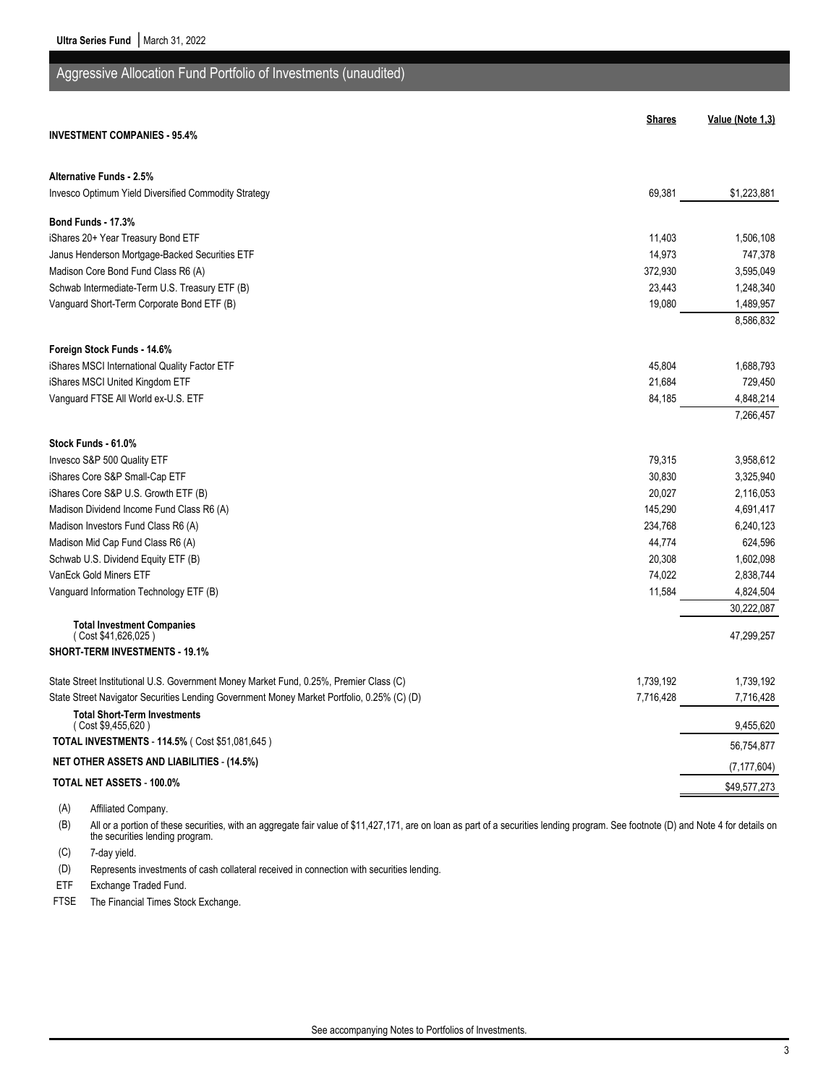| Aggressive Allocation Fund Portfolio of Investments (unaudited)                            |               |                  |
|--------------------------------------------------------------------------------------------|---------------|------------------|
|                                                                                            |               |                  |
| <b>INVESTMENT COMPANIES - 95.4%</b>                                                        | <b>Shares</b> | Value (Note 1,3) |
|                                                                                            |               |                  |
| <b>Alternative Funds - 2.5%</b>                                                            |               |                  |
| Invesco Optimum Yield Diversified Commodity Strategy                                       | 69,381        | \$1,223,881      |
| Bond Funds - 17.3%                                                                         |               |                  |
| iShares 20+ Year Treasury Bond ETF                                                         | 11,403        | 1,506,108        |
| Janus Henderson Mortgage-Backed Securities ETF                                             | 14,973        | 747,378          |
| Madison Core Bond Fund Class R6 (A)                                                        | 372,930       | 3,595,049        |
| Schwab Intermediate-Term U.S. Treasury ETF (B)                                             | 23,443        | 1,248,340        |
| Vanguard Short-Term Corporate Bond ETF (B)                                                 | 19,080        | 1,489,957        |
|                                                                                            |               | 8,586,832        |
| Foreign Stock Funds - 14.6%                                                                |               |                  |
| iShares MSCI International Quality Factor ETF                                              | 45,804        | 1,688,793        |
| iShares MSCI United Kingdom ETF                                                            | 21,684        | 729,450          |
| Vanguard FTSE All World ex-U.S. ETF                                                        | 84,185        | 4,848,214        |
|                                                                                            |               | 7,266,457        |
| Stock Funds - 61.0%                                                                        |               |                  |
| Invesco S&P 500 Quality ETF                                                                | 79,315        | 3,958,612        |
| iShares Core S&P Small-Cap ETF                                                             | 30,830        | 3,325,940        |
| iShares Core S&P U.S. Growth ETF (B)                                                       | 20,027        | 2,116,053        |
| Madison Dividend Income Fund Class R6 (A)                                                  | 145,290       | 4,691,417        |
| Madison Investors Fund Class R6 (A)                                                        | 234,768       | 6,240,123        |
| Madison Mid Cap Fund Class R6 (A)                                                          | 44,774        | 624,596          |
| Schwab U.S. Dividend Equity ETF (B)                                                        | 20,308        | 1,602,098        |
| VanEck Gold Miners ETF                                                                     | 74,022        | 2,838,744        |
| Vanguard Information Technology ETF (B)                                                    | 11,584        | 4,824,504        |
|                                                                                            |               | 30,222,087       |
| <b>Total Investment Companies</b><br>(Cost \$41,626,025)                                   |               | 47,299,257       |
| <b>SHORT-TERM INVESTMENTS - 19.1%</b>                                                      |               |                  |
| State Street Institutional U.S. Government Money Market Fund, 0.25%, Premier Class (C)     | 1,739,192     | 1,739,192        |
| State Street Navigator Securities Lending Government Money Market Portfolio, 0.25% (C) (D) | 7,716,428     | 7,716,428        |
| <b>Total Short-Term Investments</b>                                                        |               |                  |
| (Cost \$9,455,620)<br>TOTAL INVESTMENTS - 114.5% (Cost \$51,081,645)                       |               | 9,455,620        |
| <b>NET OTHER ASSETS AND LIABILITIES - (14.5%)</b>                                          |               | 56,754,877       |
| TOTAL NET ASSETS - 100.0%                                                                  |               | (7, 177, 604)    |
|                                                                                            |               | \$49,577,273     |

(A) Affiliated Company.

(B) All or a portion of these securities, with an aggregate fair value of \$11,427,171, are on loan as part of a securities lending program. See footnote (D) and Note 4 for details on the securities lending program.

(C) 7-day yield.

(D) Represents investments of cash collateral received in connection with securities lending.

ETF Exchange Traded Fund.

FTSE The Financial Times Stock Exchange.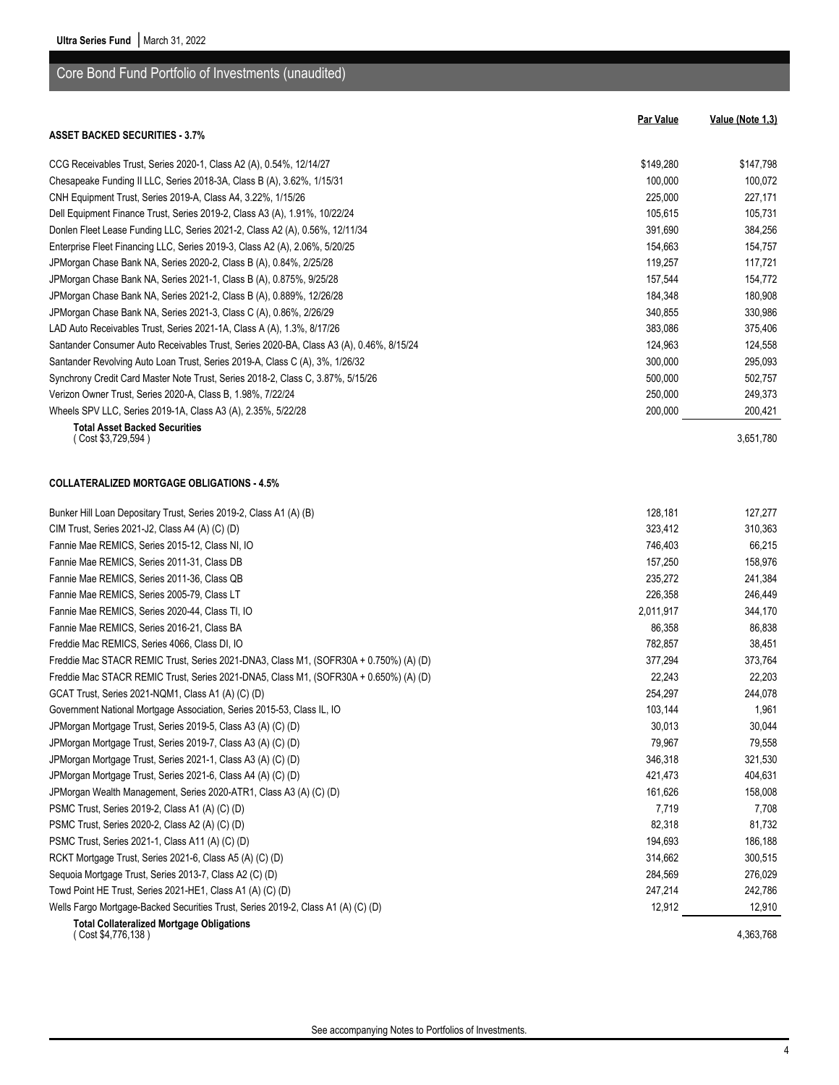|                                                                                         | <b>Par Value</b> | Value (Note 1,3) |
|-----------------------------------------------------------------------------------------|------------------|------------------|
| <b>ASSET BACKED SECURITIES - 3.7%</b>                                                   |                  |                  |
| CCG Receivables Trust, Series 2020-1, Class A2 (A), 0.54%, 12/14/27                     | \$149,280        | \$147,798        |
| Chesapeake Funding II LLC, Series 2018-3A, Class B (A), 3.62%, 1/15/31                  | 100,000          | 100,072          |
| CNH Equipment Trust, Series 2019-A, Class A4, 3.22%, 1/15/26                            | 225,000          | 227,171          |
| Dell Equipment Finance Trust, Series 2019-2, Class A3 (A), 1.91%, 10/22/24              | 105,615          | 105,731          |
| Donlen Fleet Lease Funding LLC, Series 2021-2, Class A2 (A), 0.56%, 12/11/34            | 391,690          | 384,256          |
| Enterprise Fleet Financing LLC, Series 2019-3, Class A2 (A), 2.06%, 5/20/25             | 154,663          | 154,757          |
| JPMorgan Chase Bank NA, Series 2020-2, Class B (A), 0.84%, 2/25/28                      | 119,257          | 117,721          |
| JPMorgan Chase Bank NA, Series 2021-1, Class B (A), 0.875%, 9/25/28                     | 157,544          | 154,772          |
| JPMorgan Chase Bank NA, Series 2021-2, Class B (A), 0.889%, 12/26/28                    | 184,348          | 180,908          |
| JPMorgan Chase Bank NA, Series 2021-3, Class C (A), 0.86%, 2/26/29                      | 340,855          | 330,986          |
| LAD Auto Receivables Trust, Series 2021-1A, Class A (A), 1.3%, 8/17/26                  | 383,086          | 375,406          |
| Santander Consumer Auto Receivables Trust, Series 2020-BA, Class A3 (A), 0.46%, 8/15/24 | 124,963          | 124,558          |
| Santander Revolving Auto Loan Trust, Series 2019-A, Class C (A), 3%, 1/26/32            | 300,000          | 295,093          |
| Synchrony Credit Card Master Note Trust, Series 2018-2, Class C, 3.87%, 5/15/26         | 500,000          | 502,757          |
| Verizon Owner Trust, Series 2020-A, Class B, 1.98%, 7/22/24                             | 250,000          | 249,373          |
| Wheels SPV LLC, Series 2019-1A, Class A3 (A), 2.35%, 5/22/28                            | 200,000          | 200,421          |
| <b>Total Asset Backed Securities</b><br>(Cost \$3,729,594)                              |                  | 3,651,780        |
| <b>COLLATERALIZED MORTGAGE OBLIGATIONS - 4.5%</b>                                       |                  |                  |
| Bunker Hill Loan Depositary Trust, Series 2019-2, Class A1 (A) (B)                      | 128,181          | 127,277          |
| CIM Trust, Series 2021-J2, Class A4 (A) (C) (D)                                         | 323,412          | 310,363          |
| Fannie Mae REMICS, Series 2015-12, Class NI, IO                                         | 746,403          | 66,215           |
| Fannie Mae REMICS, Series 2011-31, Class DB                                             | 157,250          | 158,976          |
| Fannie Mae REMICS, Series 2011-36, Class QB                                             | 235,272          | 241,384          |
| Fannie Mae REMICS, Series 2005-79, Class LT                                             | 226,358          | 246,449          |
| Fannie Mae REMICS, Series 2020-44, Class TI, IO                                         | 2,011,917        | 344,170          |
| Fannie Mae REMICS, Series 2016-21, Class BA                                             | 86,358           | 86,838           |
| Freddie Mac REMICS, Series 4066, Class DI, IO                                           | 782,857          | 38,451           |
| Freddie Mac STACR REMIC Trust, Series 2021-DNA3, Class M1, (SOFR30A + 0.750%) (A) (D)   | 377,294          | 373,764          |
| Freddie Mac STACR REMIC Trust, Series 2021-DNA5, Class M1, (SOFR30A + 0.650%) (A) (D)   | 22,243           | 22,203           |
| GCAT Trust, Series 2021-NQM1, Class A1 (A) (C) (D)                                      | 254,297          | 244,078          |
| Government National Mortgage Association, Series 2015-53, Class IL, IO                  | 103,144          | 1,961            |
| JPMorgan Mortgage Trust, Series 2019-5, Class A3 (A) (C) (D)                            | 30,013           | 30,044           |
| JPMorgan Mortgage Trust, Series 2019-7, Class A3 (A) (C) (D)                            | 79,967           | 79,558           |
| JPMorgan Mortgage Trust, Series 2021-1, Class A3 (A) (C) (D)                            | 346,318          | 321,530          |
| JPMorgan Mortgage Trust, Series 2021-6, Class A4 (A) (C) (D)                            | 421,473          | 404,631          |
| JPMorgan Wealth Management, Series 2020-ATR1, Class A3 (A) (C) (D)                      | 161,626          | 158,008          |
| PSMC Trust, Series 2019-2, Class A1 (A) (C) (D)                                         | 7,719            | 7,708            |
| PSMC Trust, Series 2020-2, Class A2 (A) (C) (D)                                         | 82,318           | 81,732           |
| PSMC Trust, Series 2021-1, Class A11 (A) (C) (D)                                        | 194,693          | 186,188          |
| RCKT Mortgage Trust, Series 2021-6, Class A5 (A) (C) (D)                                | 314,662          | 300,515          |
| Sequoia Mortgage Trust, Series 2013-7, Class A2 (C) (D)                                 | 284,569          | 276,029          |
| Towd Point HE Trust, Series 2021-HE1, Class A1 (A) (C) (D)                              | 247,214          | 242,786          |
| Wells Fargo Mortgage-Backed Securities Trust, Series 2019-2, Class A1 (A) (C) (D)       | 12,912           | 12,910           |
| <b>Total Collateralized Mortgage Obligations</b><br>(Cost \$4,776,138)                  |                  | 4,363,768        |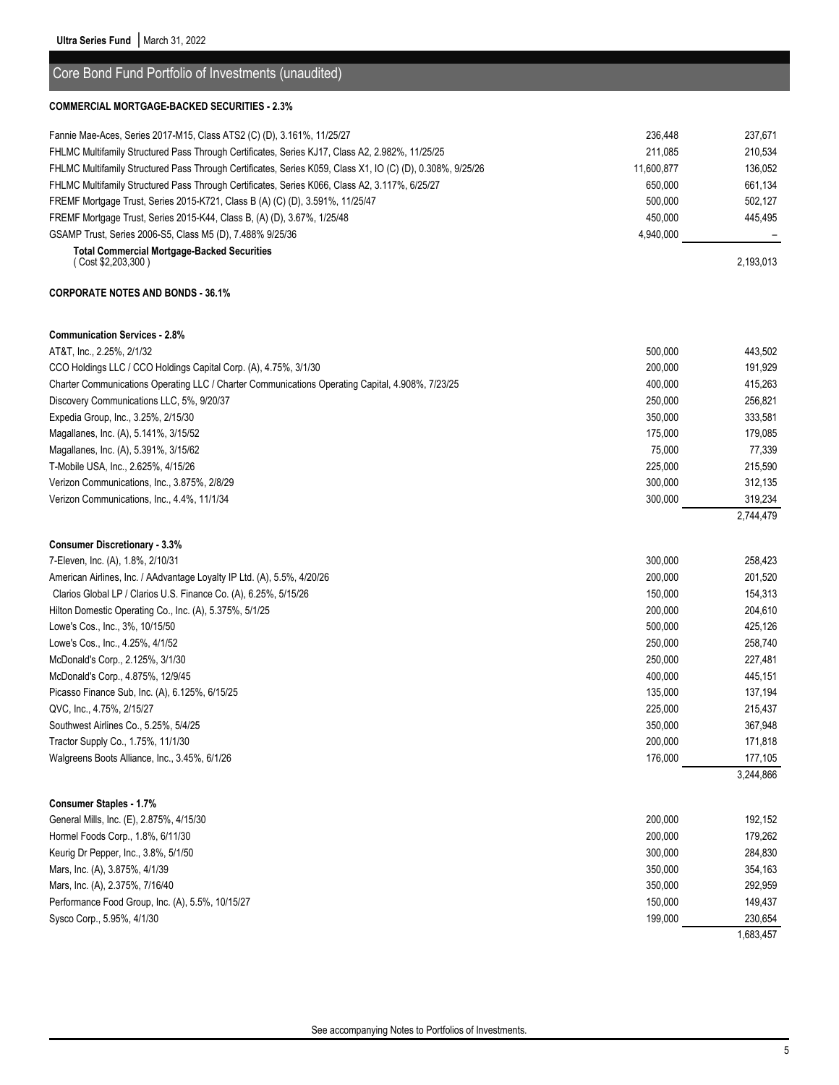Core Bond Fund Portfolio of Investments (unaudited)

| <b>COMMERCIAL MORTGAGE-BACKED SECURITIES - 2.3%</b>                                                        |            |           |
|------------------------------------------------------------------------------------------------------------|------------|-----------|
| Fannie Mae-Aces, Series 2017-M15, Class ATS2 (C) (D), 3.161%, 11/25/27                                     | 236,448    | 237,671   |
| FHLMC Multifamily Structured Pass Through Certificates, Series KJ17, Class A2, 2.982%, 11/25/25            | 211.085    | 210,534   |
| FHLMC Multifamily Structured Pass Through Certificates, Series K059, Class X1, IO (C) (D), 0.308%, 9/25/26 | 11,600,877 | 136.052   |
| FHLMC Multifamily Structured Pass Through Certificates, Series K066, Class A2, 3.117%, 6/25/27             | 650.000    | 661,134   |
| FREMF Mortgage Trust, Series 2015-K721, Class B (A) (C) (D), 3.591%, 11/25/47                              | 500,000    | 502,127   |
| FREMF Mortgage Trust, Series 2015-K44, Class B, (A) (D), 3.67%, 1/25/48                                    | 450,000    | 445,495   |
| GSAMP Trust, Series 2006-S5, Class M5 (D), 7.488% 9/25/36                                                  | 4,940,000  |           |
| <b>Total Commercial Mortgage-Backed Securities</b><br>(Cost \$2,203,300)                                   |            | 2,193,013 |
| <b>CORPORATE NOTES AND BONDS - 36.1%</b>                                                                   |            |           |
| <b>Communication Services - 2.8%</b>                                                                       |            |           |
| AT&T, Inc., 2.25%, 2/1/32                                                                                  | 500,000    | 443,502   |
| CCO Holdings LLC / CCO Holdings Capital Corp. (A), 4.75%, 3/1/30                                           | 200.000    | 191.929   |
| Charter Communications Operating LLC / Charter Communications Operating Capital, 4.908%, 7/23/25           | 400.000    | 415,263   |
| Discovery Communications LLC, 5%, 9/20/37                                                                  | 250,000    | 256,821   |
| Expedia Group, Inc., 3.25%, 2/15/30                                                                        | 350,000    | 333,581   |
| Magallanes, Inc. (A), 5.141%, 3/15/52                                                                      | 175,000    | 179,085   |
| Magallanes, Inc. (A), 5.391%, 3/15/62                                                                      | 75,000     | 77,339    |
| T-Mobile USA, Inc., 2.625%, 4/15/26                                                                        | 225,000    | 215,590   |
| Verizon Communications, Inc., 3.875%, 2/8/29                                                               | 300,000    | 312,135   |
| Verizon Communications, Inc., 4.4%, 11/1/34                                                                | 300,000    | 319,234   |
|                                                                                                            |            | 2,744,479 |
| <b>Consumer Discretionary - 3.3%</b>                                                                       |            |           |
| $7.71.$ $(1)$ $(1)$ $(2)$ $(3)$ $(4)$ $(0)$ $(2)$ $(0)$ $(1)$                                              | 200.000    | 0.50.402  |

| <b>Consumer Staples - 1.7%</b>                                          |         |           |
|-------------------------------------------------------------------------|---------|-----------|
|                                                                         |         | 3,244,866 |
| Walgreens Boots Alliance, Inc., 3.45%, 6/1/26                           | 176,000 | 177,105   |
| Tractor Supply Co., 1.75%, 11/1/30                                      | 200,000 | 171,818   |
| Southwest Airlines Co., 5.25%, 5/4/25                                   | 350,000 | 367,948   |
| QVC, Inc., 4.75%, 2/15/27                                               | 225,000 | 215,437   |
| Picasso Finance Sub, Inc. (A), 6.125%, 6/15/25                          | 135,000 | 137,194   |
| McDonald's Corp., 4.875%, 12/9/45                                       | 400,000 | 445,151   |
| McDonald's Corp., 2.125%, 3/1/30                                        | 250,000 | 227,481   |
| Lowe's Cos., Inc., 4.25%, 4/1/52                                        | 250,000 | 258,740   |
| Lowe's Cos., Inc., 3%, 10/15/50                                         | 500.000 | 425,126   |
| Hilton Domestic Operating Co., Inc. (A), 5.375%, 5/1/25                 | 200,000 | 204,610   |
| Clarios Global LP / Clarios U.S. Finance Co. (A), 6.25%, 5/15/26        | 150,000 | 154,313   |
| American Airlines, Inc. / AAdvantage Loyalty IP Ltd. (A), 5.5%, 4/20/26 | 200,000 | 201,520   |
| 7-Eleven, Inc. (A), 1.8%, 2/10/31                                       | 300,000 | 258,423   |

| Sysco Corp., 5.95%, 4/1/30                       | 199.000 | 230.654 |
|--------------------------------------------------|---------|---------|
| Performance Food Group, Inc. (A), 5.5%, 10/15/27 | 150.000 | 149.437 |
| Mars, Inc. (A), 2.375%, 7/16/40                  | 350,000 | 292.959 |
| Mars, Inc. (A), 3.875%, 4/1/39                   | 350,000 | 354.163 |
| Keurig Dr Pepper, Inc., 3.8%, 5/1/50             | 300.000 | 284.830 |
| Hormel Foods Corp., 1.8%, 6/11/30                | 200.000 | 179.262 |
| General Mills, Inc. (E), 2.875%, 4/15/30         | 200.000 | 192.152 |
|                                                  |         |         |

1,683,457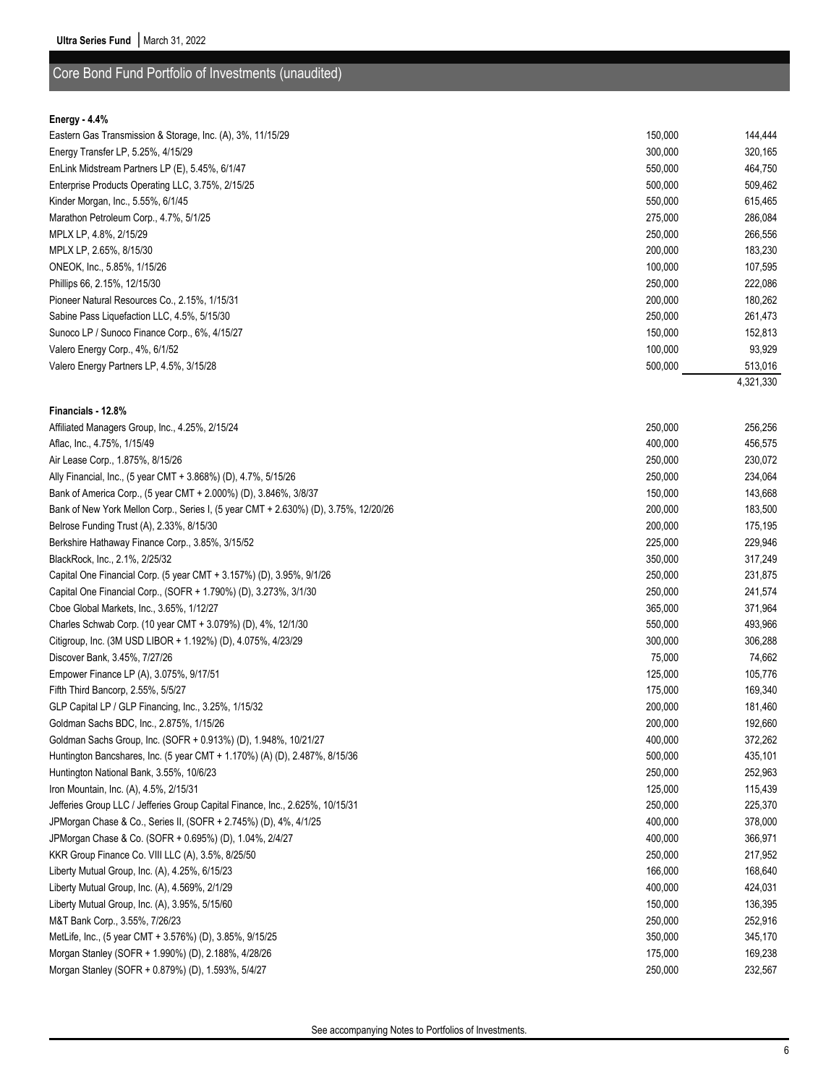## Core Bond Fund Portfolio of Investments (unaudited)

#### **Energy - 4.4%**

| Eastern Gas Transmission & Storage, Inc. (A), 3%, 11/15/29 | 150,000 | 144,444   |
|------------------------------------------------------------|---------|-----------|
| Energy Transfer LP, 5.25%, 4/15/29                         | 300,000 | 320,165   |
| EnLink Midstream Partners LP (E), 5.45%, 6/1/47            | 550,000 | 464,750   |
| Enterprise Products Operating LLC, 3.75%, 2/15/25          | 500,000 | 509,462   |
| Kinder Morgan, Inc., 5.55%, 6/1/45                         | 550,000 | 615,465   |
| Marathon Petroleum Corp., 4.7%, 5/1/25                     | 275,000 | 286,084   |
| MPLX LP, 4.8%, 2/15/29                                     | 250,000 | 266,556   |
| MPLX LP, 2.65%, 8/15/30                                    | 200,000 | 183,230   |
| ONEOK, Inc., 5.85%, 1/15/26                                | 100,000 | 107,595   |
| Phillips 66, 2.15%, 12/15/30                               | 250,000 | 222,086   |
| Pioneer Natural Resources Co., 2.15%, 1/15/31              | 200,000 | 180,262   |
| Sabine Pass Liquefaction LLC, 4.5%, 5/15/30                | 250,000 | 261,473   |
| Sunoco LP / Sunoco Finance Corp., 6%, 4/15/27              | 150,000 | 152,813   |
| Valero Energy Corp., 4%, 6/1/52                            | 100,000 | 93,929    |
| Valero Energy Partners LP, 4.5%, 3/15/28                   | 500,000 | 513,016   |
|                                                            |         | 4,321,330 |

# **Financials - 12.8%**

| Affiliated Managers Group, Inc., 4.25%, 2/15/24                                     | 250,000 | 256,256 |
|-------------------------------------------------------------------------------------|---------|---------|
| Aflac, Inc., 4.75%, 1/15/49                                                         | 400,000 | 456,575 |
| Air Lease Corp., 1.875%, 8/15/26                                                    | 250,000 | 230,072 |
| Ally Financial, Inc., (5 year CMT + 3.868%) (D), 4.7%, 5/15/26                      | 250,000 | 234,064 |
| Bank of America Corp., (5 year CMT + 2.000%) (D), 3.846%, 3/8/37                    | 150,000 | 143,668 |
| Bank of New York Mellon Corp., Series I, (5 year CMT + 2.630%) (D), 3.75%, 12/20/26 | 200,000 | 183,500 |
| Belrose Funding Trust (A), 2.33%, 8/15/30                                           | 200,000 | 175,195 |
| Berkshire Hathaway Finance Corp., 3.85%, 3/15/52                                    | 225,000 | 229,946 |
| BlackRock, Inc., 2.1%, 2/25/32                                                      | 350,000 | 317,249 |
| Capital One Financial Corp. (5 year CMT + 3.157%) (D), 3.95%, 9/1/26                | 250,000 | 231,875 |
| Capital One Financial Corp., (SOFR + 1.790%) (D), 3.273%, 3/1/30                    | 250,000 | 241,574 |
| Cboe Global Markets, Inc., 3.65%, 1/12/27                                           | 365,000 | 371,964 |
| Charles Schwab Corp. (10 year CMT + 3.079%) (D), 4%, 12/1/30                        | 550,000 | 493,966 |
| Citigroup, Inc. (3M USD LIBOR + 1.192%) (D), 4.075%, 4/23/29                        | 300,000 | 306,288 |
| Discover Bank, 3.45%, 7/27/26                                                       | 75,000  | 74,662  |
| Empower Finance LP (A), 3.075%, 9/17/51                                             | 125,000 | 105,776 |
| Fifth Third Bancorp, 2.55%, 5/5/27                                                  | 175,000 | 169,340 |
| GLP Capital LP / GLP Financing, Inc., 3.25%, 1/15/32                                | 200,000 | 181,460 |
| Goldman Sachs BDC, Inc., 2.875%, 1/15/26                                            | 200,000 | 192,660 |
| Goldman Sachs Group, Inc. (SOFR + 0.913%) (D), 1.948%, 10/21/27                     | 400,000 | 372,262 |
| Huntington Bancshares, Inc. (5 year CMT + 1.170%) (A) (D), 2.487%, 8/15/36          | 500,000 | 435,101 |
| Huntington National Bank, 3.55%, 10/6/23                                            | 250,000 | 252,963 |
| Iron Mountain, Inc. (A), 4.5%, 2/15/31                                              | 125,000 | 115,439 |
| Jefferies Group LLC / Jefferies Group Capital Finance, Inc., 2.625%, 10/15/31       | 250,000 | 225,370 |
| JPMorgan Chase & Co., Series II, (SOFR + 2.745%) (D), 4%, 4/1/25                    | 400,000 | 378,000 |
| JPMorgan Chase & Co. (SOFR + 0.695%) (D), 1.04%, 2/4/27                             | 400,000 | 366,971 |
| KKR Group Finance Co. VIII LLC (A), 3.5%, 8/25/50                                   | 250,000 | 217,952 |
| Liberty Mutual Group, Inc. (A), 4.25%, 6/15/23                                      | 166,000 | 168,640 |
| Liberty Mutual Group, Inc. (A), 4.569%, 2/1/29                                      | 400,000 | 424,031 |
| Liberty Mutual Group, Inc. (A), 3.95%, 5/15/60                                      | 150,000 | 136,395 |
| M&T Bank Corp., 3.55%, 7/26/23                                                      | 250,000 | 252,916 |
| MetLife, Inc., (5 year CMT + 3.576%) (D), 3.85%, 9/15/25                            | 350,000 | 345,170 |
| Morgan Stanley (SOFR + 1.990%) (D), 2.188%, 4/28/26                                 | 175,000 | 169,238 |
| Morgan Stanley (SOFR + 0.879%) (D), 1.593%, 5/4/27                                  | 250,000 | 232,567 |
|                                                                                     |         |         |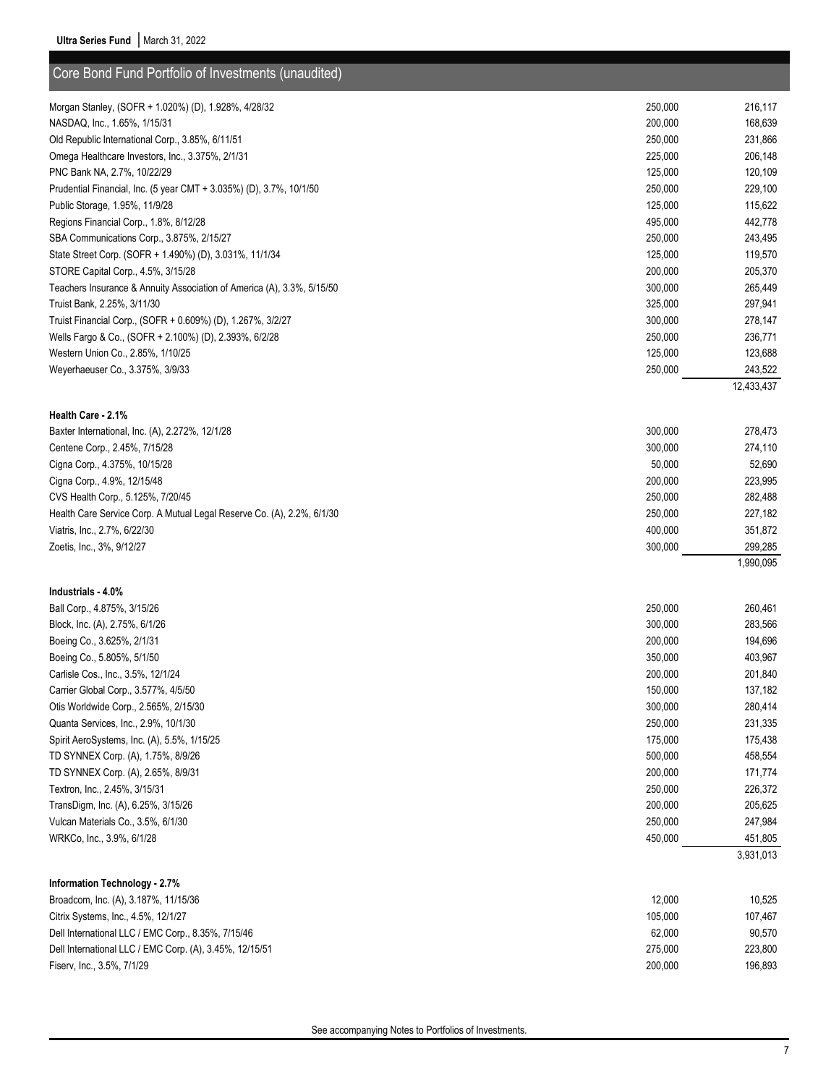| Core Bond Fund Portfolio of Investments (unaudited)                    |         |            |
|------------------------------------------------------------------------|---------|------------|
| Morgan Stanley, (SOFR + 1.020%) (D), 1.928%, 4/28/32                   | 250,000 | 216,117    |
| NASDAQ, Inc., 1.65%, 1/15/31                                           | 200,000 | 168,639    |
| Old Republic International Corp., 3.85%, 6/11/51                       | 250,000 | 231,866    |
| Omega Healthcare Investors, Inc., 3.375%, 2/1/31                       | 225,000 | 206,148    |
| PNC Bank NA, 2.7%, 10/22/29                                            | 125,000 | 120,109    |
| Prudential Financial, Inc. (5 year CMT + 3.035%) (D), 3.7%, 10/1/50    | 250,000 | 229,100    |
| Public Storage, 1.95%, 11/9/28                                         | 125,000 | 115,622    |
| Regions Financial Corp., 1.8%, 8/12/28                                 | 495,000 | 442,778    |
| SBA Communications Corp., 3.875%, 2/15/27                              | 250,000 | 243,495    |
| State Street Corp. (SOFR + 1.490%) (D), 3.031%, 11/1/34                | 125,000 | 119,570    |
| STORE Capital Corp., 4.5%, 3/15/28                                     | 200,000 | 205,370    |
| Teachers Insurance & Annuity Association of America (A), 3.3%, 5/15/50 | 300,000 | 265,449    |
| Truist Bank, 2.25%, 3/11/30                                            | 325,000 | 297,941    |
| Truist Financial Corp., (SOFR + 0.609%) (D), 1.267%, 3/2/27            | 300,000 | 278,147    |
| Wells Fargo & Co., (SOFR + 2.100%) (D), 2.393%, 6/2/28                 | 250,000 | 236,771    |
| Western Union Co., 2.85%, 1/10/25                                      | 125,000 | 123,688    |
| Weyerhaeuser Co., 3.375%, 3/9/33                                       | 250,000 | 243,522    |
|                                                                        |         | 12,433,437 |
|                                                                        |         |            |
| Health Care - 2.1%                                                     |         |            |
| Baxter International, Inc. (A), 2.272%, 12/1/28                        | 300,000 | 278,473    |
| Centene Corp., 2.45%, 7/15/28                                          | 300,000 | 274,110    |
| Cigna Corp., 4.375%, 10/15/28                                          | 50,000  | 52,690     |
| Cigna Corp., 4.9%, 12/15/48                                            | 200,000 | 223,995    |
| CVS Health Corp., 5.125%, 7/20/45                                      | 250,000 | 282,488    |
| Health Care Service Corp. A Mutual Legal Reserve Co. (A), 2.2%, 6/1/30 | 250,000 | 227,182    |
| Viatris, Inc., 2.7%, 6/22/30                                           | 400,000 | 351,872    |
| Zoetis, Inc., 3%, 9/12/27                                              | 300,000 | 299,285    |
|                                                                        |         | 1,990,095  |
|                                                                        |         |            |
| Industrials - 4.0%                                                     |         |            |
| Ball Corp., 4.875%, 3/15/26                                            | 250,000 | 260,461    |
| Block, Inc. (A), 2.75%, 6/1/26                                         | 300,000 | 283,566    |
| Boeing Co., 3.625%, 2/1/31                                             | 200,000 | 194,696    |
| Boeing Co., 5.805%, 5/1/50                                             | 350,000 | 403,967    |
| Carlisle Cos., Inc., 3.5%, 12/1/24                                     | 200,000 | 201,840    |
| Carrier Global Corp., 3.577%, 4/5/50                                   | 150,000 | 137,182    |
| Otis Worldwide Corp., 2.565%, 2/15/30                                  | 300,000 | 280,414    |
| Quanta Services, Inc., 2.9%, 10/1/30                                   | 250,000 | 231,335    |
| Spirit AeroSystems, Inc. (A), 5.5%, 1/15/25                            | 175,000 | 175,438    |
| TD SYNNEX Corp. (A), 1.75%, 8/9/26                                     | 500,000 | 458,554    |
| TD SYNNEX Corp. (A), 2.65%, 8/9/31                                     | 200,000 | 171,774    |
| Textron, Inc., 2.45%, 3/15/31                                          | 250,000 | 226,372    |
| TransDigm, Inc. (A), 6.25%, 3/15/26                                    | 200,000 | 205,625    |
| Vulcan Materials Co., 3.5%, 6/1/30                                     | 250,000 | 247,984    |
| WRKCo, Inc., 3.9%, 6/1/28                                              | 450,000 | 451,805    |
|                                                                        |         | 3,931,013  |
| Information Technology - 2.7%                                          |         |            |
| Broadcom, Inc. (A), 3.187%, 11/15/36                                   | 12,000  | 10,525     |
| Citrix Systems, Inc., 4.5%, 12/1/27                                    | 105,000 | 107,467    |
| Dell International LLC / EMC Corp., 8.35%, 7/15/46                     | 62,000  | 90,570     |
| Dell International LLC / EMC Corp. (A), 3.45%, 12/15/51                | 275,000 | 223,800    |
| Fiserv, Inc., 3.5%, 7/1/29                                             | 200,000 | 196,893    |
|                                                                        |         |            |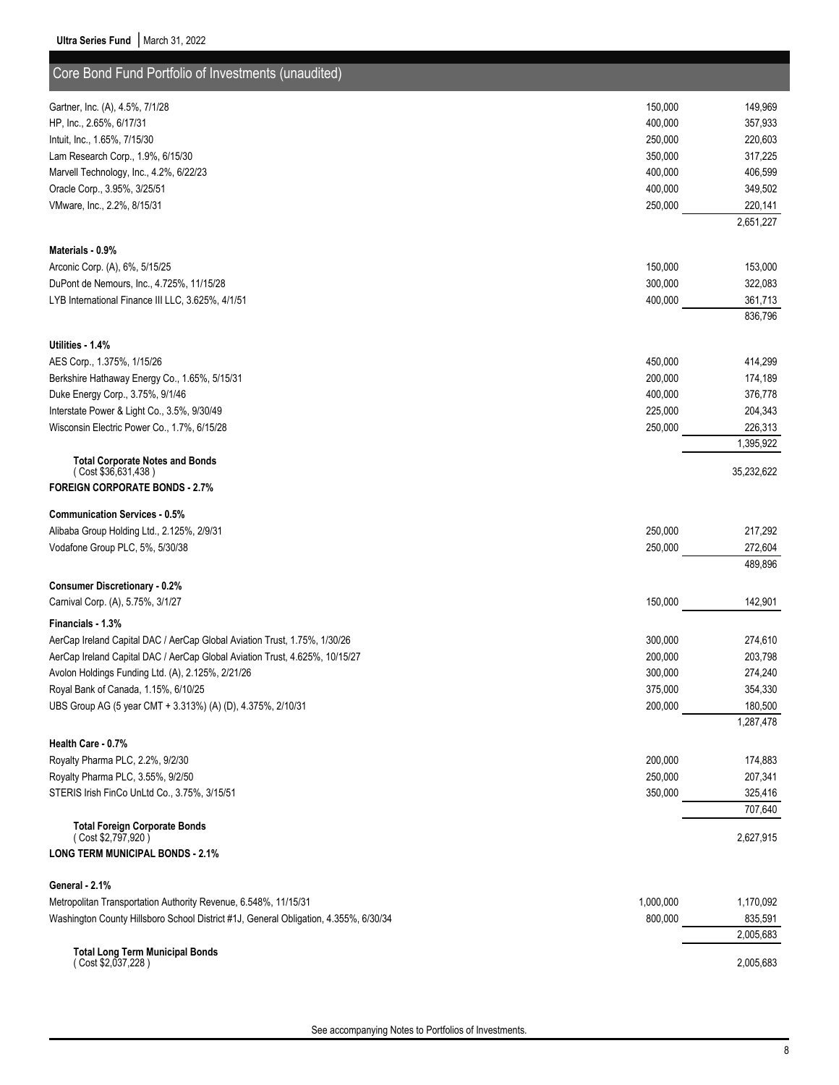| Core Bond Fund Portfolio of Investments (unaudited)                                  |           |            |
|--------------------------------------------------------------------------------------|-----------|------------|
| Gartner, Inc. (A), 4.5%, 7/1/28                                                      | 150,000   | 149,969    |
| HP, Inc., 2.65%, 6/17/31                                                             | 400,000   | 357,933    |
| Intuit, Inc., 1.65%, 7/15/30                                                         | 250,000   | 220,603    |
| Lam Research Corp., 1.9%, 6/15/30                                                    | 350,000   | 317,225    |
| Marvell Technology, Inc., 4.2%, 6/22/23                                              | 400,000   | 406,599    |
| Oracle Corp., 3.95%, 3/25/51                                                         | 400,000   | 349,502    |
| VMware, Inc., 2.2%, 8/15/31                                                          | 250,000   | 220,141    |
|                                                                                      |           | 2,651,227  |
| Materials - 0.9%                                                                     |           |            |
| Arconic Corp. (A), 6%, 5/15/25                                                       | 150,000   | 153,000    |
| DuPont de Nemours, Inc., 4.725%, 11/15/28                                            | 300,000   | 322,083    |
| LYB International Finance III LLC, 3.625%, 4/1/51                                    | 400,000   | 361,713    |
|                                                                                      |           | 836,796    |
| Utilities - 1.4%                                                                     |           |            |
| AES Corp., 1.375%, 1/15/26                                                           | 450,000   | 414,299    |
| Berkshire Hathaway Energy Co., 1.65%, 5/15/31                                        | 200,000   | 174,189    |
| Duke Energy Corp., 3.75%, 9/1/46                                                     | 400,000   | 376,778    |
| Interstate Power & Light Co., 3.5%, 9/30/49                                          | 225,000   | 204,343    |
| Wisconsin Electric Power Co., 1.7%, 6/15/28                                          | 250,000   | 226,313    |
|                                                                                      |           | 1,395,922  |
| <b>Total Corporate Notes and Bonds</b><br>(Cost \$36,631,438)                        |           | 35,232,622 |
| <b>FOREIGN CORPORATE BONDS - 2.7%</b>                                                |           |            |
| <b>Communication Services - 0.5%</b>                                                 |           |            |
| Alibaba Group Holding Ltd., 2.125%, 2/9/31                                           | 250,000   | 217,292    |
| Vodafone Group PLC, 5%, 5/30/38                                                      | 250,000   | 272,604    |
|                                                                                      |           | 489,896    |
| <b>Consumer Discretionary - 0.2%</b>                                                 |           |            |
| Carnival Corp. (A), 5.75%, 3/1/27                                                    | 150,000   | 142,901    |
| Financials - 1.3%                                                                    |           |            |
| AerCap Ireland Capital DAC / AerCap Global Aviation Trust, 1.75%, 1/30/26            | 300,000   | 274,610    |
| AerCap Ireland Capital DAC / AerCap Global Aviation Trust, 4.625%, 10/15/27          | 200,000   | 203,798    |
| Avolon Holdings Funding Ltd. (A), 2.125%, 2/21/26                                    | 300,000   | 274,240    |
| Royal Bank of Canada, 1.15%, 6/10/25                                                 | 375,000   | 354,330    |
| UBS Group AG (5 year CMT + 3.313%) (A) (D), 4.375%, 2/10/31                          | 200,000   | 180,500    |
|                                                                                      |           | 1,287,478  |
| Health Care - 0.7%                                                                   |           |            |
| Royalty Pharma PLC, 2.2%, 9/2/30                                                     | 200,000   | 174,883    |
| Royalty Pharma PLC, 3.55%, 9/2/50                                                    | 250,000   | 207,341    |
| STERIS Irish FinCo UnLtd Co., 3.75%, 3/15/51                                         | 350,000   | 325,416    |
| <b>Total Foreign Corporate Bonds</b>                                                 |           | 707,640    |
| (Cost \$2,797,920)                                                                   |           | 2,627,915  |
| <b>LONG TERM MUNICIPAL BONDS - 2.1%</b>                                              |           |            |
| General - 2.1%                                                                       |           |            |
| Metropolitan Transportation Authority Revenue, 6.548%, 11/15/31                      | 1,000,000 | 1,170,092  |
| Washington County Hillsboro School District #1J, General Obligation, 4.355%, 6/30/34 | 800,000   | 835,591    |
|                                                                                      |           | 2,005,683  |
| <b>Total Long Term Municipal Bonds</b>                                               |           |            |
| (Cost \$2,037,228)                                                                   |           | 2,005,683  |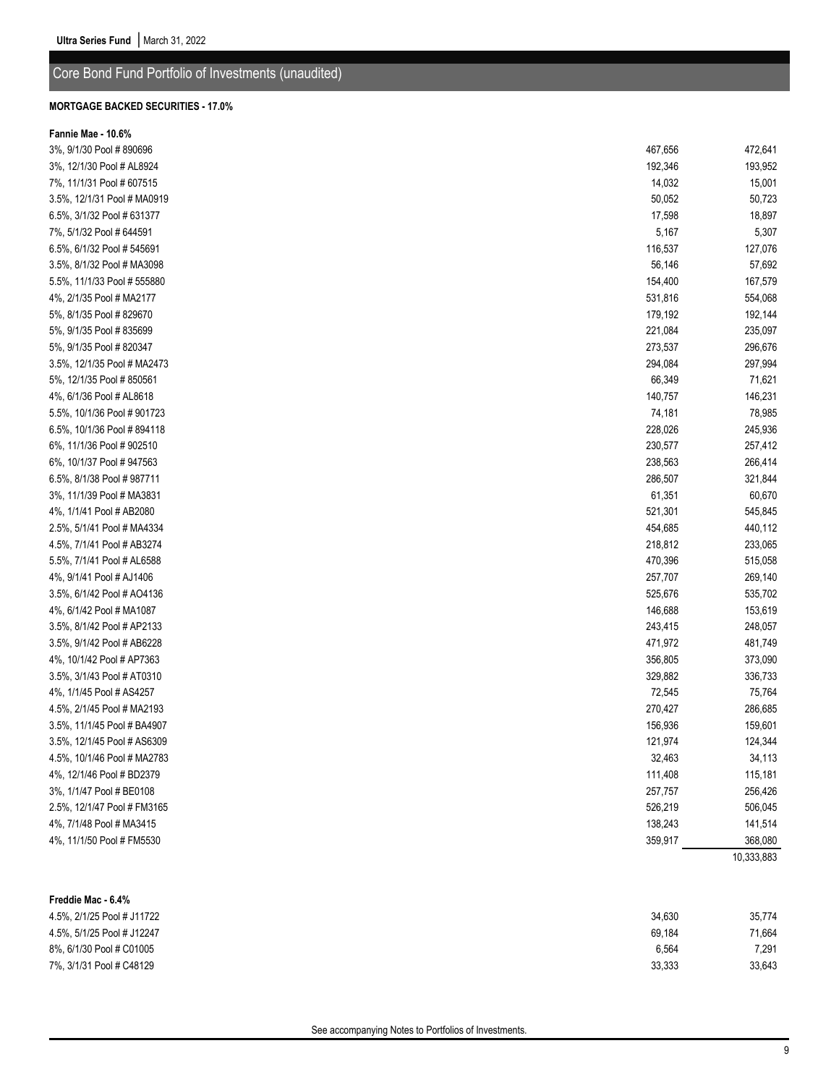## Core Bond Fund Portfolio of Investments (unaudited)

#### **MORTGAGE BACKED SECURITIES - 17.0%**

| Fannie Mae - 10.6%          |         |                       |
|-----------------------------|---------|-----------------------|
| 3%, 9/1/30 Pool # 890696    | 467,656 | 472,641               |
| 3%, 12/1/30 Pool # AL8924   | 192,346 | 193,952               |
| 7%, 11/1/31 Pool # 607515   | 14,032  | 15,001                |
| 3.5%, 12/1/31 Pool # MA0919 | 50,052  | 50,723                |
| 6.5%, 3/1/32 Pool # 631377  | 17,598  | 18,897                |
| 7%, 5/1/32 Pool # 644591    | 5,167   | 5,307                 |
| 6.5%, 6/1/32 Pool # 545691  | 116,537 | 127,076               |
| 3.5%, 8/1/32 Pool # MA3098  | 56,146  | 57,692                |
| 5.5%, 11/1/33 Pool # 555880 | 154,400 | 167,579               |
| 4%, 2/1/35 Pool # MA2177    | 531,816 | 554,068               |
| 5%, 8/1/35 Pool # 829670    | 179,192 | 192,144               |
| 5%, 9/1/35 Pool # 835699    | 221,084 | 235,097               |
| 5%, 9/1/35 Pool # 820347    | 273,537 | 296,676               |
| 3.5%, 12/1/35 Pool # MA2473 | 294,084 | 297,994               |
| 5%, 12/1/35 Pool #850561    | 66,349  | 71,621                |
| 4%, 6/1/36 Pool # AL8618    | 140,757 | 146,231               |
| 5.5%, 10/1/36 Pool #901723  | 74,181  | 78,985                |
| 6.5%, 10/1/36 Pool #894118  | 228,026 | 245,936               |
| 6%, 11/1/36 Pool #902510    | 230,577 | 257,412               |
| 6%, 10/1/37 Pool # 947563   | 238,563 | 266,414               |
| 6.5%, 8/1/38 Pool # 987711  | 286,507 | 321,844               |
| 3%, 11/1/39 Pool # MA3831   | 61,351  | 60,670                |
| 4%, 1/1/41 Pool # AB2080    | 521,301 | 545,845               |
| 2.5%, 5/1/41 Pool # MA4334  | 454,685 | 440,112               |
| 4.5%, 7/1/41 Pool # AB3274  | 218,812 | 233,065               |
| 5.5%, 7/1/41 Pool # AL6588  | 470,396 | 515,058               |
| 4%, 9/1/41 Pool # AJ1406    | 257,707 | 269,140               |
| 3.5%, 6/1/42 Pool # AO4136  | 525,676 | 535,702               |
| 4%, 6/1/42 Pool # MA1087    | 146,688 | 153,619               |
| 3.5%, 8/1/42 Pool # AP2133  | 243,415 | 248,057               |
| 3.5%, 9/1/42 Pool # AB6228  | 471,972 | 481,749               |
| 4%, 10/1/42 Pool # AP7363   | 356,805 | 373,090               |
| 3.5%, 3/1/43 Pool # AT0310  | 329,882 | 336,733               |
| 4%, 1/1/45 Pool # AS4257    | 72,545  | 75,764                |
| 4.5%, 2/1/45 Pool # MA2193  | 270,427 | 286,685               |
| 3.5%, 11/1/45 Pool # BA4907 | 156,936 | 159,601               |
| 3.5%, 12/1/45 Pool # AS6309 | 121,974 | 124,344               |
| 4.5%, 10/1/46 Pool # MA2783 | 32,463  | 34,113                |
| 4%, 12/1/46 Pool # BD2379   | 111,408 | 115,181               |
| 3%, 1/1/47 Pool # BE0108    | 257,757 | 256,426               |
| 2.5%, 12/1/47 Pool # FM3165 | 526,219 | 506,045               |
| 4%, 7/1/48 Pool # MA3415    | 138,243 | 141,514               |
| 4%, 11/1/50 Pool # FM5530   | 359,917 | 368,080<br>10,333,883 |
|                             |         |                       |
| Freddie Mac - 6.4%          |         |                       |
| 4.5%, 2/1/25 Pool # J11722  | 34,630  | 35,774                |
| 4.5%, 5/1/25 Pool # J12247  | 69,184  | 71,664                |
| 8%, 6/1/30 Pool # C01005    | 6,564   | 7,291                 |

7%, 3/1/31 Pool # C48129 33,333 33,643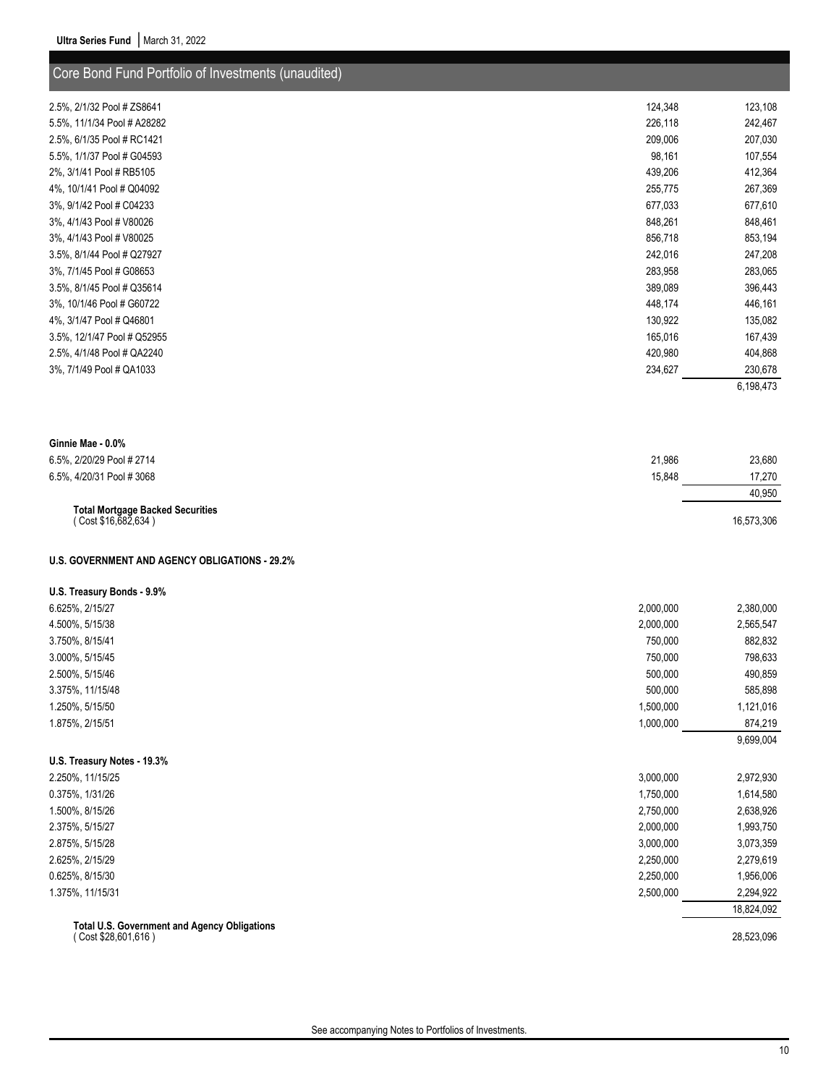| Core Bond Fund Portfolio of Investments (unaudited) |         |           |
|-----------------------------------------------------|---------|-----------|
| 2.5%, 2/1/32 Pool # ZS8641                          | 124,348 | 123,108   |
| 5.5%, 11/1/34 Pool # A28282                         | 226,118 | 242,467   |
| 2.5%, 6/1/35 Pool # RC1421                          | 209,006 | 207,030   |
| 5.5%, 1/1/37 Pool # G04593                          | 98,161  | 107,554   |
| 2%, 3/1/41 Pool # RB5105                            | 439,206 | 412,364   |
| 4%, 10/1/41 Pool # Q04092                           | 255,775 | 267,369   |
| 3%, 9/1/42 Pool # C04233                            | 677,033 | 677,610   |
| 3%, 4/1/43 Pool # V80026                            | 848,261 | 848,461   |
| 3%, 4/1/43 Pool # V80025                            | 856,718 | 853,194   |
| 3.5%, 8/1/44 Pool # Q27927                          | 242,016 | 247,208   |
| 3%, 7/1/45 Pool # G08653                            | 283,958 | 283,065   |
| 3.5%, 8/1/45 Pool # Q35614                          | 389,089 | 396,443   |
| 3%, 10/1/46 Pool # G60722                           | 448,174 | 446,161   |
| 4%, 3/1/47 Pool # Q46801                            | 130,922 | 135,082   |
| 3.5%, 12/1/47 Pool # Q52955                         | 165,016 | 167,439   |
| 2.5%, 4/1/48 Pool # QA2240                          | 420,980 | 404,868   |
| 3%, 7/1/49 Pool # QA1033                            | 234,627 | 230,678   |
|                                                     |         | 6,198,473 |

| Ginnie Mae - 0.0%                                              |        |            |
|----------------------------------------------------------------|--------|------------|
| 6.5%, 2/20/29 Pool # 2714                                      | 21.986 | 23.680     |
| 6.5%, 4/20/31 Pool #3068                                       | 15.848 | 17.270     |
|                                                                |        | 40.950     |
| <b>Total Mortgage Backed Securities</b><br>(Cost \$16,682,634) |        | 16,573,306 |

### **U.S. GOVERNMENT AND AGENCY OBLIGATIONS - 29.2%**

#### **U.S. Treasury Bonds - 9.9%**

| 6.625%, 2/15/27                                                           | 2,000,000 | 2,380,000  |
|---------------------------------------------------------------------------|-----------|------------|
| 4.500%, 5/15/38                                                           | 2,000,000 | 2,565,547  |
| 3.750%, 8/15/41                                                           | 750,000   | 882,832    |
| 3.000%, 5/15/45                                                           | 750,000   | 798,633    |
| 2.500%, 5/15/46                                                           | 500,000   | 490,859    |
| 3.375%, 11/15/48                                                          | 500,000   | 585,898    |
| 1.250%, 5/15/50                                                           | 1,500,000 | 1,121,016  |
| 1.875%, 2/15/51                                                           | 1,000,000 | 874,219    |
|                                                                           |           | 9,699,004  |
| U.S. Treasury Notes - 19.3%                                               |           |            |
| 2.250%, 11/15/25                                                          | 3,000,000 | 2,972,930  |
| 0.375%, 1/31/26                                                           | 1,750,000 | 1,614,580  |
| 1.500%, 8/15/26                                                           | 2,750,000 | 2,638,926  |
| 2.375%, 5/15/27                                                           | 2,000,000 | 1,993,750  |
| 2.875%, 5/15/28                                                           | 3,000,000 | 3,073,359  |
| 2.625%, 2/15/29                                                           | 2,250,000 | 2,279,619  |
| 0.625%, 8/15/30                                                           | 2,250,000 | 1,956,006  |
| 1.375%, 11/15/31                                                          | 2,500,000 | 2,294,922  |
|                                                                           |           | 18,824,092 |
| <b>Total U.S. Government and Agency Obligations</b><br>Cost \$28,601,616) |           | 28,523,096 |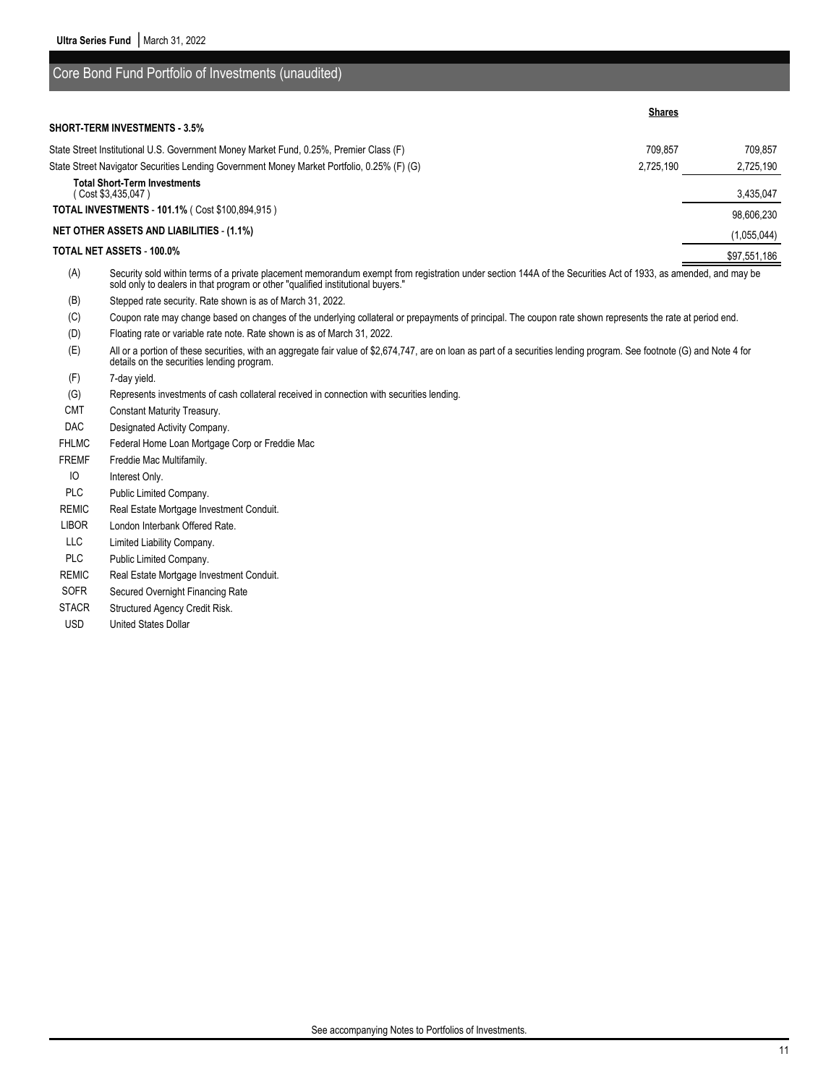sold only to dealers in that program or other "qualified institutional buyers."

(G) Represents investments of cash collateral received in connection with securities lending.

(B) Stepped rate security. Rate shown is as of March 31, 2022.

Core Bond Fund Portfolio of Investments (unaudited)

details on the securities lending program.

FHLMC Federal Home Loan Mortgage Corp or Freddie Mac

REMIC Real Estate Mortgage Investment Conduit. LIBOR London Interbank Offered Rate. LLC Limited Liability Company. PLC Public Limited Company.

REMIC Real Estate Mortgage Investment Conduit. SOFR Secured Overnight Financing Rate STACR Structured Agency Credit Risk. USD United States Dollar

(F) 7-day yield.

CMT Constant Maturity Treasury. DAC Designated Activity Company.

FREMF Freddie Mac Multifamily. IO Interest Only.

PLC Public Limited Company.

(D) Floating rate or variable rate note. Rate shown is as of March 31, 2022.

|     | <b>OUTC</b> DUTU F UITU F UITIUITU UF IITVUSTITUM (UITUUGILUU)                                                                                                 |               |              |
|-----|----------------------------------------------------------------------------------------------------------------------------------------------------------------|---------------|--------------|
|     | <b>SHORT-TERM INVESTMENTS - 3.5%</b>                                                                                                                           | <b>Shares</b> |              |
|     |                                                                                                                                                                |               |              |
|     | State Street Institutional U.S. Government Money Market Fund, 0.25%, Premier Class (F)                                                                         | 709.857       | 709.857      |
|     | State Street Navigator Securities Lending Government Money Market Portfolio, 0.25% (F) (G)                                                                     | 2,725,190     | 2,725,190    |
|     | <b>Total Short-Term Investments</b><br>(Cost \$3,435,047)                                                                                                      |               | 3,435,047    |
|     | <b>TOTAL INVESTMENTS - 101.1% (Cost \$100.894.915)</b>                                                                                                         |               | 98,606,230   |
|     | <b>NET OTHER ASSETS AND LIABILITIES - (1.1%)</b>                                                                                                               |               | (1,055,044)  |
|     | TOTAL NET ASSETS - 100.0%                                                                                                                                      |               | \$97,551,186 |
| (A) | Security sold within terms of a private placement memorandum exempt from registration under section 144A of the Securities Act of 1933, as amended, and may be |               |              |

(C) Coupon rate may change based on changes of the underlying collateral or prepayments of principal. The coupon rate shown represents the rate at period end.

(E) All or a portion of these securities, with an aggregate fair value of \$2,674,747, are on loan as part of a securities lending program. See footnote (G) and Note 4 for

See accompanying Notes to Portfolios of Investments.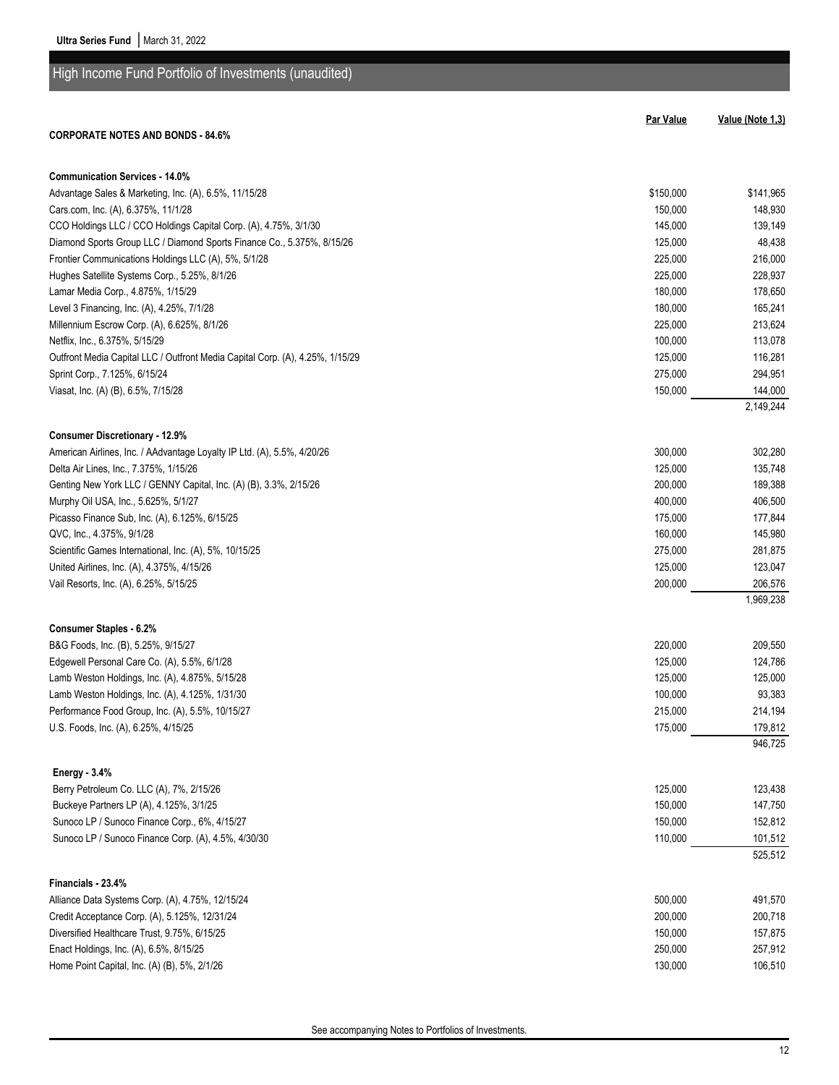| High Income Fund Portfolio of Investments (unaudited)                         |           |                  |
|-------------------------------------------------------------------------------|-----------|------------------|
|                                                                               |           |                  |
|                                                                               | Par Value | Value (Note 1,3) |
| <b>CORPORATE NOTES AND BONDS - 84.6%</b>                                      |           |                  |
| <b>Communication Services - 14.0%</b>                                         |           |                  |
| Advantage Sales & Marketing, Inc. (A), 6.5%, 11/15/28                         | \$150,000 | \$141,965        |
| Cars.com, Inc. (A), 6.375%, 11/1/28                                           | 150,000   | 148,930          |
| CCO Holdings LLC / CCO Holdings Capital Corp. (A), 4.75%, 3/1/30              | 145,000   | 139,149          |
| Diamond Sports Group LLC / Diamond Sports Finance Co., 5.375%, 8/15/26        | 125,000   | 48,438           |
| Frontier Communications Holdings LLC (A), 5%, 5/1/28                          | 225,000   | 216,000          |
| Hughes Satellite Systems Corp., 5.25%, 8/1/26                                 | 225,000   | 228,937          |
| Lamar Media Corp., 4.875%, 1/15/29                                            | 180,000   | 178,650          |
| Level 3 Financing, Inc. (A), 4.25%, 7/1/28                                    | 180,000   | 165,241          |
| Millennium Escrow Corp. (A), 6.625%, 8/1/26                                   | 225,000   | 213,624          |
| Netflix, Inc., 6.375%, 5/15/29                                                | 100,000   | 113,078          |
| Outfront Media Capital LLC / Outfront Media Capital Corp. (A), 4.25%, 1/15/29 | 125,000   | 116,281          |
| Sprint Corp., 7.125%, 6/15/24                                                 | 275,000   | 294,951          |
| Viasat, Inc. (A) (B), 6.5%, 7/15/28                                           | 150,000   | 144,000          |
|                                                                               |           | 2,149,244        |
| <b>Consumer Discretionary - 12.9%</b>                                         |           |                  |
| American Airlines, Inc. / AAdvantage Loyalty IP Ltd. (A), 5.5%, 4/20/26       | 300,000   | 302,280          |
| Delta Air Lines, Inc., 7.375%, 1/15/26                                        | 125,000   | 135,748          |
| Genting New York LLC / GENNY Capital, Inc. (A) (B), 3.3%, 2/15/26             | 200,000   | 189,388          |
| Murphy Oil USA, Inc., 5.625%, 5/1/27                                          | 400,000   | 406,500          |
| Picasso Finance Sub, Inc. (A), 6.125%, 6/15/25                                | 175,000   | 177,844          |
| QVC, Inc., 4.375%, 9/1/28                                                     | 160,000   | 145,980          |
| Scientific Games International, Inc. (A), 5%, 10/15/25                        | 275,000   | 281,875          |
| United Airlines, Inc. (A), 4.375%, 4/15/26                                    | 125,000   | 123,047          |
| Vail Resorts, Inc. (A), 6.25%, 5/15/25                                        | 200,000   | 206,576          |
|                                                                               |           | 1,969,238        |
| <b>Consumer Staples - 6.2%</b>                                                |           |                  |
| B&G Foods, Inc. (B), 5.25%, 9/15/27                                           | 220,000   | 209,550          |
| Edgewell Personal Care Co. (A), 5.5%, 6/1/28                                  | 125,000   | 124,786          |
| Lamb Weston Holdings, Inc. (A), 4.875%, 5/15/28                               | 125,000   | 125,000          |
| Lamb Weston Holdings, Inc. (A), 4.125%, 1/31/30                               | 100,000   | 93,383           |
| Performance Food Group, Inc. (A), 5.5%, 10/15/27                              | 215,000   | 214,194          |
| U.S. Foods, Inc. (A), 6.25%, 4/15/25                                          | 175,000   | 179,812          |
|                                                                               |           | 946,725          |
| <b>Energy - 3.4%</b>                                                          |           |                  |
| Berry Petroleum Co. LLC (A), 7%, 2/15/26                                      | 125,000   | 123,438          |
| Buckeye Partners LP (A), 4.125%, 3/1/25                                       | 150,000   | 147,750          |
| Sunoco LP / Sunoco Finance Corp., 6%, 4/15/27                                 | 150,000   | 152,812          |
| Sunoco LP / Sunoco Finance Corp. (A), 4.5%, 4/30/30                           | 110,000   | 101,512          |
|                                                                               |           | 525,512          |
| Financials - 23.4%                                                            |           |                  |
| Alliance Data Systems Corp. (A), 4.75%, 12/15/24                              | 500,000   | 491,570          |
| Credit Acceptance Corp. (A), 5.125%, 12/31/24                                 | 200,000   | 200,718          |
| Diversified Healthcare Trust, 9.75%, 6/15/25                                  | 150,000   | 157,875          |
| Enact Holdings, Inc. (A), 6.5%, 8/15/25                                       | 250,000   | 257,912          |

Home Point Capital, Inc. (A) (B), 5%, 2/1/26 130,000 130,000 130,000 130,000 130,000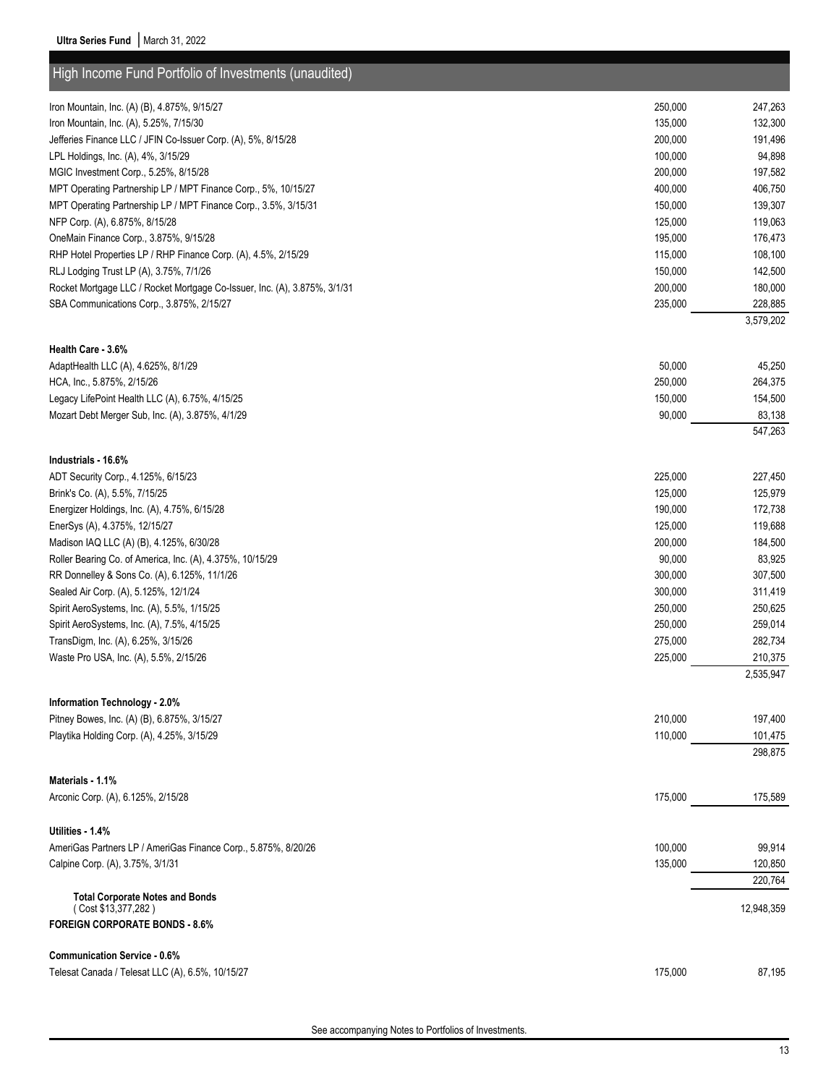| High Income Fund Portfolio of Investments (unaudited)                     |         |                    |
|---------------------------------------------------------------------------|---------|--------------------|
| Iron Mountain, Inc. (A) (B), 4.875%, 9/15/27                              | 250,000 | 247,263            |
| Iron Mountain, Inc. (A), 5.25%, 7/15/30                                   | 135,000 | 132,300            |
| Jefferies Finance LLC / JFIN Co-Issuer Corp. (A), 5%, 8/15/28             | 200,000 | 191,496            |
| LPL Holdings, Inc. (A), 4%, 3/15/29                                       | 100,000 | 94,898             |
| MGIC Investment Corp., 5.25%, 8/15/28                                     | 200,000 | 197,582            |
| MPT Operating Partnership LP / MPT Finance Corp., 5%, 10/15/27            | 400,000 | 406,750            |
| MPT Operating Partnership LP / MPT Finance Corp., 3.5%, 3/15/31           | 150,000 | 139,307            |
| NFP Corp. (A), 6.875%, 8/15/28                                            | 125,000 | 119,063            |
| OneMain Finance Corp., 3.875%, 9/15/28                                    | 195,000 | 176,473            |
| RHP Hotel Properties LP / RHP Finance Corp. (A), 4.5%, 2/15/29            | 115,000 | 108,100            |
| RLJ Lodging Trust LP (A), 3.75%, 7/1/26                                   | 150,000 | 142,500            |
| Rocket Mortgage LLC / Rocket Mortgage Co-Issuer, Inc. (A), 3.875%, 3/1/31 | 200,000 | 180,000            |
| SBA Communications Corp., 3.875%, 2/15/27                                 | 235,000 | 228,885            |
|                                                                           |         | 3,579,202          |
| <b>Health Care - 3.6%</b>                                                 |         |                    |
| AdaptHealth LLC (A), 4.625%, 8/1/29                                       | 50,000  | 45,250             |
| HCA, Inc., 5.875%, 2/15/26                                                | 250,000 | 264,375            |
| Legacy LifePoint Health LLC (A), 6.75%, 4/15/25                           | 150,000 | 154,500            |
| Mozart Debt Merger Sub, Inc. (A), 3.875%, 4/1/29                          | 90,000  | 83,138<br>547,263  |
|                                                                           |         |                    |
| Industrials - 16.6%                                                       |         |                    |
| ADT Security Corp., 4.125%, 6/15/23                                       | 225,000 | 227,450            |
| Brink's Co. (A), 5.5%, 7/15/25                                            | 125,000 | 125,979            |
| Energizer Holdings, Inc. (A), 4.75%, 6/15/28                              | 190,000 | 172,738            |
| EnerSys (A), 4.375%, 12/15/27                                             | 125,000 | 119,688            |
| Madison IAQ LLC (A) (B), 4.125%, 6/30/28                                  | 200,000 | 184,500            |
| Roller Bearing Co. of America, Inc. (A), 4.375%, 10/15/29                 | 90,000  | 83,925             |
| RR Donnelley & Sons Co. (A), 6.125%, 11/1/26                              | 300,000 | 307,500            |
| Sealed Air Corp. (A), 5.125%, 12/1/24                                     | 300,000 | 311,419            |
| Spirit AeroSystems, Inc. (A), 5.5%, 1/15/25                               | 250,000 | 250,625            |
| Spirit AeroSystems, Inc. (A), 7.5%, 4/15/25                               | 250,000 | 259,014            |
| TransDigm, Inc. (A), 6.25%, 3/15/26                                       | 275,000 | 282,734            |
| Waste Pro USA, Inc. (A), 5.5%, 2/15/26                                    | 225,000 | 210,375            |
|                                                                           |         | 2,535,947          |
| Information Technology - 2.0%                                             |         |                    |
| Pitney Bowes, Inc. (A) (B), 6.875%, 3/15/27                               | 210,000 | 197,400            |
| Playtika Holding Corp. (A), 4.25%, 3/15/29                                | 110,000 | 101,475<br>298,875 |
|                                                                           |         |                    |
| Materials - 1.1%                                                          |         |                    |
| Arconic Corp. (A), 6.125%, 2/15/28                                        | 175,000 | 175,589            |
| Utilities - 1.4%                                                          |         |                    |
| AmeriGas Partners LP / AmeriGas Finance Corp., 5.875%, 8/20/26            | 100,000 | 99,914             |
| Calpine Corp. (A), 3.75%, 3/1/31                                          | 135,000 | 120,850            |
|                                                                           |         | 220,764            |
| <b>Total Corporate Notes and Bonds</b><br>(Cost \$13,377,282)             |         | 12,948,359         |
| <b>FOREIGN CORPORATE BONDS - 8.6%</b>                                     |         |                    |
| <b>Communication Service - 0.6%</b>                                       |         |                    |
| Telesat Canada / Telesat LLC (A), 6.5%, 10/15/27                          | 175,000 | 87,195             |
|                                                                           |         |                    |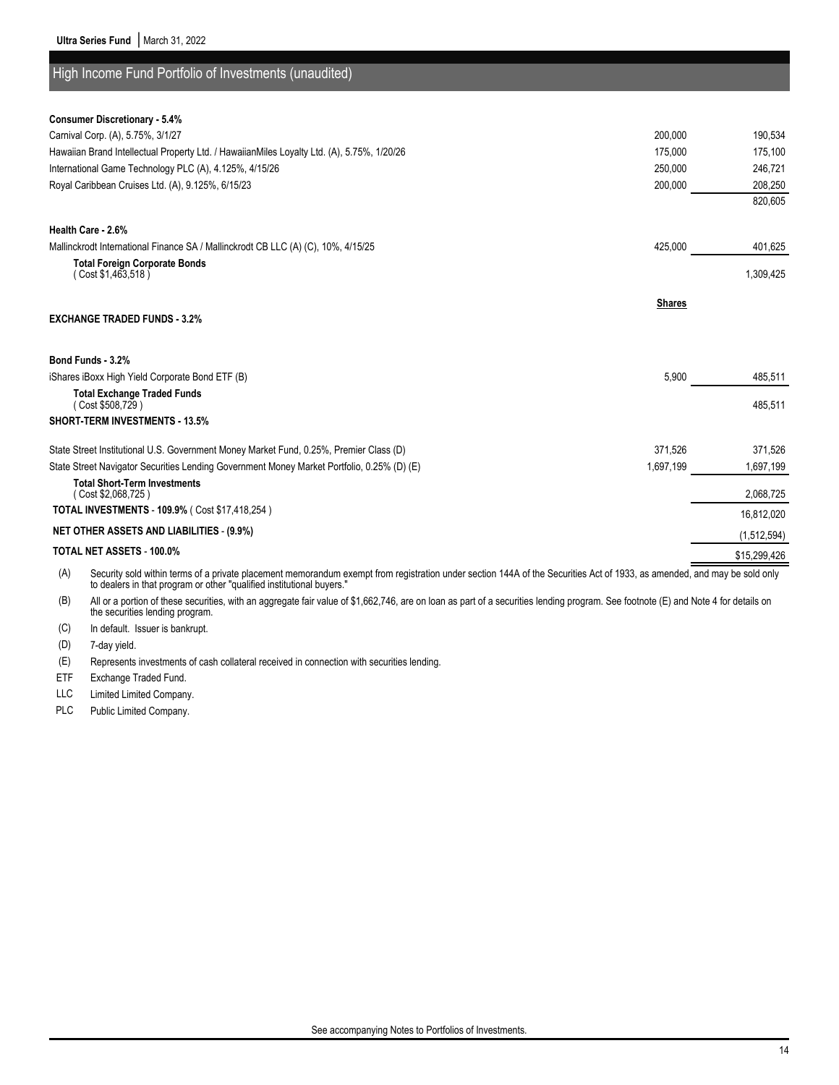High Income Fund Portfolio of Investments (unaudited)

| <b>Consumer Discretionary - 5.4%</b>                                                                                                                                            |               |              |
|---------------------------------------------------------------------------------------------------------------------------------------------------------------------------------|---------------|--------------|
| Carnival Corp. (A), 5.75%, 3/1/27                                                                                                                                               | 200,000       | 190,534      |
| Hawaiian Brand Intellectual Property Ltd. / HawaiianMiles Loyalty Ltd. (A), 5.75%, 1/20/26                                                                                      | 175,000       | 175,100      |
| International Game Technology PLC (A), 4.125%, 4/15/26                                                                                                                          | 250,000       | 246,721      |
| Royal Caribbean Cruises Ltd. (A), 9.125%, 6/15/23                                                                                                                               | 200,000       | 208,250      |
|                                                                                                                                                                                 |               | 820.605      |
| Health Care - 2.6%                                                                                                                                                              |               |              |
| Mallinckrodt International Finance SA / Mallinckrodt CB LLC (A) (C), 10%, 4/15/25                                                                                               | 425,000       | 401,625      |
| <b>Total Foreign Corporate Bonds</b><br>(Cost \$1,463,518)                                                                                                                      |               | 1,309,425    |
|                                                                                                                                                                                 |               |              |
|                                                                                                                                                                                 | <b>Shares</b> |              |
| <b>EXCHANGE TRADED FUNDS - 3.2%</b>                                                                                                                                             |               |              |
|                                                                                                                                                                                 |               |              |
| Bond Funds - 3.2%                                                                                                                                                               |               |              |
| iShares iBoxx High Yield Corporate Bond ETF (B)                                                                                                                                 | 5,900         | 485,511      |
| <b>Total Exchange Traded Funds</b><br>(Cost \$508,729)                                                                                                                          |               | 485,511      |
| <b>SHORT-TERM INVESTMENTS - 13.5%</b>                                                                                                                                           |               |              |
| State Street Institutional U.S. Government Money Market Fund, 0.25%, Premier Class (D)                                                                                          | 371,526       | 371,526      |
| State Street Navigator Securities Lending Government Money Market Portfolio, 0.25% (D) (E)                                                                                      | 1,697,199     | 1,697,199    |
| <b>Total Short-Term Investments</b><br>(Cost \$2,068,725)                                                                                                                       |               | 2,068,725    |
| TOTAL INVESTMENTS - 109.9% ( Cost \$17,418,254)                                                                                                                                 |               | 16,812,020   |
| <b>NET OTHER ASSETS AND LIABILITIES - (9.9%)</b>                                                                                                                                |               | (1,512,594)  |
| TOTAL NET ASSETS - 100.0%                                                                                                                                                       |               | \$15,299,426 |
| Security sold within terms of a private placement memorandum exempt from registration under section 144A of the Securities Act of 1933, as amended, and may be sold only<br>(A) |               |              |

to dealers in that program or other "qualified institutional buyers."

(B) All or a portion of these securities, with an aggregate fair value of \$1,662,746, are on loan as part of a securities lending program. See footnote (E) and Note 4 for details on the securities lending program.

(C) In default. Issuer is bankrupt.

(D) 7-day yield.

(E) Represents investments of cash collateral received in connection with securities lending.

ETF Exchange Traded Fund.

LLC Limited Limited Company.

PLC Public Limited Company.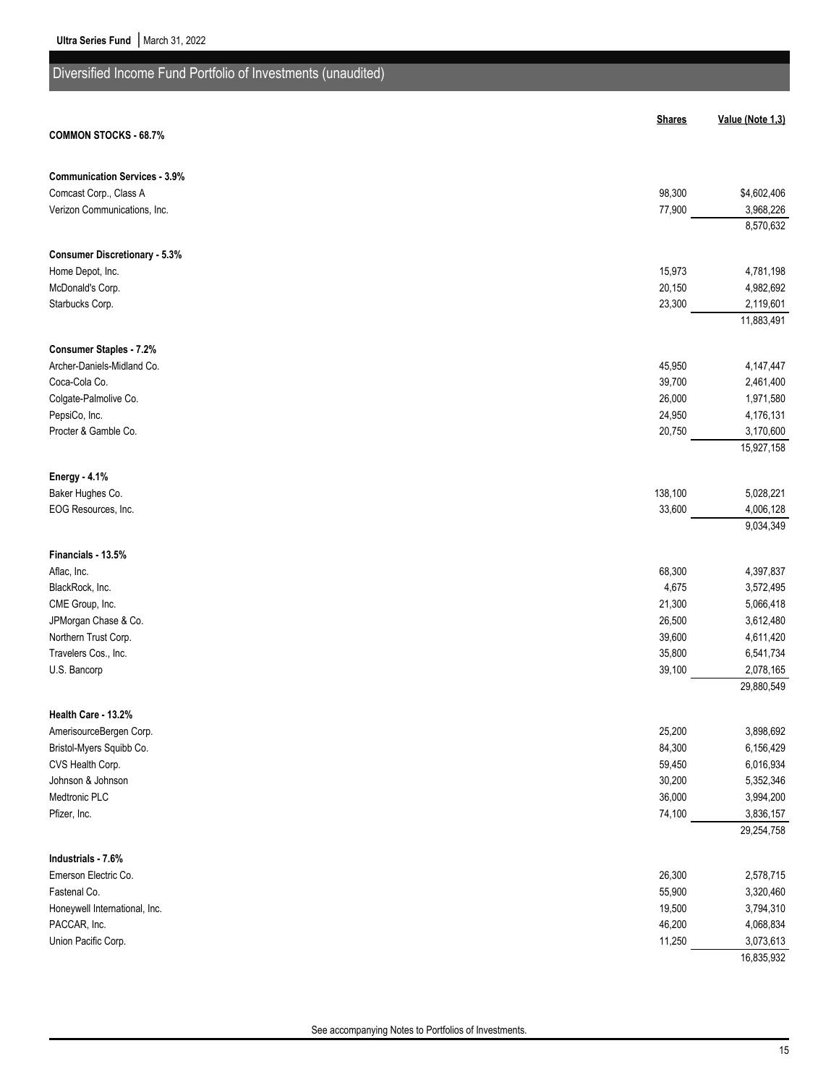| Diversified Income Fund Portfolio of Investments (unaudited) |                  |                        |
|--------------------------------------------------------------|------------------|------------------------|
|                                                              |                  |                        |
| <b>COMMON STOCKS - 68.7%</b>                                 | <b>Shares</b>    | Value (Note 1,3)       |
|                                                              |                  |                        |
| <b>Communication Services - 3.9%</b>                         |                  |                        |
| Comcast Corp., Class A                                       | 98,300           | \$4,602,406            |
| Verizon Communications, Inc.                                 | 77,900           | 3,968,226              |
|                                                              |                  | 8,570,632              |
| <b>Consumer Discretionary - 5.3%</b>                         |                  |                        |
| Home Depot, Inc.                                             | 15,973           | 4,781,198              |
| McDonald's Corp.                                             | 20,150           | 4,982,692              |
| Starbucks Corp.                                              | 23,300           | 2,119,601              |
|                                                              |                  | 11,883,491             |
| Consumer Staples - 7.2%                                      |                  |                        |
| Archer-Daniels-Midland Co.                                   | 45,950           | 4,147,447              |
| Coca-Cola Co.                                                | 39,700           | 2,461,400              |
| Colgate-Palmolive Co.                                        | 26,000           | 1,971,580              |
| PepsiCo, Inc.                                                | 24,950           | 4,176,131              |
| Procter & Gamble Co.                                         | 20,750           | 3,170,600              |
|                                                              |                  | 15,927,158             |
| Energy - 4.1%                                                |                  |                        |
| Baker Hughes Co.                                             | 138,100          | 5,028,221              |
| EOG Resources, Inc.                                          | 33,600           | 4,006,128              |
|                                                              |                  | 9,034,349              |
| Financials - 13.5%                                           |                  |                        |
| Aflac, Inc.                                                  | 68,300           | 4,397,837              |
| BlackRock, Inc.                                              | 4,675            | 3,572,495              |
| CME Group, Inc.                                              | 21,300           | 5,066,418              |
| JPMorgan Chase & Co.                                         | 26,500           | 3,612,480              |
| Northern Trust Corp.                                         | 39,600           | 4,611,420              |
| Travelers Cos., Inc.                                         | 35,800           | 6,541,734              |
| U.S. Bancorp                                                 | 39,100           | 2,078,165              |
|                                                              |                  | 29,880,549             |
| Health Care - 13.2%                                          |                  |                        |
| AmerisourceBergen Corp.                                      | 25,200           | 3,898,692              |
| Bristol-Myers Squibb Co.                                     | 84,300           | 6,156,429              |
| CVS Health Corp.                                             | 59,450           | 6,016,934              |
| Johnson & Johnson<br>Medtronic PLC                           | 30,200<br>36,000 | 5,352,346              |
| Pfizer, Inc.                                                 | 74,100           | 3,994,200<br>3,836,157 |
|                                                              |                  | 29,254,758             |
|                                                              |                  |                        |
| Industrials - 7.6%<br>Emerson Electric Co.                   | 26,300           | 2,578,715              |
| Fastenal Co.                                                 | 55,900           | 3,320,460              |
| Honeywell International, Inc.                                | 19,500           | 3,794,310              |
| PACCAR, Inc.                                                 | 46,200           | 4,068,834              |
| Union Pacific Corp.                                          | 11,250           | 3,073,613              |
|                                                              |                  | 16,835,932             |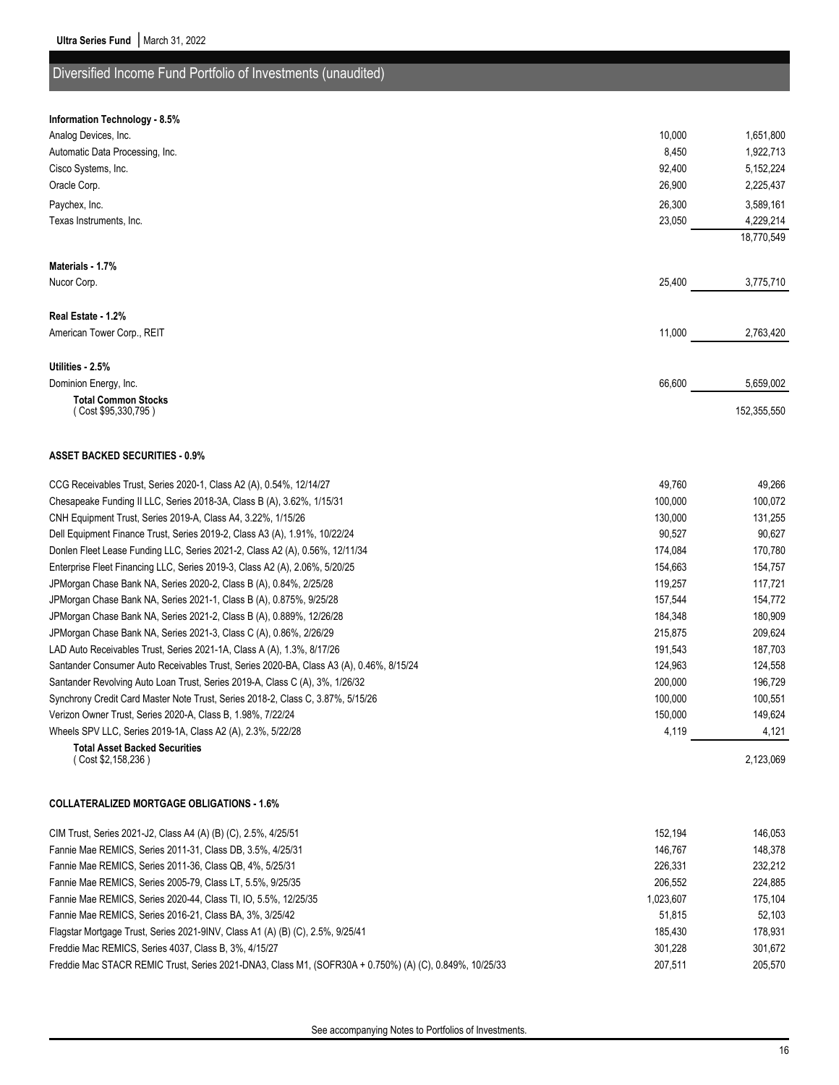### Diversified Income Fund Portfolio of Investments (unaudited)

#### **Information Technology - 8.5%**

| Analog Devices, Inc.                                                                    | 10,000  | 1,651,800   |
|-----------------------------------------------------------------------------------------|---------|-------------|
| Automatic Data Processing, Inc.                                                         | 8,450   | 1,922,713   |
| Cisco Systems, Inc.                                                                     | 92,400  | 5,152,224   |
| Oracle Corp.                                                                            | 26,900  | 2,225,437   |
| Paychex, Inc.                                                                           | 26,300  | 3,589,161   |
| Texas Instruments, Inc.                                                                 | 23,050  | 4,229,214   |
|                                                                                         |         | 18,770,549  |
| Materials - 1.7%                                                                        |         |             |
| Nucor Corp.                                                                             | 25,400  | 3,775,710   |
|                                                                                         |         |             |
| Real Estate - 1.2%                                                                      |         |             |
| American Tower Corp., REIT                                                              | 11,000  | 2,763,420   |
|                                                                                         |         |             |
| Utilities - 2.5%                                                                        |         |             |
| Dominion Energy, Inc.                                                                   | 66,600  | 5,659,002   |
| <b>Total Common Stocks</b><br>( Cost \$95,330,795 )                                     |         | 152,355,550 |
|                                                                                         |         |             |
| <b>ASSET BACKED SECURITIES - 0.9%</b>                                                   |         |             |
| CCG Receivables Trust, Series 2020-1, Class A2 (A), 0.54%, 12/14/27                     | 49,760  | 49,266      |
| Chesapeake Funding II LLC, Series 2018-3A, Class B (A), 3.62%, 1/15/31                  | 100,000 | 100,072     |
| CNH Equipment Trust, Series 2019-A, Class A4, 3.22%, 1/15/26                            | 130,000 | 131,255     |
| Dell Equipment Finance Trust, Series 2019-2, Class A3 (A), 1.91%, 10/22/24              | 90,527  | 90,627      |
| Donlen Fleet Lease Funding LLC, Series 2021-2, Class A2 (A), 0.56%, 12/11/34            | 174,084 | 170,780     |
| Enterprise Fleet Financing LLC, Series 2019-3, Class A2 (A), 2.06%, 5/20/25             | 154,663 | 154,757     |
| JPMorgan Chase Bank NA, Series 2020-2, Class B (A), 0.84%, 2/25/28                      | 119,257 | 117,721     |
| JPMorgan Chase Bank NA, Series 2021-1, Class B (A), 0.875%, 9/25/28                     | 157,544 | 154,772     |
| JPMorgan Chase Bank NA, Series 2021-2, Class B (A), 0.889%, 12/26/28                    | 184,348 | 180,909     |
| JPMorgan Chase Bank NA, Series 2021-3, Class C (A), 0.86%, 2/26/29                      | 215,875 | 209,624     |
| LAD Auto Receivables Trust, Series 2021-1A, Class A (A), 1.3%, 8/17/26                  | 191,543 | 187,703     |
| Santander Consumer Auto Receivables Trust, Series 2020-BA, Class A3 (A), 0.46%, 8/15/24 | 124,963 | 124,558     |
| Santander Revolving Auto Loan Trust, Series 2019-A, Class C (A), 3%, 1/26/32            | 200,000 | 196,729     |
| Synchrony Credit Card Master Note Trust, Series 2018-2, Class C, 3.87%, 5/15/26         | 100,000 | 100,551     |
| Verizon Owner Trust, Series 2020-A, Class B, 1.98%, 7/22/24                             | 150,000 | 149,624     |
| Wheels SPV LLC, Series 2019-1A, Class A2 (A), 2.3%, 5/22/28                             | 4,119   | 4,121       |
| <b>Total Asset Backed Securities</b><br>(Cost \$2,158,236)                              |         | 2,123,069   |

#### **COLLATERALIZED MORTGAGE OBLIGATIONS - 1.6%**

| CIM Trust, Series 2021-J2, Class A4 (A) (B) (C), 2.5%, 4/25/51                                          | 152.194   | 146.053 |
|---------------------------------------------------------------------------------------------------------|-----------|---------|
| Fannie Mae REMICS, Series 2011-31, Class DB, 3.5%, 4/25/31                                              | 146.767   | 148.378 |
| Fannie Mae REMICS, Series 2011-36, Class QB, 4%, 5/25/31                                                | 226.331   | 232.212 |
| Fannie Mae REMICS, Series 2005-79, Class LT, 5.5%, 9/25/35                                              | 206.552   | 224.885 |
| Fannie Mae REMICS, Series 2020-44, Class TI, IO, 5.5%, 12/25/35                                         | 1.023.607 | 175.104 |
| Fannie Mae REMICS, Series 2016-21, Class BA, 3%, 3/25/42                                                | 51.815    | 52.103  |
| Flagstar Mortgage Trust, Series 2021-9INV, Class A1 (A) (B) (C), 2.5%, 9/25/41                          | 185.430   | 178.931 |
| Freddie Mac REMICS, Series 4037, Class B, 3%, 4/15/27                                                   | 301.228   | 301.672 |
| Freddie Mac STACR REMIC Trust, Series 2021-DNA3, Class M1, (SOFR30A + 0.750%) (A) (C), 0.849%, 10/25/33 | 207.511   | 205.570 |
|                                                                                                         |           |         |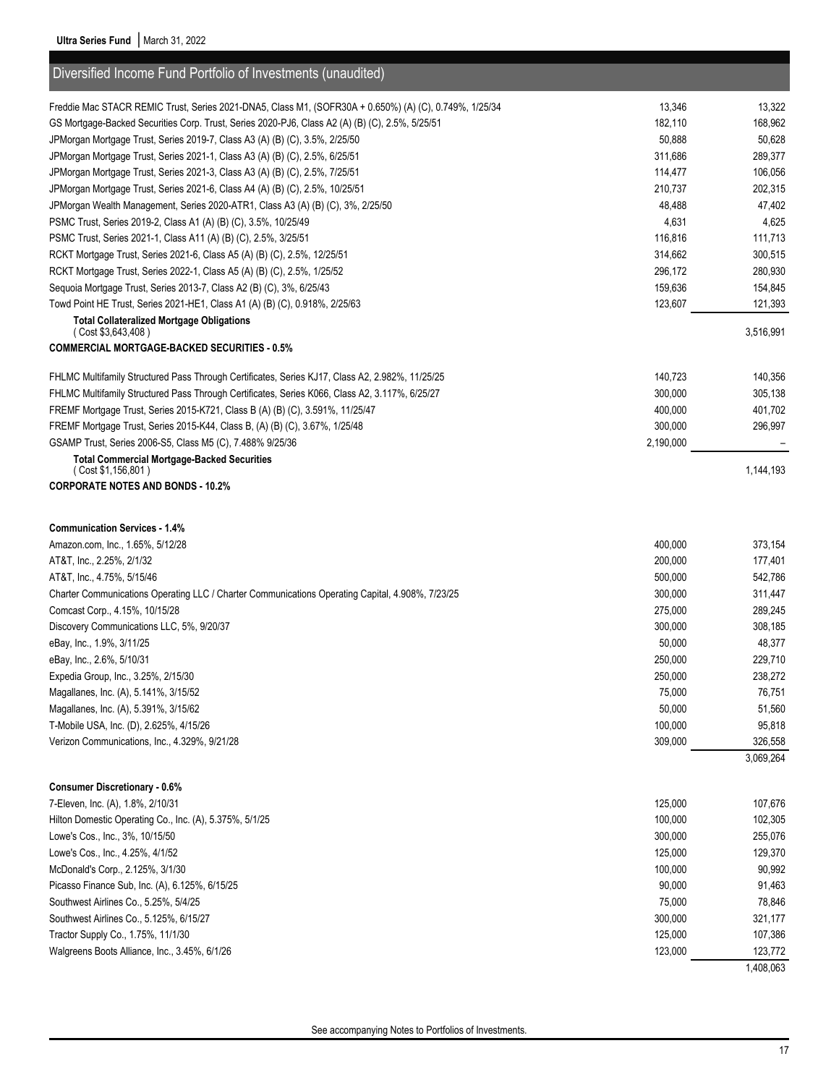| Diversified Income Fund Portfolio of Investments (unaudited)                                           |           |           |
|--------------------------------------------------------------------------------------------------------|-----------|-----------|
| Freddie Mac STACR REMIC Trust, Series 2021-DNA5, Class M1, (SOFR30A + 0.650%) (A) (C), 0.749%, 1/25/34 | 13,346    | 13,322    |
| GS Mortgage-Backed Securities Corp. Trust, Series 2020-PJ6, Class A2 (A) (B) (C), 2.5%, 5/25/51        | 182,110   | 168,962   |
| JPMorgan Mortgage Trust, Series 2019-7, Class A3 (A) (B) (C), 3.5%, 2/25/50                            | 50,888    | 50,628    |
| JPMorgan Mortgage Trust, Series 2021-1, Class A3 (A) (B) (C), 2.5%, 6/25/51                            | 311,686   | 289,377   |
| JPMorgan Mortgage Trust, Series 2021-3, Class A3 (A) (B) (C), 2.5%, 7/25/51                            | 114,477   | 106,056   |
| JPMorgan Mortgage Trust, Series 2021-6, Class A4 (A) (B) (C), 2.5%, 10/25/51                           | 210,737   | 202,315   |
| JPMorgan Wealth Management, Series 2020-ATR1, Class A3 (A) (B) (C), 3%, 2/25/50                        | 48,488    | 47,402    |
| PSMC Trust, Series 2019-2, Class A1 (A) (B) (C), 3.5%, 10/25/49                                        | 4,631     | 4,625     |
| PSMC Trust, Series 2021-1, Class A11 (A) (B) (C), 2.5%, 3/25/51                                        | 116,816   | 111,713   |
| RCKT Mortgage Trust, Series 2021-6, Class A5 (A) (B) (C), 2.5%, 12/25/51                               | 314,662   | 300,515   |
| RCKT Mortgage Trust, Series 2022-1, Class A5 (A) (B) (C), 2.5%, 1/25/52                                | 296,172   | 280,930   |
| Sequoia Mortgage Trust, Series 2013-7, Class A2 (B) (C), 3%, 6/25/43                                   | 159,636   | 154,845   |
| Towd Point HE Trust, Series 2021-HE1, Class A1 (A) (B) (C), 0.918%, 2/25/63                            | 123,607   | 121,393   |
| <b>Total Collateralized Mortgage Obligations</b><br>(Cost \$3,643,408)                                 |           | 3,516,991 |
| <b>COMMERCIAL MORTGAGE-BACKED SECURITIES - 0.5%</b>                                                    |           |           |
| FHLMC Multifamily Structured Pass Through Certificates, Series KJ17, Class A2, 2.982%, 11/25/25        | 140,723   | 140,356   |
| FHLMC Multifamily Structured Pass Through Certificates, Series K066, Class A2, 3.117%, 6/25/27         | 300,000   | 305,138   |
| FREMF Mortgage Trust, Series 2015-K721, Class B (A) (B) (C), 3.591%, 11/25/47                          | 400,000   | 401,702   |
| FREMF Mortgage Trust, Series 2015-K44, Class B, (A) (B) (C), 3.67%, 1/25/48                            | 300,000   | 296,997   |
| GSAMP Trust, Series 2006-S5, Class M5 (C), 7.488% 9/25/36                                              | 2,190,000 |           |
| <b>Total Commercial Mortgage-Backed Securities</b>                                                     |           |           |
| (Cost \$1,156,801)<br><b>CORPORATE NOTES AND BONDS - 10.2%</b>                                         |           | 1,144,193 |
|                                                                                                        |           |           |
| <b>Communication Services - 1.4%</b>                                                                   |           |           |
| Amazon.com, Inc., 1.65%, 5/12/28                                                                       | 400,000   | 373,154   |
| AT&T, Inc., 2.25%, 2/1/32                                                                              | 200,000   | 177,401   |
| AT&T, Inc., 4.75%, 5/15/46                                                                             | 500,000   | 542,786   |
| Charter Communications Operating LLC / Charter Communications Operating Capital, 4.908%, 7/23/25       | 300,000   | 311,447   |
| Comcast Corp., 4.15%, 10/15/28                                                                         | 275,000   | 289,245   |
| Discovery Communications LLC, 5%, 9/20/37                                                              | 300,000   | 308,185   |
| eBay, Inc., 1.9%, 3/11/25                                                                              | 50,000    | 48,377    |
| eBay, Inc., 2.6%, 5/10/31                                                                              | 250,000   | 229,710   |
| Expedia Group, Inc., 3.25%, 2/15/30                                                                    | 250,000   | 238,272   |
| Magallanes, Inc. (A), 5.141%, 3/15/52                                                                  | 75,000    | 76,751    |
| Magallanes, Inc. (A), 5.391%, 3/15/62                                                                  | 50,000    | 51,560    |
| T-Mobile USA, Inc. (D), 2.625%, 4/15/26                                                                | 100,000   | 95,818    |
| Verizon Communications, Inc., 4.329%, 9/21/28                                                          | 309,000   | 326,558   |
|                                                                                                        |           | 3,069,264 |
| <b>Consumer Discretionary - 0.6%</b>                                                                   |           |           |
| 7-Eleven, Inc. (A), 1.8%, 2/10/31                                                                      | 125,000   | 107,676   |
| Hilton Domestic Operating Co., Inc. (A), 5.375%, 5/1/25                                                | 100,000   | 102,305   |
| Lowe's Cos., Inc., 3%, 10/15/50                                                                        | 300,000   | 255,076   |
| Lowe's Cos., Inc., 4.25%, 4/1/52                                                                       | 125,000   | 129,370   |
| McDonald's Corp., 2.125%, 3/1/30                                                                       | 100,000   | 90,992    |
|                                                                                                        |           |           |
| Picasso Finance Sub, Inc. (A), 6.125%, 6/15/25                                                         | 90,000    | 91,463    |
| Southwest Airlines Co., 5.25%, 5/4/25                                                                  | 75,000    | 78,846    |
| Southwest Airlines Co., 5.125%, 6/15/27                                                                | 300,000   | 321,177   |
| Tractor Supply Co., 1.75%, 11/1/30                                                                     | 125,000   | 107,386   |
| Walgreens Boots Alliance, Inc., 3.45%, 6/1/26                                                          | 123,000   | 123,772   |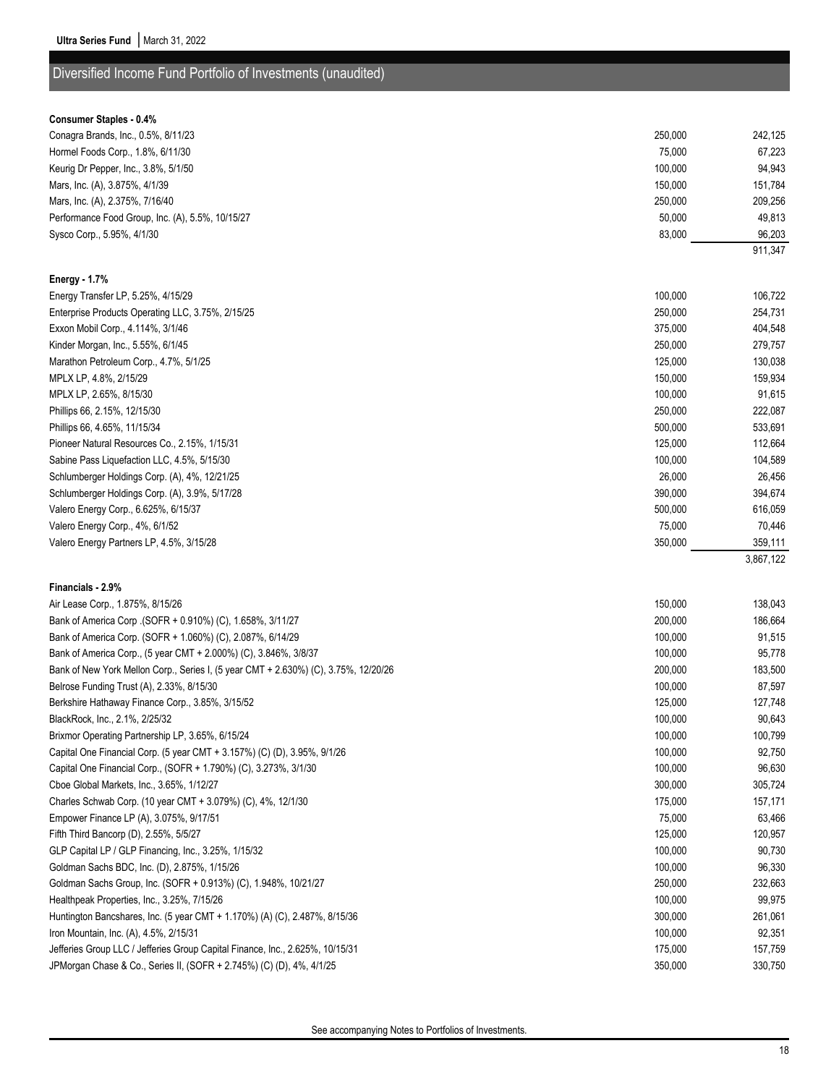### Diversified Income Fund Portfolio of Investments (unaudited)

| Conagra Brands, Inc., 0.5%, 8/11/23                                                 | 250,000 | 242,125   |
|-------------------------------------------------------------------------------------|---------|-----------|
| Hormel Foods Corp., 1.8%, 6/11/30                                                   | 75,000  | 67,223    |
| Keurig Dr Pepper, Inc., 3.8%, 5/1/50                                                | 100,000 | 94,943    |
| Mars, Inc. (A), 3.875%, 4/1/39                                                      | 150,000 | 151,784   |
| Mars, Inc. (A), 2.375%, 7/16/40                                                     | 250,000 | 209,256   |
| Performance Food Group, Inc. (A), 5.5%, 10/15/27                                    | 50,000  | 49,813    |
| Sysco Corp., 5.95%, 4/1/30                                                          | 83,000  | 96,203    |
|                                                                                     |         | 911,347   |
|                                                                                     |         |           |
| <b>Energy - 1.7%</b>                                                                |         |           |
| Energy Transfer LP, 5.25%, 4/15/29                                                  | 100,000 | 106,722   |
| Enterprise Products Operating LLC, 3.75%, 2/15/25                                   | 250,000 | 254,731   |
| Exxon Mobil Corp., 4.114%, 3/1/46                                                   | 375,000 | 404,548   |
| Kinder Morgan, Inc., 5.55%, 6/1/45                                                  | 250,000 | 279,757   |
| Marathon Petroleum Corp., 4.7%, 5/1/25                                              | 125,000 | 130,038   |
| MPLX LP, 4.8%, 2/15/29                                                              | 150,000 | 159,934   |
| MPLX LP, 2.65%, 8/15/30                                                             | 100,000 | 91,615    |
| Phillips 66, 2.15%, 12/15/30                                                        | 250,000 | 222,087   |
| Phillips 66, 4.65%, 11/15/34                                                        | 500,000 | 533,691   |
| Pioneer Natural Resources Co., 2.15%, 1/15/31                                       | 125,000 | 112,664   |
| Sabine Pass Liquefaction LLC, 4.5%, 5/15/30                                         | 100,000 | 104,589   |
| Schlumberger Holdings Corp. (A), 4%, 12/21/25                                       | 26,000  | 26,456    |
| Schlumberger Holdings Corp. (A), 3.9%, 5/17/28                                      | 390,000 | 394,674   |
| Valero Energy Corp., 6.625%, 6/15/37                                                | 500,000 | 616,059   |
| Valero Energy Corp., 4%, 6/1/52                                                     | 75,000  | 70,446    |
| Valero Energy Partners LP, 4.5%, 3/15/28                                            | 350,000 | 359,111   |
|                                                                                     |         | 3,867,122 |
| Financials - 2.9%                                                                   |         |           |
| Air Lease Corp., 1.875%, 8/15/26                                                    | 150,000 | 138,043   |
| Bank of America Corp (SOFR + 0.910%) (C), 1.658%, 3/11/27                           | 200,000 | 186,664   |
| Bank of America Corp. (SOFR + 1.060%) (C), 2.087%, 6/14/29                          | 100,000 | 91,515    |
| Bank of America Corp., (5 year CMT + 2.000%) (C), 3.846%, 3/8/37                    | 100,000 | 95,778    |
| Bank of New York Mellon Corp., Series I, (5 year CMT + 2.630%) (C), 3.75%, 12/20/26 | 200,000 | 183,500   |
| Belrose Funding Trust (A), 2.33%, 8/15/30                                           | 100,000 | 87,597    |
| Berkshire Hathaway Finance Corp., 3.85%, 3/15/52                                    | 125,000 | 127,748   |
| BlackRock, Inc., 2.1%, 2/25/32                                                      | 100,000 | 90,643    |
| Brixmor Operating Partnership LP, 3.65%, 6/15/24                                    | 100,000 | 100,799   |
| Capital One Financial Corp. (5 year CMT + 3.157%) (C) (D), 3.95%, 9/1/26            | 100,000 | 92,750    |
| Capital One Financial Corp., (SOFR + 1.790%) (C), 3.273%, 3/1/30                    | 100,000 | 96,630    |
| Cboe Global Markets, Inc., 3.65%, 1/12/27                                           | 300,000 | 305,724   |
| Charles Schwab Corp. (10 year CMT + 3.079%) (C), 4%, 12/1/30                        | 175,000 | 157,171   |
| Empower Finance LP (A), 3.075%, 9/17/51                                             | 75,000  | 63,466    |
| Fifth Third Bancorp (D), 2.55%, 5/5/27                                              | 125,000 | 120,957   |
| GLP Capital LP / GLP Financing, Inc., 3.25%, 1/15/32                                | 100,000 | 90,730    |
| Goldman Sachs BDC, Inc. (D), 2.875%, 1/15/26                                        | 100,000 | 96,330    |
| Goldman Sachs Group, Inc. (SOFR + 0.913%) (C), 1.948%, 10/21/27                     | 250,000 | 232,663   |
| Healthpeak Properties, Inc., 3.25%, 7/15/26                                         | 100,000 | 99,975    |
| Huntington Bancshares, Inc. (5 year CMT + 1.170%) (A) (C), 2.487%, 8/15/36          | 300,000 | 261,061   |
| Iron Mountain, Inc. (A), 4.5%, 2/15/31                                              | 100,000 | 92,351    |
|                                                                                     | 175,000 | 157,759   |
| Jefferies Group LLC / Jefferies Group Capital Finance, Inc., 2.625%, 10/15/31       |         |           |

JPMorgan Chase & Co., Series II, (SOFR + 2.745%) (C) (D), 4%, 4/1/25 350,000 350,000 330,750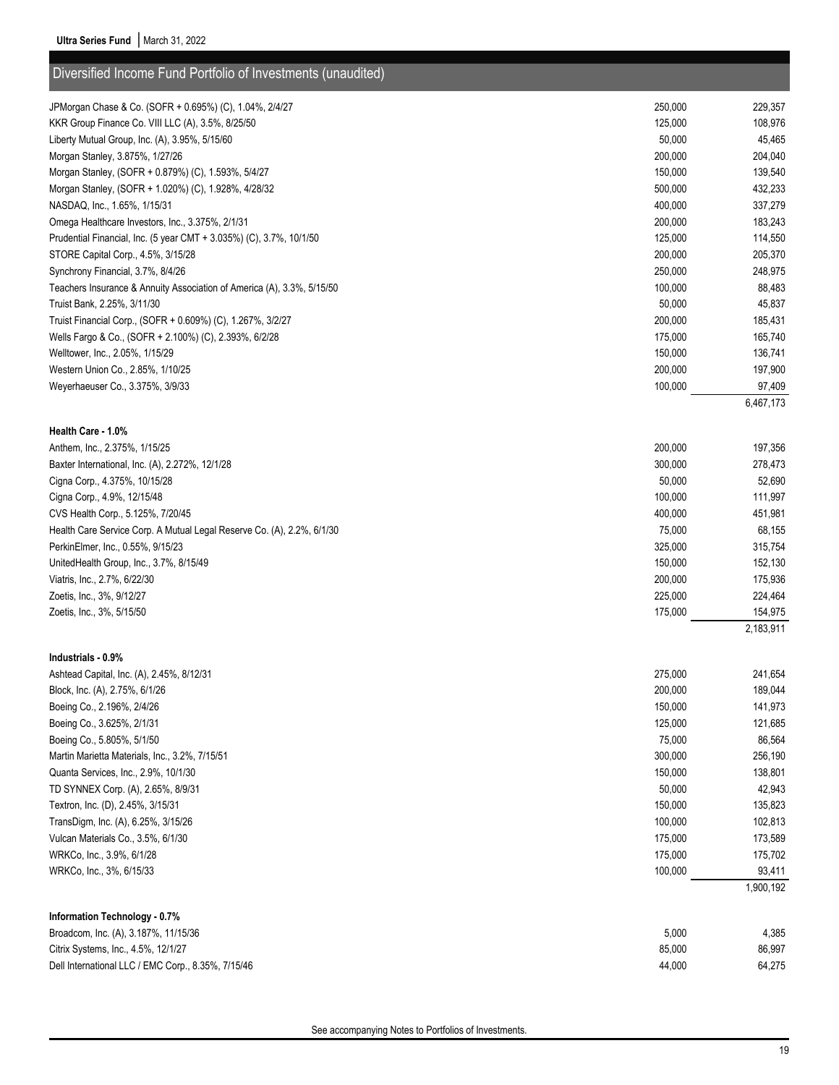| Diversified Income Fund Portfolio of Investments (unaudited)                           |                    |                   |
|----------------------------------------------------------------------------------------|--------------------|-------------------|
| JPMorgan Chase & Co. (SOFR + 0.695%) (C), 1.04%, 2/4/27                                | 250,000            | 229,357           |
| KKR Group Finance Co. VIII LLC (A), 3.5%, 8/25/50                                      | 125,000            | 108,976           |
| Liberty Mutual Group, Inc. (A), 3.95%, 5/15/60                                         | 50,000             | 45,465            |
| Morgan Stanley, 3.875%, 1/27/26                                                        | 200,000            | 204,040           |
| Morgan Stanley, (SOFR + 0.879%) (C), 1.593%, 5/4/27                                    | 150,000            | 139,540           |
| Morgan Stanley, (SOFR + 1.020%) (C), 1.928%, 4/28/32                                   | 500,000            | 432,233           |
| NASDAQ, Inc., 1.65%, 1/15/31                                                           | 400,000            | 337,279           |
| Omega Healthcare Investors, Inc., 3.375%, 2/1/31                                       | 200,000            | 183,243           |
| Prudential Financial, Inc. (5 year CMT + 3.035%) (C), 3.7%, 10/1/50                    | 125,000            | 114,550           |
| STORE Capital Corp., 4.5%, 3/15/28                                                     | 200,000            | 205,370           |
| Synchrony Financial, 3.7%, 8/4/26                                                      | 250,000            | 248,975           |
| Teachers Insurance & Annuity Association of America (A), 3.3%, 5/15/50                 | 100,000            | 88,483            |
| Truist Bank, 2.25%, 3/11/30                                                            | 50,000             | 45,837            |
| Truist Financial Corp., (SOFR + 0.609%) (C), 1.267%, 3/2/27                            | 200,000            | 185,431           |
| Wells Fargo & Co., (SOFR + 2.100%) (C), 2.393%, 6/2/28                                 | 175,000            | 165,740           |
| Welltower, Inc., 2.05%, 1/15/29                                                        | 150,000            | 136,741           |
| Western Union Co., 2.85%, 1/10/25                                                      | 200,000            | 197,900           |
| Weyerhaeuser Co., 3.375%, 3/9/33                                                       | 100,000            | 97,409            |
|                                                                                        |                    | 6,467,173         |
|                                                                                        |                    |                   |
| Health Care - 1.0%                                                                     |                    |                   |
| Anthem, Inc., 2.375%, 1/15/25                                                          | 200,000<br>300,000 | 197,356           |
| Baxter International, Inc. (A), 2.272%, 12/1/28<br>Cigna Corp., 4.375%, 10/15/28       | 50,000             | 278,473<br>52,690 |
| Cigna Corp., 4.9%, 12/15/48                                                            | 100,000            | 111,997           |
| CVS Health Corp., 5.125%, 7/20/45                                                      | 400,000            | 451,981           |
| Health Care Service Corp. A Mutual Legal Reserve Co. (A), 2.2%, 6/1/30                 | 75,000             | 68,155            |
| PerkinElmer, Inc., 0.55%, 9/15/23                                                      | 325,000            | 315,754           |
| UnitedHealth Group, Inc., 3.7%, 8/15/49                                                | 150,000            | 152,130           |
| Viatris, Inc., 2.7%, 6/22/30                                                           | 200,000            | 175,936           |
| Zoetis, Inc., 3%, 9/12/27                                                              | 225,000            | 224,464           |
| Zoetis, Inc., 3%, 5/15/50                                                              | 175,000            | 154,975           |
|                                                                                        |                    | 2,183,911         |
|                                                                                        |                    |                   |
| Industrials - 0.9%                                                                     |                    |                   |
| Ashtead Capital, Inc. (A), 2.45%, 8/12/31                                              | 275.000            | 241,654           |
| Block, Inc. (A), 2.75%, 6/1/26                                                         | 200,000            | 189,044           |
| Boeing Co., 2.196%, 2/4/26                                                             | 150,000            | 141,973           |
| Boeing Co., 3.625%, 2/1/31                                                             | 125,000            | 121,685           |
| Boeing Co., 5.805%, 5/1/50                                                             | 75,000             | 86,564            |
| Martin Marietta Materials, Inc., 3.2%, 7/15/51<br>Quanta Services, Inc., 2.9%, 10/1/30 | 300,000<br>150,000 | 256,190           |
| TD SYNNEX Corp. (A), 2.65%, 8/9/31                                                     |                    | 138,801           |
|                                                                                        | 50,000<br>150,000  | 42,943<br>135,823 |
| Textron, Inc. (D), 2.45%, 3/15/31<br>TransDigm, Inc. (A), 6.25%, 3/15/26               | 100,000            | 102,813           |
| Vulcan Materials Co., 3.5%, 6/1/30                                                     | 175,000            | 173,589           |
| WRKCo, Inc., 3.9%, 6/1/28                                                              | 175,000            | 175,702           |
| WRKCo, Inc., 3%, 6/15/33                                                               | 100,000            | 93,411            |
|                                                                                        |                    | 1,900,192         |
|                                                                                        |                    |                   |
| Information Technology - 0.7%                                                          |                    |                   |
| Broadcom, Inc. (A), 3.187%, 11/15/36                                                   | 5,000              | 4,385             |
| Citrix Systems, Inc., 4.5%, 12/1/27                                                    | 85,000             | 86,997            |
| Dell International LLC / EMC Corp., 8.35%, 7/15/46                                     | 44,000             | 64,275            |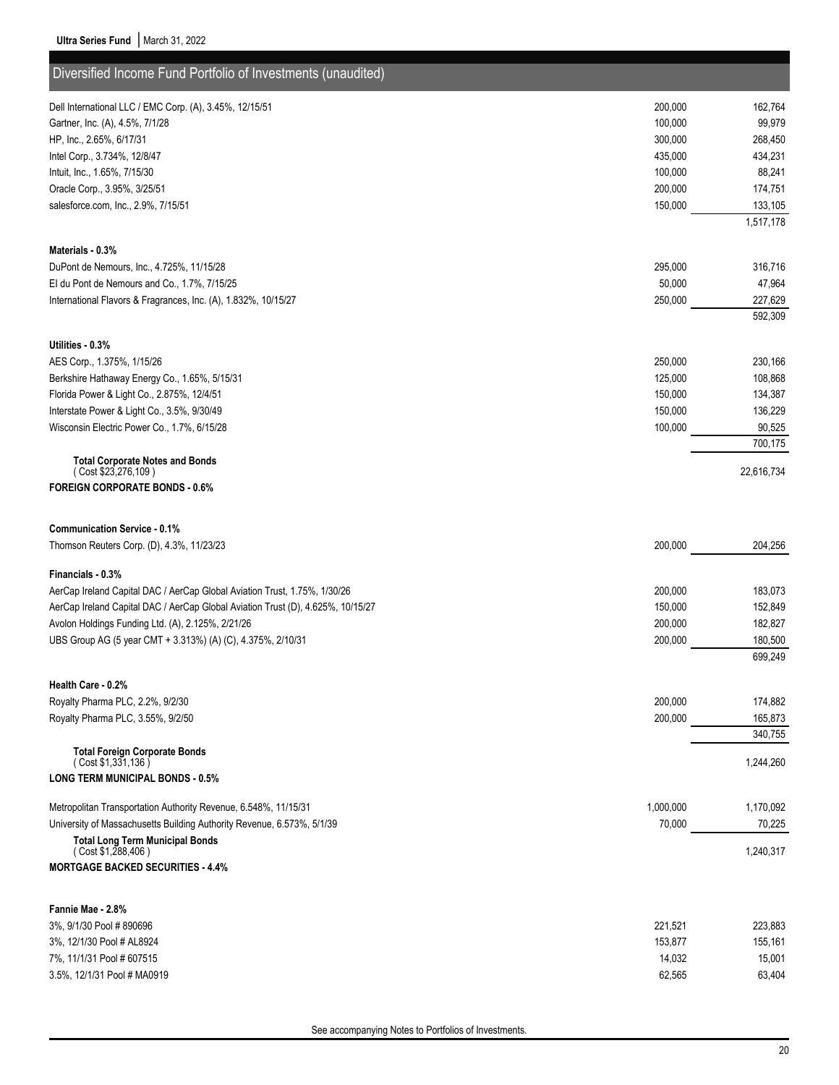| Diversified Income Fund Portfolio of Investments (unaudited)                    |           |            |
|---------------------------------------------------------------------------------|-----------|------------|
| Dell International LLC / EMC Corp. (A), 3.45%, 12/15/51                         | 200,000   | 162,764    |
| Gartner, Inc. (A), 4.5%, 7/1/28                                                 | 100,000   | 99,979     |
| HP, Inc., 2.65%, 6/17/31                                                        | 300,000   | 268,450    |
| Intel Corp., 3.734%, 12/8/47                                                    | 435,000   | 434,231    |
| Intuit, Inc., 1.65%, 7/15/30                                                    | 100,000   | 88,241     |
| Oracle Corp., 3.95%, 3/25/51                                                    | 200,000   | 174,751    |
| salesforce.com, Inc., 2.9%, 7/15/51                                             | 150,000   | 133,105    |
|                                                                                 |           | 1,517,178  |
| Materials - 0.3%                                                                |           |            |
| DuPont de Nemours, Inc., 4.725%, 11/15/28                                       | 295,000   | 316,716    |
| El du Pont de Nemours and Co., 1.7%, 7/15/25                                    | 50,000    | 47,964     |
| International Flavors & Fragrances, Inc. (A), 1.832%, 10/15/27                  | 250,000   | 227,629    |
|                                                                                 |           | 592,309    |
|                                                                                 |           |            |
| Utilities - 0.3%                                                                |           |            |
| AES Corp., 1.375%, 1/15/26                                                      | 250,000   | 230,166    |
| Berkshire Hathaway Energy Co., 1.65%, 5/15/31                                   | 125,000   | 108,868    |
| Florida Power & Light Co., 2.875%, 12/4/51                                      | 150,000   | 134,387    |
| Interstate Power & Light Co., 3.5%, 9/30/49                                     | 150,000   | 136,229    |
| Wisconsin Electric Power Co., 1.7%, 6/15/28                                     | 100,000   | 90,525     |
|                                                                                 |           | 700,175    |
| <b>Total Corporate Notes and Bonds</b><br>(Cost \$23,276,109)                   |           | 22,616,734 |
| <b>FOREIGN CORPORATE BONDS - 0.6%</b>                                           |           |            |
|                                                                                 |           |            |
| <b>Communication Service - 0.1%</b>                                             |           |            |
| Thomson Reuters Corp. (D), 4.3%, 11/23/23                                       | 200,000   | 204,256    |
|                                                                                 |           |            |
| Financials - 0.3%                                                               |           |            |
| AerCap Ireland Capital DAC / AerCap Global Aviation Trust, 1.75%, 1/30/26       | 200,000   | 183,073    |
| AerCap Ireland Capital DAC / AerCap Global Aviation Trust (D), 4.625%, 10/15/27 | 150,000   | 152,849    |
| Avolon Holdings Funding Ltd. (A), 2.125%, 2/21/26                               | 200,000   | 182,827    |
| UBS Group AG (5 year CMT + 3.313%) (A) (C), 4.375%, 2/10/31                     | 200,000   | 180,500    |
|                                                                                 |           | 699,249    |
| Health Care - 0.2%                                                              |           |            |
| Royalty Pharma PLC, 2.2%, 9/2/30                                                | 200,000   | 174,882    |
| Royalty Pharma PLC, 3.55%, 9/2/50                                               | 200,000   | 165,873    |
|                                                                                 |           | 340,755    |
| <b>Total Foreign Corporate Bonds</b>                                            |           |            |
| (Cost \$1,331,136)                                                              |           | 1,244,260  |
| <b>LONG TERM MUNICIPAL BONDS - 0.5%</b>                                         |           |            |
| Metropolitan Transportation Authority Revenue, 6.548%, 11/15/31                 | 1,000,000 | 1,170,092  |
| University of Massachusetts Building Authority Revenue, 6.573%, 5/1/39          | 70,000    | 70,225     |
| <b>Total Long Term Municipal Bonds</b>                                          |           |            |
| (Cost \$1,288,406)                                                              |           | 1,240,317  |
| <b>MORTGAGE BACKED SECURITIES - 4.4%</b>                                        |           |            |
|                                                                                 |           |            |
| Fannie Mae - 2.8%                                                               |           |            |
| 3%, 9/1/30 Pool # 890696                                                        | 221,521   | 223,883    |
| 3%, 12/1/30 Pool # AL8924                                                       | 153,877   | 155,161    |
| 7%, 11/1/31 Pool # 607515                                                       | 14,032    | 15,001     |
| 3.5%, 12/1/31 Pool # MA0919                                                     | 62,565    | 63,404     |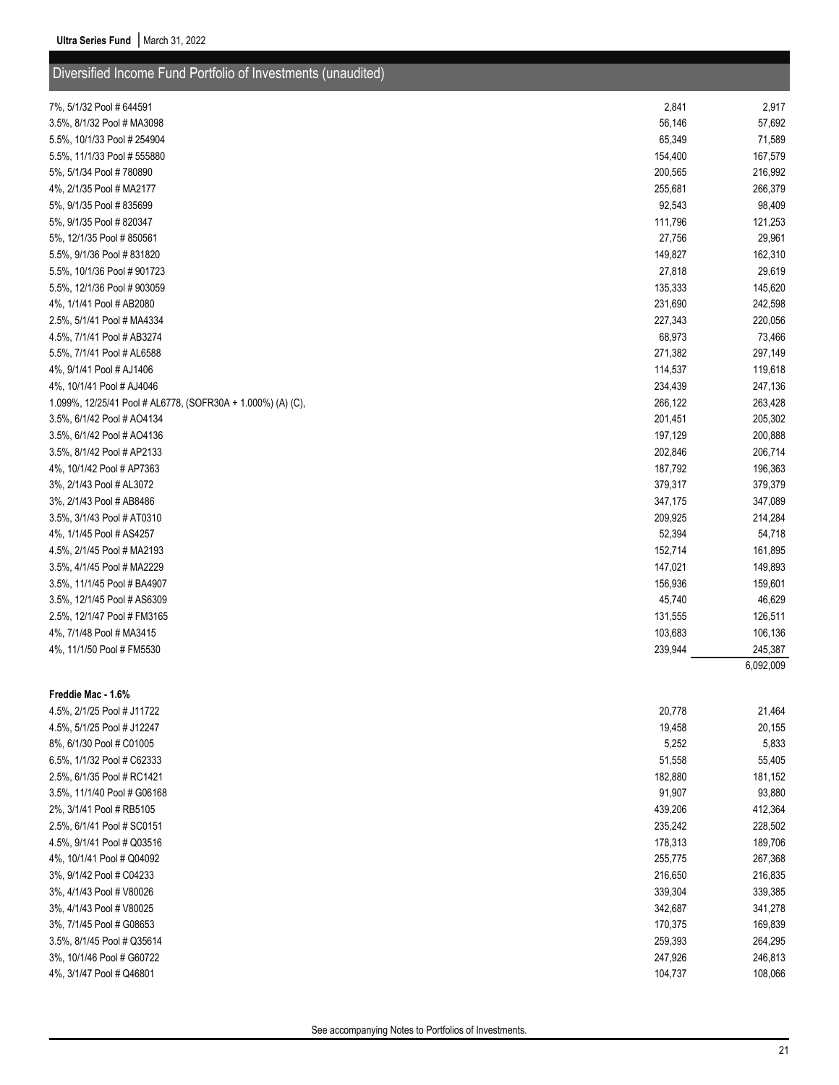| Diversified Income Fund Portfolio of Investments (unaudited) |                   |                   |
|--------------------------------------------------------------|-------------------|-------------------|
| 7%, 5/1/32 Pool # 644591                                     | 2,841             |                   |
|                                                              |                   | 2,917             |
| 3.5%, 8/1/32 Pool # MA3098                                   | 56,146            | 57,692            |
| 5.5%, 10/1/33 Pool # 254904                                  | 65,349            | 71,589            |
| 5.5%, 11/1/33 Pool # 555880                                  | 154,400           | 167,579           |
| 5%, 5/1/34 Pool # 780890                                     | 200,565           | 216,992           |
| 4%, 2/1/35 Pool # MA2177                                     | 255,681           | 266,379           |
| 5%, 9/1/35 Pool # 835699<br>5%, 9/1/35 Pool # 820347         | 92,543<br>111,796 | 98,409            |
| 5%, 12/1/35 Pool #850561                                     | 27,756            | 121,253<br>29,961 |
| 5.5%, 9/1/36 Pool #831820                                    | 149,827           | 162,310           |
| 5.5%, 10/1/36 Pool #901723                                   | 27,818            | 29,619            |
| 5.5%, 12/1/36 Pool # 903059                                  | 135,333           | 145,620           |
| 4%, 1/1/41 Pool # AB2080                                     | 231,690           | 242,598           |
| 2.5%, 5/1/41 Pool # MA4334                                   | 227,343           | 220,056           |
| 4.5%, 7/1/41 Pool # AB3274                                   | 68,973            | 73,466            |
| 5.5%, 7/1/41 Pool # AL6588                                   | 271,382           | 297,149           |
| 4%, 9/1/41 Pool # AJ1406                                     | 114,537           | 119,618           |
| 4%, 10/1/41 Pool # AJ4046                                    | 234,439           | 247,136           |
| 1.099%, 12/25/41 Pool # AL6778, (SOFR30A + 1.000%) (A) (C),  | 266,122           | 263,428           |
| 3.5%, 6/1/42 Pool # AO4134                                   | 201,451           | 205,302           |
| 3.5%, 6/1/42 Pool # AO4136                                   | 197,129           | 200,888           |
| 3.5%, 8/1/42 Pool # AP2133                                   | 202,846           | 206,714           |
| 4%, 10/1/42 Pool # AP7363                                    | 187,792           | 196,363           |
| 3%, 2/1/43 Pool # AL3072                                     | 379,317           | 379,379           |
| 3%, 2/1/43 Pool # AB8486                                     | 347,175           | 347,089           |
| 3.5%, 3/1/43 Pool # AT0310                                   | 209,925           | 214,284           |
| 4%, 1/1/45 Pool # AS4257                                     | 52,394            | 54,718            |
| 4.5%, 2/1/45 Pool # MA2193                                   | 152,714           | 161,895           |
| 3.5%, 4/1/45 Pool # MA2229                                   | 147,021           | 149,893           |
| 3.5%, 11/1/45 Pool # BA4907                                  | 156,936           | 159,601           |
| 3.5%, 12/1/45 Pool # AS6309                                  | 45,740            | 46,629            |
| 2.5%, 12/1/47 Pool # FM3165                                  | 131,555           | 126,511           |
| 4%, 7/1/48 Pool # MA3415                                     | 103,683           | 106,136           |
| 4%, 11/1/50 Pool # FM5530                                    | 239,944           | 245,387           |
|                                                              |                   | 6,092,009         |
|                                                              |                   |                   |
| Freddie Mac - 1.6%                                           |                   |                   |
| 4.5%, 2/1/25 Pool # J11722                                   | 20,778            | 21,464            |
| 4.5%, 5/1/25 Pool # J12247                                   | 19,458            | 20,155            |
| 8%, 6/1/30 Pool # C01005                                     | 5,252             | 5,833             |
| 6.5%, 1/1/32 Pool # C62333                                   | 51,558            | 55,405            |
| 2.5%, 6/1/35 Pool # RC1421                                   | 182,880           | 181,152           |
| 3.5%, 11/1/40 Pool # G06168                                  | 91,907            | 93,880            |
| 2%, 3/1/41 Pool # RB5105                                     | 439,206           | 412,364           |
| 2.5%, 6/1/41 Pool # SC0151                                   | 235,242           | 228,502           |
| 4.5%, 9/1/41 Pool # Q03516                                   | 178,313           | 189,706           |
| 4%, 10/1/41 Pool # Q04092                                    | 255,775           | 267,368           |
| 3%, 9/1/42 Pool # C04233                                     | 216,650           | 216,835           |
| 3%, 4/1/43 Pool # V80026                                     | 339,304           | 339,385           |
| 3%, 4/1/43 Pool # V80025                                     | 342,687           | 341,278           |
| 3%, 7/1/45 Pool # G08653                                     | 170,375           | 169,839           |
| 3.5%, 8/1/45 Pool # Q35614                                   | 259,393           | 264,295           |
| 3%, 10/1/46 Pool # G60722                                    | 247,926           | 246,813           |
| 4%, 3/1/47 Pool # Q46801                                     | 104,737           | 108,066           |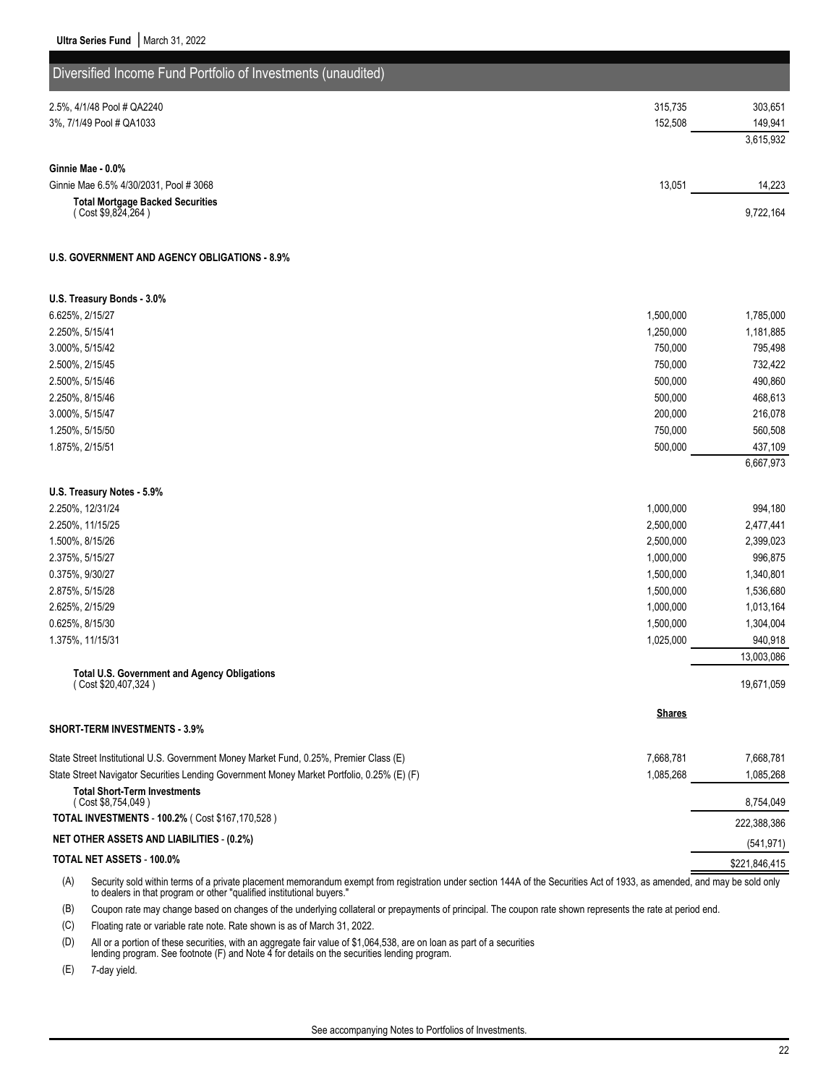| Diversified Income Fund Portfolio of Investments (unaudited)                                                                                                                                                                                             |               |               |
|----------------------------------------------------------------------------------------------------------------------------------------------------------------------------------------------------------------------------------------------------------|---------------|---------------|
|                                                                                                                                                                                                                                                          |               |               |
| 2.5%, 4/1/48 Pool # QA2240                                                                                                                                                                                                                               | 315,735       | 303,651       |
| 3%, 7/1/49 Pool # QA1033                                                                                                                                                                                                                                 | 152,508       | 149,941       |
|                                                                                                                                                                                                                                                          |               | 3,615,932     |
| Ginnie Mae - 0.0%                                                                                                                                                                                                                                        |               |               |
| Ginnie Mae 6.5% 4/30/2031, Pool # 3068                                                                                                                                                                                                                   | 13,051        | 14,223        |
| <b>Total Mortgage Backed Securities</b>                                                                                                                                                                                                                  |               |               |
| (Cost \$9,824,264)                                                                                                                                                                                                                                       |               | 9,722,164     |
| <b>U.S. GOVERNMENT AND AGENCY OBLIGATIONS - 8.9%</b>                                                                                                                                                                                                     |               |               |
| U.S. Treasury Bonds - 3.0%                                                                                                                                                                                                                               |               |               |
| 6.625%, 2/15/27                                                                                                                                                                                                                                          | 1,500,000     | 1,785,000     |
| 2.250%, 5/15/41                                                                                                                                                                                                                                          | 1,250,000     | 1,181,885     |
| 3.000%, 5/15/42                                                                                                                                                                                                                                          | 750,000       | 795,498       |
| 2.500%, 2/15/45                                                                                                                                                                                                                                          | 750,000       | 732,422       |
| 2.500%, 5/15/46                                                                                                                                                                                                                                          | 500,000       | 490,860       |
| 2.250%, 8/15/46                                                                                                                                                                                                                                          | 500,000       | 468,613       |
| 3.000%, 5/15/47                                                                                                                                                                                                                                          | 200,000       | 216,078       |
| 1.250%, 5/15/50                                                                                                                                                                                                                                          | 750,000       | 560,508       |
| 1.875%, 2/15/51                                                                                                                                                                                                                                          | 500,000       | 437,109       |
|                                                                                                                                                                                                                                                          |               | 6,667,973     |
| U.S. Treasury Notes - 5.9%                                                                                                                                                                                                                               |               |               |
| 2.250%, 12/31/24                                                                                                                                                                                                                                         | 1,000,000     | 994,180       |
| 2.250%, 11/15/25                                                                                                                                                                                                                                         | 2,500,000     | 2,477,441     |
| 1.500%, 8/15/26                                                                                                                                                                                                                                          | 2,500,000     | 2,399,023     |
| 2.375%, 5/15/27                                                                                                                                                                                                                                          | 1,000,000     | 996,875       |
| 0.375%, 9/30/27                                                                                                                                                                                                                                          | 1,500,000     | 1,340,801     |
| 2.875%, 5/15/28                                                                                                                                                                                                                                          | 1,500,000     | 1,536,680     |
| 2.625%, 2/15/29                                                                                                                                                                                                                                          | 1,000,000     | 1,013,164     |
| 0.625%, 8/15/30                                                                                                                                                                                                                                          | 1,500,000     | 1,304,004     |
| 1.375%, 11/15/31                                                                                                                                                                                                                                         | 1,025,000     | 940,918       |
|                                                                                                                                                                                                                                                          |               | 13,003,086    |
| Total U.S. Government and Agency Obligations<br>(Cost \$20,407,324)                                                                                                                                                                                      |               | 19,671,059    |
|                                                                                                                                                                                                                                                          | <b>Shares</b> |               |
| <b>SHORT-TERM INVESTMENTS 3.9%</b>                                                                                                                                                                                                                       |               |               |
| State Street Institutional U.S. Government Money Market Fund, 0.25%, Premier Class (E)                                                                                                                                                                   | 7,668,781     | 7,668,781     |
| State Street Navigator Securities Lending Government Money Market Portfolio, 0.25% (E) (F)                                                                                                                                                               | 1,085,268     | 1,085,268     |
| <b>Total Short-Term Investments</b><br>(Cost \$8,754,049)                                                                                                                                                                                                |               | 8,754,049     |
| TOTAL INVESTMENTS - 100.2% ( Cost \$167,170,528 )                                                                                                                                                                                                        |               | 222,388,386   |
| <b>NET OTHER ASSETS AND LIABILITIES - (0.2%)</b>                                                                                                                                                                                                         |               | (541, 971)    |
| TOTAL NET ASSETS - 100.0%                                                                                                                                                                                                                                |               | \$221,846,415 |
| (A)<br>Security sold within terms of a private placement memorandum exempt from registration under section 144A of the Securities Act of 1933, as amended, and may be sold only<br>to dealers in that program or other "qualified institutional buyers." |               |               |

(B) Coupon rate may change based on changes of the underlying collateral or prepayments of principal. The coupon rate shown represents the rate at period end.

(C) Floating rate or variable rate note. Rate shown is as of March 31, 2022.

(D) All or a portion of these securities, with an aggregate fair value of \$1,064,538, are on loan as part of a securities

lending program. See footnote (F) and Note 4 for details on the securities lending program.

(E) 7-day yield.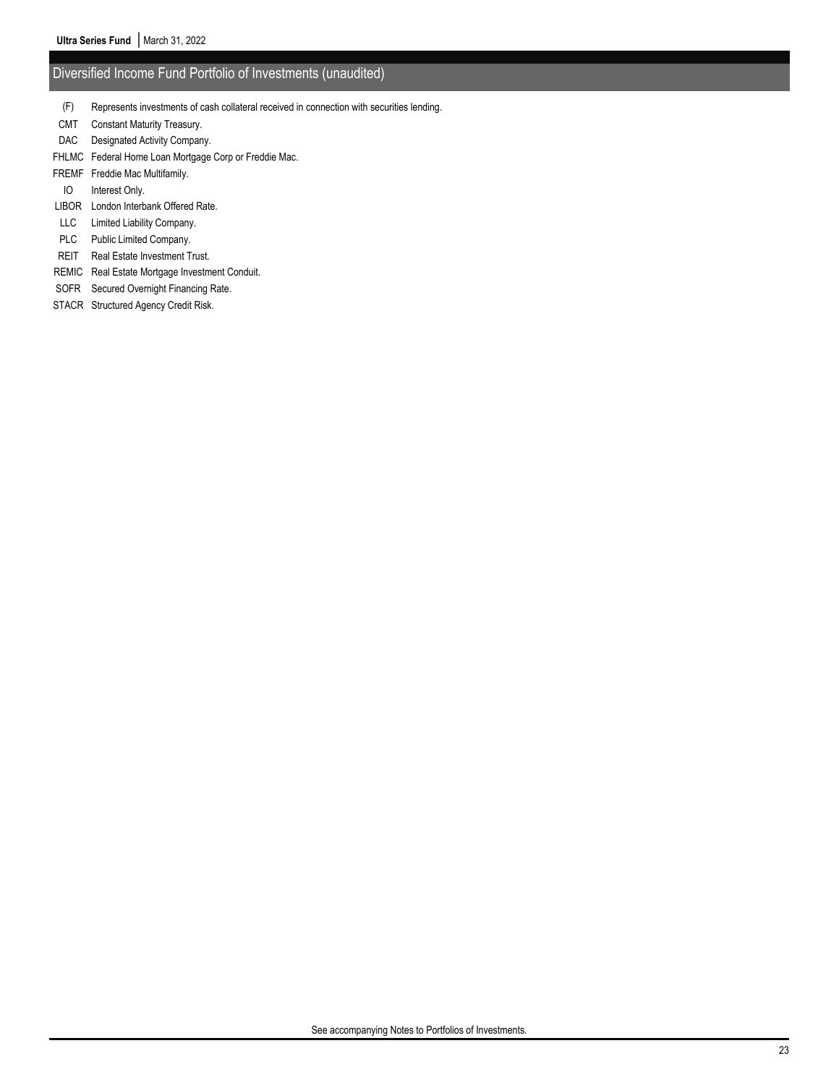### Diversified Income Fund Portfolio of Investments (unaudited)

- (F) Represents investments of cash collateral received in connection with securities lending.
- CMT Constant Maturity Treasury.
- DAC Designated Activity Company.
- FHLMC Federal Home Loan Mortgage Corp or Freddie Mac.
- FREMF Freddie Mac Multifamily.
- IO Interest Only.
- LIBOR London Interbank Offered Rate.
- LLC Limited Liability Company.
- PLC Public Limited Company.
- REIT Real Estate Investment Trust.
- REMIC Real Estate Mortgage Investment Conduit.
- SOFR Secured Overnight Financing Rate.
- STACR Structured Agency Credit Risk.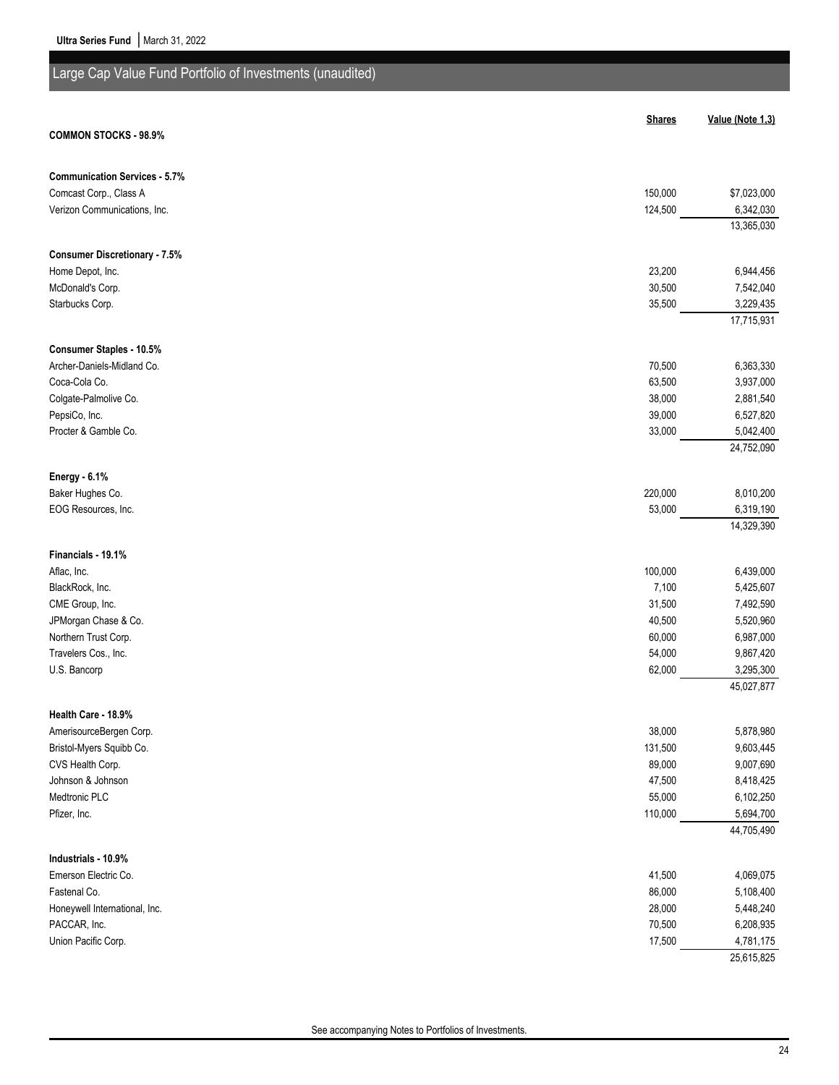| Large Cap Value Fund Portfolio of Investments (unaudited) |                  |                        |
|-----------------------------------------------------------|------------------|------------------------|
|                                                           |                  |                        |
|                                                           | <b>Shares</b>    | Value (Note 1,3)       |
| <b>COMMON STOCKS - 98.9%</b>                              |                  |                        |
|                                                           |                  |                        |
| <b>Communication Services - 5.7%</b>                      |                  |                        |
| Comcast Corp., Class A                                    | 150,000          | \$7,023,000            |
| Verizon Communications, Inc.                              | 124,500          | 6,342,030              |
|                                                           |                  | 13,365,030             |
| <b>Consumer Discretionary - 7.5%</b>                      |                  |                        |
| Home Depot, Inc.                                          | 23,200           | 6,944,456              |
| McDonald's Corp.                                          | 30,500           | 7,542,040              |
| Starbucks Corp.                                           | 35,500           | 3,229,435              |
|                                                           |                  | 17,715,931             |
|                                                           |                  |                        |
| Consumer Staples - 10.5%                                  |                  |                        |
| Archer-Daniels-Midland Co.<br>Coca-Cola Co.               | 70,500<br>63,500 | 6,363,330<br>3,937,000 |
| Colgate-Palmolive Co.                                     | 38,000           | 2,881,540              |
| PepsiCo, Inc.                                             | 39,000           | 6,527,820              |
| Procter & Gamble Co.                                      | 33,000           | 5,042,400              |
|                                                           |                  | 24,752,090             |
|                                                           |                  |                        |
| Energy - 6.1%                                             |                  |                        |
| Baker Hughes Co.                                          | 220,000          | 8,010,200              |
| EOG Resources, Inc.                                       | 53,000           | 6,319,190              |
|                                                           |                  | 14,329,390             |
| Financials - 19.1%                                        |                  |                        |
| Aflac, Inc.                                               | 100,000          | 6,439,000              |
| BlackRock, Inc.                                           | 7,100            | 5,425,607              |
| CME Group, Inc.                                           | 31,500           | 7,492,590              |
| JPMorgan Chase & Co.                                      | 40,500           | 5,520,960              |
| Northern Trust Corp.                                      | 60,000           | 6,987,000              |
| Travelers Cos., Inc.                                      | 54,000           | 9,867,420              |
| U.S. Bancorp                                              | 62,000           | 3,295,300              |
|                                                           |                  | 45,027,877             |
| Health Care - 18.9%                                       |                  |                        |
| AmerisourceBergen Corp.                                   | 38,000           | 5,878,980              |
| Bristol-Myers Squibb Co.                                  | 131,500          | 9,603,445              |
| CVS Health Corp.                                          | 89,000           | 9,007,690              |
| Johnson & Johnson                                         | 47,500           | 8,418,425              |
| Medtronic PLC                                             | 55,000           | 6,102,250              |
| Pfizer, Inc.                                              | 110,000          | 5,694,700              |
|                                                           |                  | 44,705,490             |
|                                                           |                  |                        |
| Industrials - 10.9%                                       |                  |                        |
| Emerson Electric Co.<br>Fastenal Co.                      | 41,500<br>86,000 | 4,069,075<br>5,108,400 |
| Honeywell International, Inc.                             | 28,000           | 5,448,240              |
| PACCAR, Inc.                                              | 70,500           | 6,208,935              |
| Union Pacific Corp.                                       | 17,500           | 4,781,175              |

25,615,825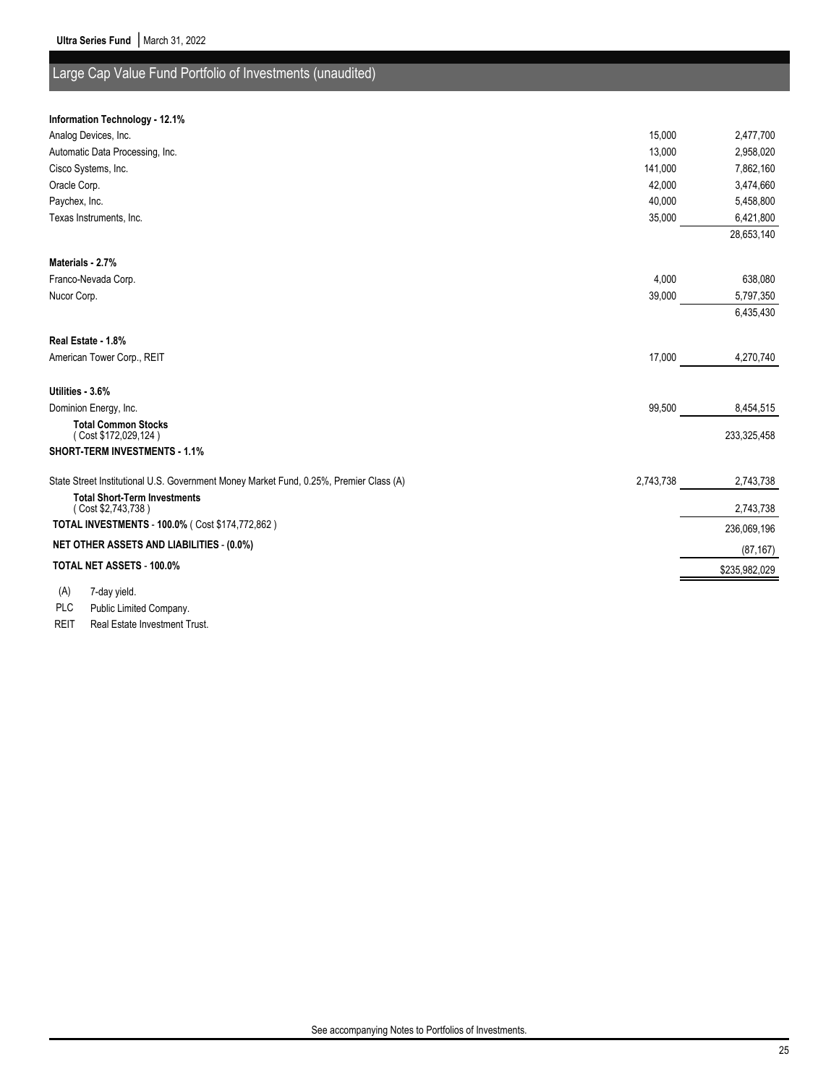## Large Cap Value Fund Portfolio of Investments (unaudited)

#### **Information Technology - 12.1%**

| Analog Devices, Inc.                                                                   | 15,000    | 2,477,700     |
|----------------------------------------------------------------------------------------|-----------|---------------|
| Automatic Data Processing, Inc.                                                        | 13,000    | 2,958,020     |
| Cisco Systems, Inc.                                                                    | 141,000   | 7,862,160     |
| Oracle Corp.                                                                           | 42,000    | 3,474,660     |
| Paychex, Inc.                                                                          | 40,000    | 5,458,800     |
| Texas Instruments, Inc.                                                                | 35,000    | 6,421,800     |
|                                                                                        |           | 28,653,140    |
| Materials - 2.7%                                                                       |           |               |
| Franco-Nevada Corp.                                                                    | 4,000     | 638,080       |
| Nucor Corp.                                                                            | 39,000    | 5,797,350     |
|                                                                                        |           | 6,435,430     |
| Real Estate - 1.8%                                                                     |           |               |
| American Tower Corp., REIT                                                             | 17,000    | 4,270,740     |
| Utilities - 3.6%                                                                       |           |               |
| Dominion Energy, Inc.                                                                  | 99,500    | 8,454,515     |
| <b>Total Common Stocks</b><br>(Cost \$172,029,124)                                     |           | 233,325,458   |
| <b>SHORT-TERM INVESTMENTS - 1.1%</b>                                                   |           |               |
| State Street Institutional U.S. Government Money Market Fund, 0.25%, Premier Class (A) | 2,743,738 | 2,743,738     |
| <b>Total Short-Term Investments</b><br>(Cost \$2,743,738)                              |           | 2,743,738     |
| TOTAL INVESTMENTS - 100.0% ( Cost \$174,772,862 )                                      |           | 236,069,196   |
| <b>NET OTHER ASSETS AND LIABILITIES - (0.0%)</b>                                       |           | (87, 167)     |
| <b>TOTAL NET ASSETS - 100.0%</b>                                                       |           | \$235,982,029 |
|                                                                                        |           |               |
| (A)<br>7-day yield.                                                                    |           |               |

PLC Public Limited Company.

REIT Real Estate Investment Trust.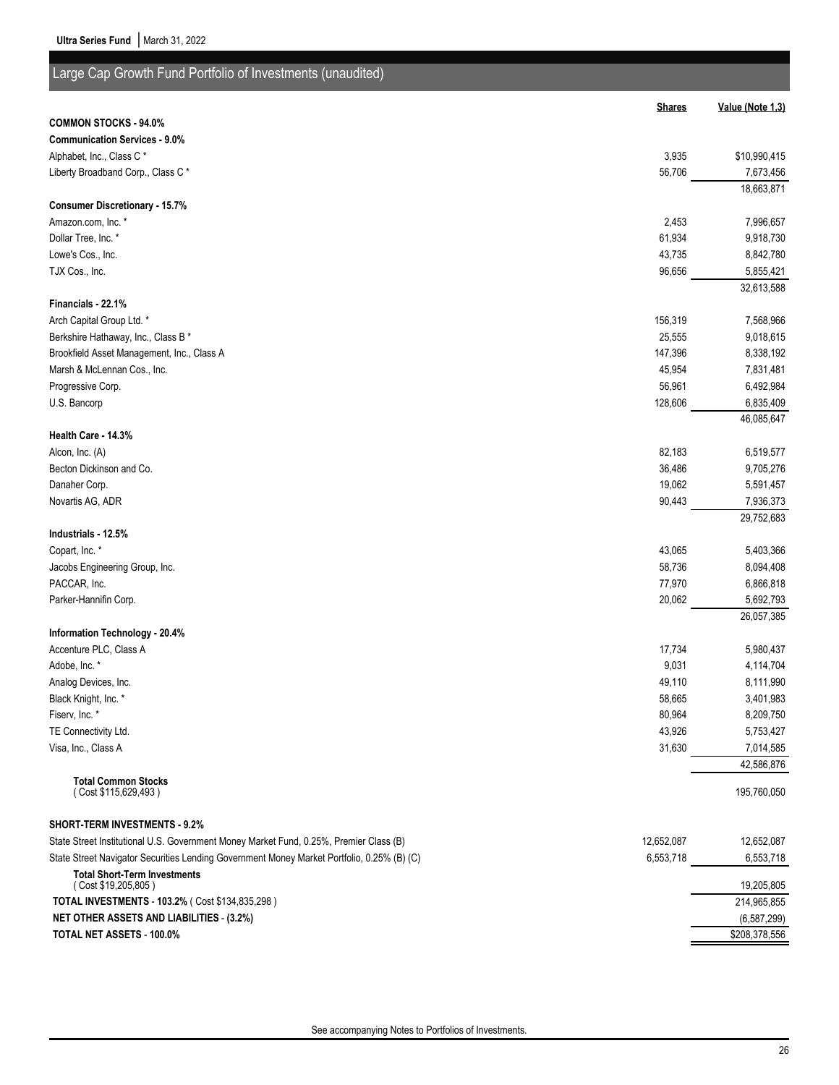| Large Cap Growth Fund Portfolio of Investments (unaudited)                                 |               |                                |
|--------------------------------------------------------------------------------------------|---------------|--------------------------------|
|                                                                                            | <b>Shares</b> | Value (Note 1,3)               |
| <b>COMMON STOCKS - 94.0%</b>                                                               |               |                                |
| <b>Communication Services - 9.0%</b>                                                       |               |                                |
| Alphabet, Inc., Class C*                                                                   | 3,935         | \$10,990,415                   |
| Liberty Broadband Corp., Class C*                                                          | 56,706        | 7,673,456                      |
|                                                                                            |               | 18,663,871                     |
| <b>Consumer Discretionary - 15.7%</b>                                                      |               |                                |
| Amazon.com, Inc. *                                                                         | 2,453         | 7,996,657                      |
| Dollar Tree, Inc. *                                                                        | 61,934        | 9,918,730                      |
| Lowe's Cos., Inc.                                                                          | 43,735        | 8,842,780                      |
| TJX Cos., Inc.                                                                             | 96,656        | 5,855,421                      |
|                                                                                            |               | 32,613,588                     |
| Financials - 22.1%                                                                         |               |                                |
| Arch Capital Group Ltd. *                                                                  | 156,319       | 7,568,966                      |
| Berkshire Hathaway, Inc., Class B *                                                        | 25,555        | 9,018,615                      |
| Brookfield Asset Management, Inc., Class A                                                 | 147,396       | 8,338,192                      |
| Marsh & McLennan Cos., Inc.                                                                | 45,954        | 7,831,481                      |
| Progressive Corp.                                                                          | 56,961        | 6,492,984                      |
| U.S. Bancorp                                                                               | 128,606       | 6,835,409                      |
|                                                                                            |               | 46,085,647                     |
| Health Care - 14.3%                                                                        |               |                                |
| Alcon, Inc. (A)                                                                            | 82,183        | 6,519,577                      |
| Becton Dickinson and Co.                                                                   | 36,486        | 9,705,276                      |
| Danaher Corp.                                                                              | 19,062        | 5,591,457                      |
| Novartis AG, ADR                                                                           | 90,443        | 7,936,373                      |
|                                                                                            |               | 29,752,683                     |
| Industrials - 12.5%                                                                        |               |                                |
| Copart, Inc. *                                                                             | 43,065        | 5,403,366                      |
| Jacobs Engineering Group, Inc.                                                             | 58,736        | 8,094,408                      |
| PACCAR, Inc.                                                                               | 77,970        | 6,866,818                      |
| Parker-Hannifin Corp.                                                                      | 20,062        | 5,692,793                      |
|                                                                                            |               | 26,057,385                     |
| Information Technology - 20.4%                                                             |               |                                |
| Accenture PLC, Class A                                                                     | 17,734        | 5,980,437                      |
| Adobe, Inc. *                                                                              | 9,031         | 4,114,704                      |
| Analog Devices, Inc.                                                                       | 49,110        | 8,111,990                      |
| Black Knight, Inc. *                                                                       | 58,665        | 3,401,983                      |
| Fiserv, Inc. *                                                                             | 80,964        | 8,209,750                      |
| TE Connectivity Ltd.                                                                       | 43,926        | 5,753,427                      |
| Visa, Inc., Class A                                                                        | 31,630        | 7,014,585                      |
|                                                                                            |               | 42,586,876                     |
| <b>Total Common Stocks</b><br>(Cost \$115,629,493)                                         |               | 195,760,050                    |
| <b>SHORT-TERM INVESTMENTS - 9.2%</b>                                                       |               |                                |
| State Street Institutional U.S. Government Money Market Fund, 0.25%, Premier Class (B)     | 12,652,087    | 12,652,087                     |
| State Street Navigator Securities Lending Government Money Market Portfolio, 0.25% (B) (C) | 6,553,718     | 6,553,718                      |
| <b>Total Short-Term Investments</b>                                                        |               |                                |
| (Cost \$19,205,805)<br>TOTAL INVESTMENTS - 103.2% (Cost \$134,835,298)                     |               | 19,205,805<br>214,965,855      |
| <b>NET OTHER ASSETS AND LIABILITIES - (3.2%)</b>                                           |               |                                |
| TOTAL NET ASSETS - 100.0%                                                                  |               | (6, 587, 299)<br>\$208,378,556 |
|                                                                                            |               |                                |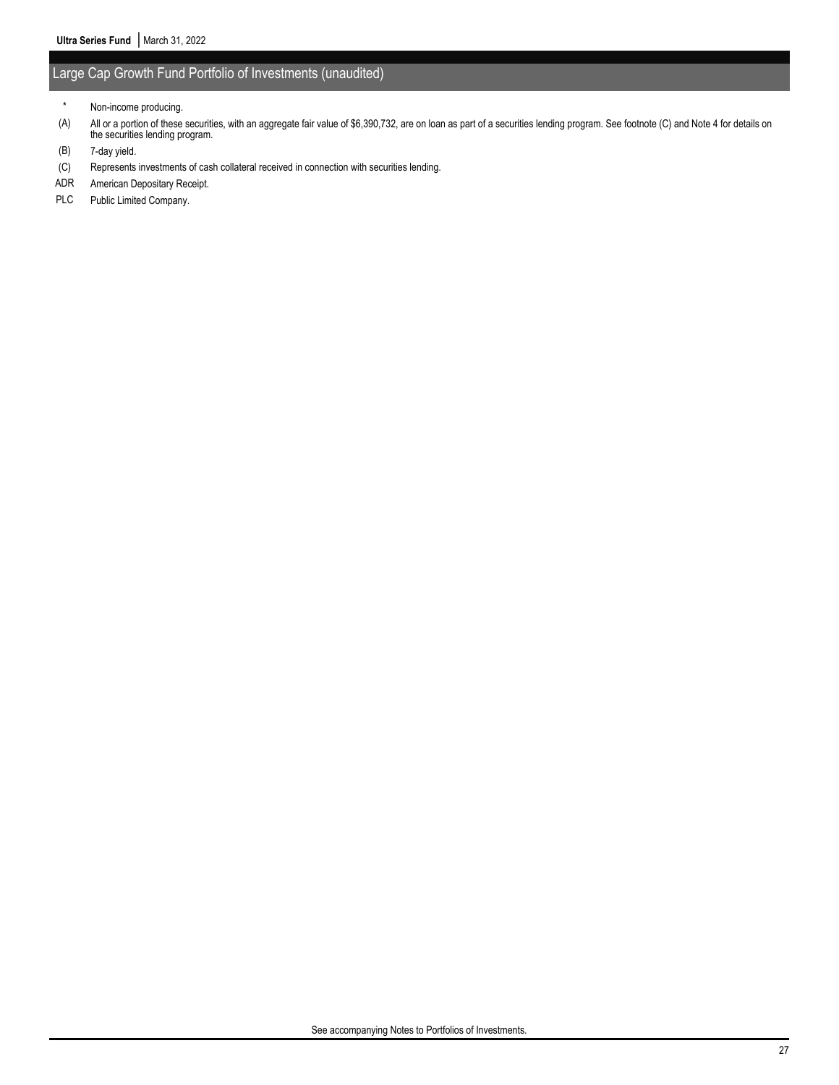### Large Cap Growth Fund Portfolio of Investments (unaudited)

- (B) 7-day yield.
- (C) Represents investments of cash collateral received in connection with securities lending.
- ADR American Depositary Receipt.
- PLC Public Limited Company.

<sup>\*</sup> Non-income producing.

<sup>(</sup>A) All or a portion of these securities, with an aggregate fair value of \$6,390,732, are on loan as part of a securities lending program. See footnote (C) and Note 4 for details on the securities lending program.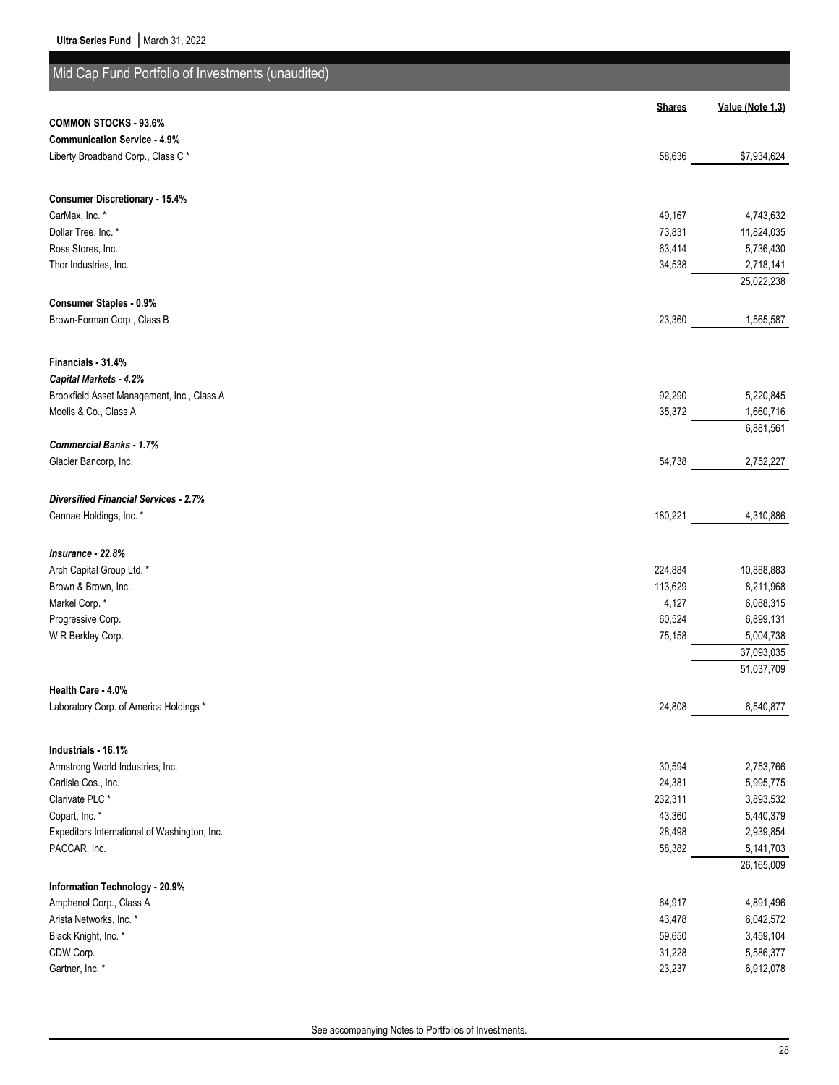| Mid Cap Fund Portfolio of Investments (unaudited)            |                  |                        |
|--------------------------------------------------------------|------------------|------------------------|
|                                                              | <b>Shares</b>    | Value (Note 1,3)       |
| <b>COMMON STOCKS - 93.6%</b>                                 |                  |                        |
| <b>Communication Service - 4.9%</b>                          |                  |                        |
| Liberty Broadband Corp., Class C*                            | 58,636           | \$7,934,624            |
|                                                              |                  |                        |
| <b>Consumer Discretionary - 15.4%</b>                        |                  |                        |
| CarMax, Inc. *<br>Dollar Tree, Inc. *                        | 49,167           | 4,743,632              |
| Ross Stores, Inc.                                            | 73,831<br>63,414 | 11,824,035             |
| Thor Industries, Inc.                                        | 34,538           | 5,736,430<br>2,718,141 |
|                                                              |                  | 25,022,238             |
| Consumer Staples - 0.9%                                      |                  |                        |
| Brown-Forman Corp., Class B                                  | 23,360           | 1,565,587              |
|                                                              |                  |                        |
| Financials - 31.4%<br>Capital Markets - 4.2%                 |                  |                        |
| Brookfield Asset Management, Inc., Class A                   | 92,290           | 5,220,845              |
| Moelis & Co., Class A                                        | 35,372           | 1,660,716              |
|                                                              |                  | 6,881,561              |
| <b>Commercial Banks - 1.7%</b>                               |                  |                        |
| Glacier Bancorp, Inc.                                        | 54,738           | 2,752,227              |
| <b>Diversified Financial Services - 2.7%</b>                 |                  |                        |
| Cannae Holdings, Inc. *                                      | 180,221          | 4,310,886              |
|                                                              |                  |                        |
| Insurance - 22.8%                                            |                  |                        |
| Arch Capital Group Ltd. *                                    | 224,884          | 10,888,883             |
| Brown & Brown, Inc.                                          | 113,629          | 8,211,968              |
| Markel Corp.*                                                | 4,127            | 6,088,315              |
| Progressive Corp.                                            | 60,524           | 6,899,131              |
| W R Berkley Corp.                                            | 75,158           | 5,004,738              |
|                                                              |                  | 37,093,035             |
|                                                              |                  | 51,037,709             |
| Health Care - 4.0%<br>Laboratory Corp. of America Holdings * | 24,808           | 6,540,877              |
|                                                              |                  |                        |
| Industrials - 16.1%                                          |                  |                        |
| Armstrong World Industries, Inc.                             | 30,594           | 2,753,766              |
| Carlisle Cos., Inc.                                          | 24,381           | 5,995,775              |
| Clarivate PLC <sup>*</sup>                                   | 232,311          | 3,893,532              |
| Copart, Inc. *                                               | 43,360           | 5,440,379              |
| Expeditors International of Washington, Inc.                 | 28,498           | 2,939,854              |
| PACCAR, Inc.                                                 | 58,382           | 5,141,703              |
|                                                              |                  | 26,165,009             |
| Information Technology - 20.9%                               |                  |                        |
| Amphenol Corp., Class A                                      | 64,917           | 4,891,496              |
| Arista Networks, Inc. *                                      | 43,478           | 6,042,572              |
| Black Knight, Inc. *<br>CDW Corp.                            | 59,650<br>31,228 | 3,459,104<br>5,586,377 |
| Gartner, Inc. *                                              | 23,237           | 6,912,078              |
|                                                              |                  |                        |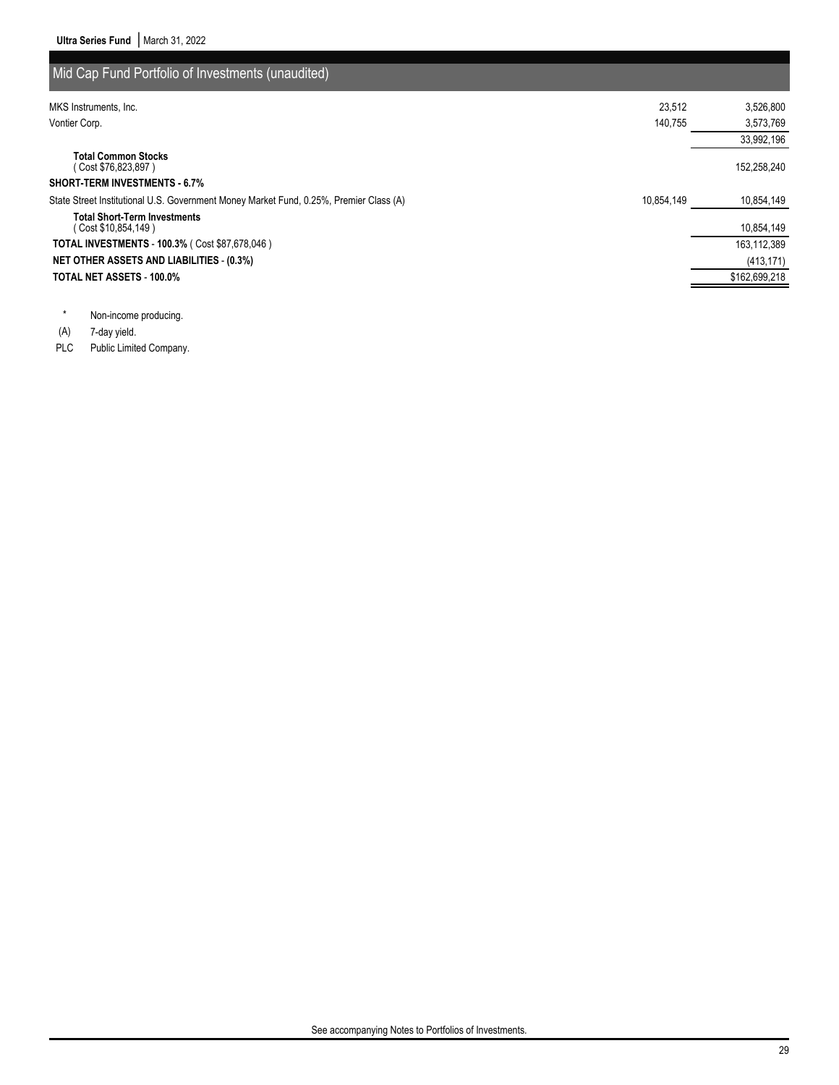| Mid Cap Fund Portfolio of Investments (unaudited)                                         |            |               |
|-------------------------------------------------------------------------------------------|------------|---------------|
| MKS Instruments, Inc.                                                                     | 23.512     | 3,526,800     |
| Vontier Corp.                                                                             | 140.755    | 3,573,769     |
|                                                                                           |            | 33,992,196    |
| <b>Total Common Stocks</b><br>(Cost \$76,823,897)<br><b>SHORT-TERM INVESTMENTS - 6.7%</b> |            | 152,258,240   |
| State Street Institutional U.S. Government Money Market Fund, 0.25%, Premier Class (A)    | 10.854.149 | 10,854,149    |
| <b>Total Short-Term Investments</b><br>( Cost \$10,854,149 )                              |            | 10,854,149    |
| <b>TOTAL INVESTMENTS - 100.3% (Cost \$87,678,046)</b>                                     |            | 163,112,389   |
| <b>NET OTHER ASSETS AND LIABILITIES - (0.3%)</b>                                          |            | (413, 171)    |
| <b>TOTAL NET ASSETS - 100.0%</b>                                                          |            | \$162,699,218 |

\* Non-income producing.

(A) 7-day yield.

PLC Public Limited Company.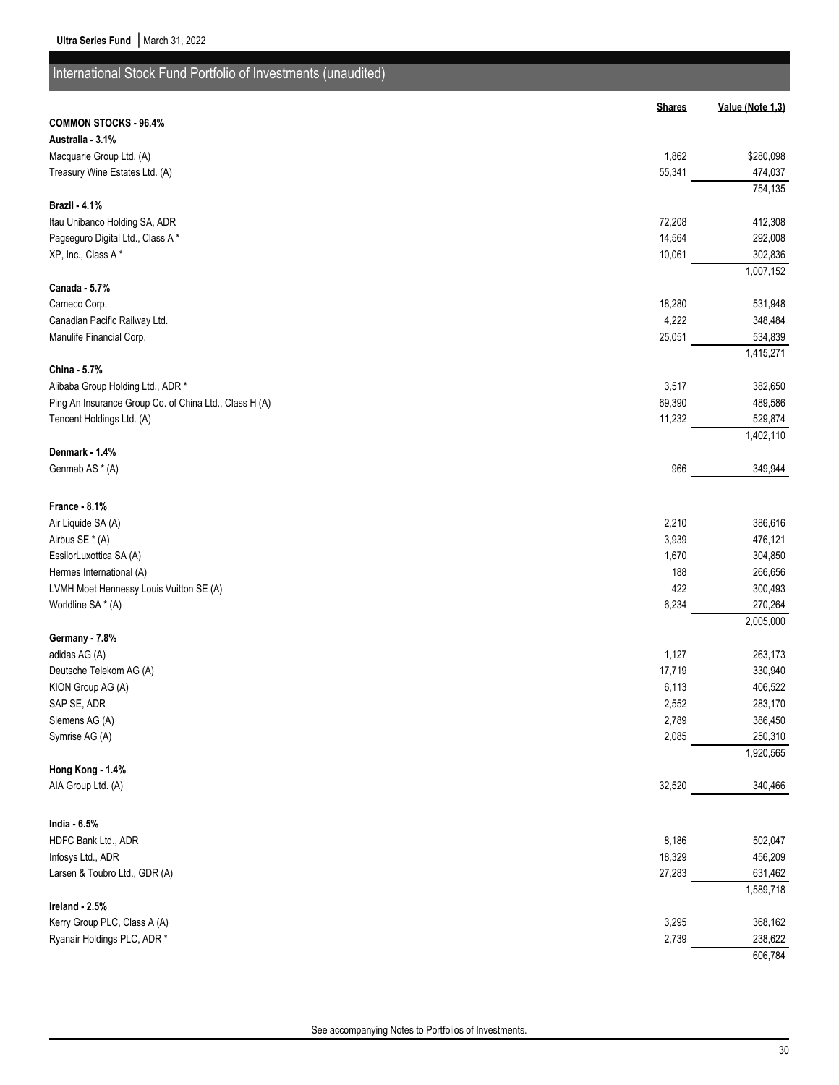| International Stock Fund Portfolio of Investments (unaudited) |                |                    |
|---------------------------------------------------------------|----------------|--------------------|
|                                                               | <b>Shares</b>  | Value (Note 1,3)   |
| <b>COMMON STOCKS - 96.4%</b>                                  |                |                    |
| Australia - 3.1%                                              |                |                    |
| Macquarie Group Ltd. (A)                                      | 1,862          | \$280,098          |
| Treasury Wine Estates Ltd. (A)                                | 55,341         | 474,037            |
|                                                               |                | 754,135            |
| <b>Brazil - 4.1%</b>                                          |                |                    |
| Itau Unibanco Holding SA, ADR                                 | 72,208         | 412,308            |
| Pagseguro Digital Ltd., Class A*                              | 14,564         | 292,008            |
| XP, Inc., Class A*                                            | 10,061         | 302,836            |
|                                                               |                | 1,007,152          |
| Canada - 5.7%<br>Cameco Corp.                                 | 18,280         |                    |
| Canadian Pacific Railway Ltd.                                 | 4,222          | 531,948<br>348,484 |
| Manulife Financial Corp.                                      | 25,051         | 534,839            |
|                                                               |                | 1,415,271          |
| China - 5.7%                                                  |                |                    |
| Alibaba Group Holding Ltd., ADR *                             | 3,517          | 382,650            |
| Ping An Insurance Group Co. of China Ltd., Class H (A)        | 69,390         | 489,586            |
| Tencent Holdings Ltd. (A)                                     | 11,232         | 529,874            |
|                                                               |                | 1,402,110          |
| Denmark - 1.4%                                                |                |                    |
| Genmab AS * (A)                                               | 966            | 349,944            |
|                                                               |                |                    |
| France - 8.1%                                                 |                | 386,616            |
| Air Liquide SA (A)<br>Airbus SE * (A)                         | 2,210<br>3,939 | 476,121            |
| EssilorLuxottica SA (A)                                       | 1,670          | 304,850            |
| Hermes International (A)                                      | 188            | 266,656            |
| LVMH Moet Hennessy Louis Vuitton SE (A)                       | 422            | 300,493            |
| Worldline SA * (A)                                            | 6,234          | 270,264            |
|                                                               |                | 2,005,000          |
| Germany - 7.8%                                                |                |                    |
| adidas AG (A)                                                 | 1,127          | 263,173            |
| Deutsche Telekom AG (A)                                       | 17,719         | 330,940            |
| KION Group AG (A)                                             | 6,113          | 406,522            |
| SAP SE, ADR                                                   | 2,552          | 283,170            |
| Siemens AG (A)                                                | 2,789          | 386,450            |
| Symrise AG (A)                                                | 2,085          | 250,310            |
| Hong Kong - 1.4%                                              |                | 1,920,565          |
| AIA Group Ltd. (A)                                            | 32,520         | 340,466            |
|                                                               |                |                    |
| India - 6.5%                                                  |                |                    |
| HDFC Bank Ltd., ADR                                           | 8,186          | 502,047            |
| Infosys Ltd., ADR                                             | 18,329         | 456,209            |
| Larsen & Toubro Ltd., GDR (A)                                 | 27,283         | 631,462            |
| Ireland - 2.5%                                                |                | 1,589,718          |
| Kerry Group PLC, Class A (A)                                  | 3,295          | 368,162            |
| Ryanair Holdings PLC, ADR *                                   | 2,739          | 238,622            |
|                                                               |                | 606,784            |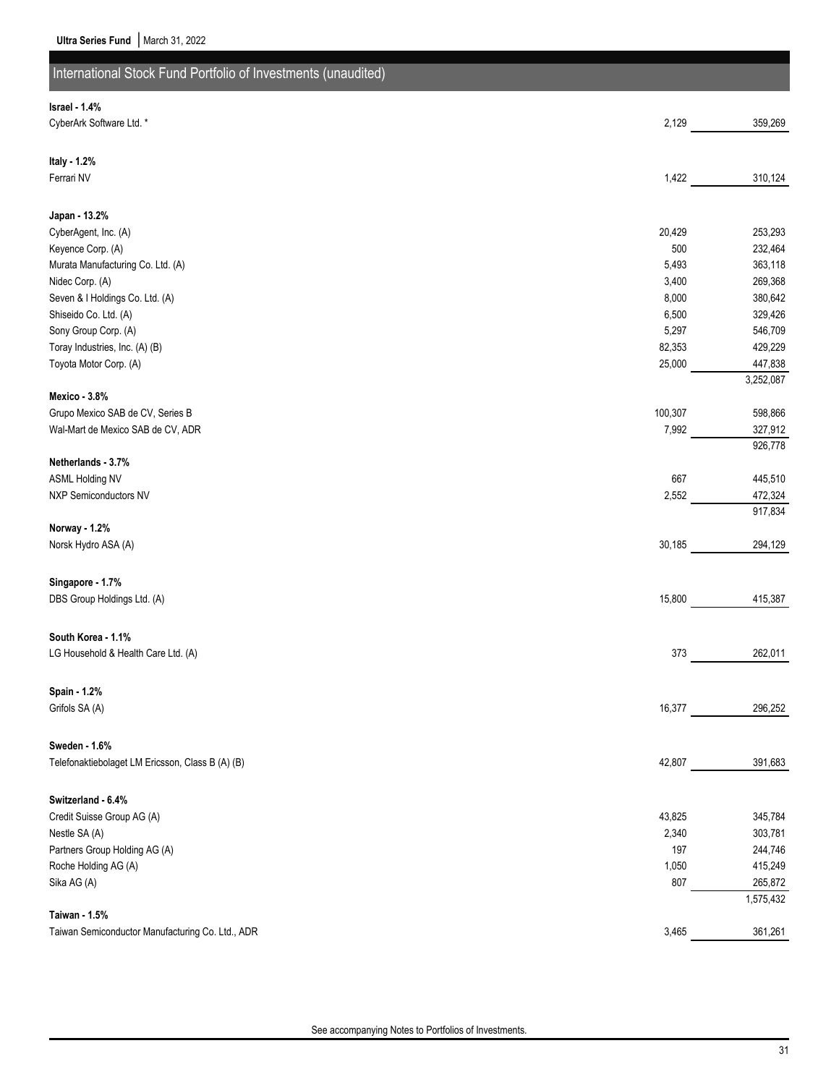| International Stock Fund Portfolio of Investments (unaudited) |                |                    |
|---------------------------------------------------------------|----------------|--------------------|
| Israel - 1.4%                                                 |                |                    |
| CyberArk Software Ltd. *                                      | 2,129          | 359,269            |
|                                                               |                |                    |
| Italy - 1.2%<br>Ferrari NV                                    | 1,422          | 310,124            |
|                                                               |                |                    |
| Japan - 13.2%                                                 |                |                    |
| CyberAgent, Inc. (A)                                          | 20,429         | 253,293            |
| Keyence Corp. (A)                                             | 500            | 232,464            |
| Murata Manufacturing Co. Ltd. (A)                             | 5,493          | 363,118            |
| Nidec Corp. (A)<br>Seven & I Holdings Co. Ltd. (A)            | 3,400<br>8,000 | 269,368<br>380,642 |
| Shiseido Co. Ltd. (A)                                         | 6,500          | 329,426            |
| Sony Group Corp. (A)                                          | 5,297          | 546,709            |
| Toray Industries, Inc. (A) (B)                                | 82,353         | 429,229            |
| Toyota Motor Corp. (A)                                        | 25,000         | 447,838            |
|                                                               |                | 3,252,087          |
| Mexico - 3.8%                                                 |                |                    |
| Grupo Mexico SAB de CV, Series B                              | 100,307        | 598,866            |
| Wal-Mart de Mexico SAB de CV, ADR                             | 7,992          | 327,912<br>926,778 |
| Netherlands - 3.7%                                            |                |                    |
| <b>ASML Holding NV</b>                                        | 667            | 445,510            |
| NXP Semiconductors NV                                         | 2,552          | 472,324            |
|                                                               |                | 917,834            |
| Norway - 1.2%                                                 |                |                    |
| Norsk Hydro ASA (A)                                           | 30,185         | 294,129            |
|                                                               |                |                    |
| Singapore - 1.7%<br>DBS Group Holdings Ltd. (A)               |                |                    |
|                                                               | 15,800         | 415,387            |
| South Korea - 1.1%                                            |                |                    |
| LG Household & Health Care Ltd. (A)                           | 373            | 262,011            |
|                                                               |                |                    |
| Spain - 1.2%                                                  |                |                    |
| Grifols SA (A)                                                | 16,377         | 296,252            |
|                                                               |                |                    |
| Sweden - 1.6%                                                 |                |                    |
| Telefonaktiebolaget LM Ericsson, Class B (A) (B)              | 42,807         | 391,683            |
|                                                               |                |                    |
| Switzerland - 6.4%                                            |                |                    |
| Credit Suisse Group AG (A)                                    | 43,825         | 345,784            |
| Nestle SA (A)                                                 | 2,340          | 303,781            |
| Partners Group Holding AG (A)<br>Roche Holding AG (A)         | 197<br>1,050   | 244,746<br>415,249 |
| Sika AG (A)                                                   | 807            | 265,872            |
|                                                               |                | 1,575,432          |
| Taiwan - 1.5%                                                 |                |                    |
| Taiwan Semiconductor Manufacturing Co. Ltd., ADR              | 3,465          | 361,261            |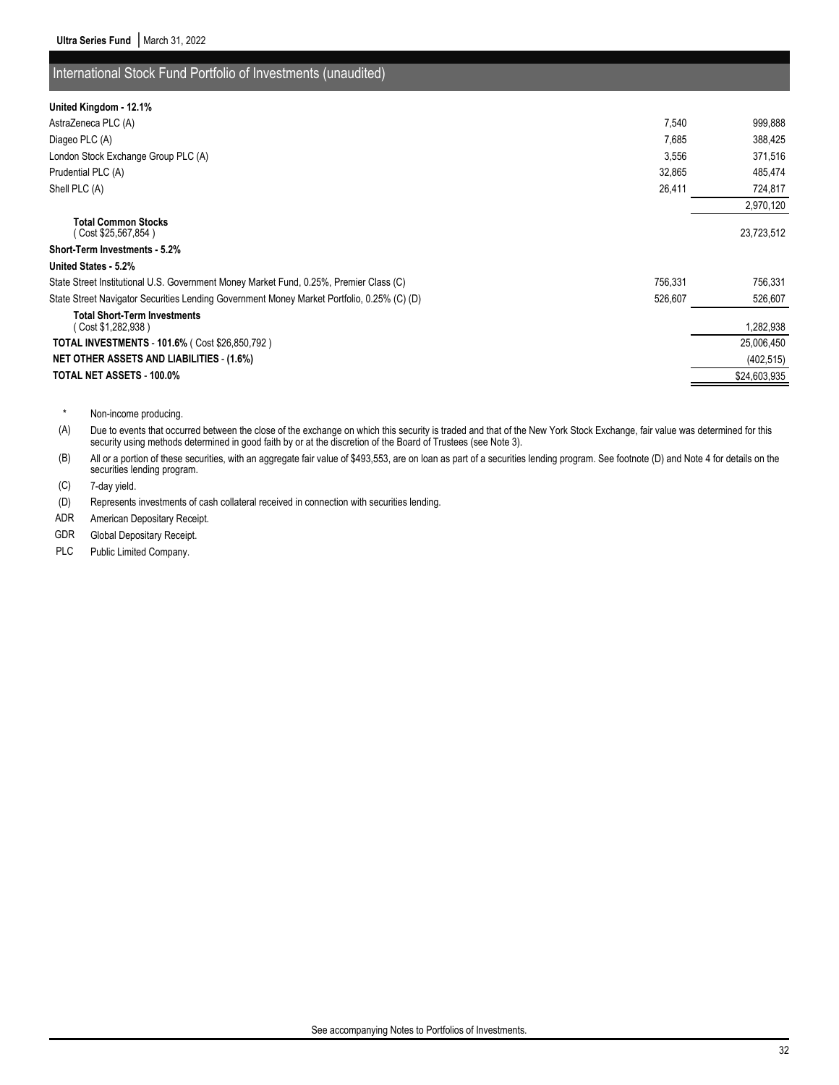### International Stock Fund Portfolio of Investments (unaudited)

| United Kingdom - 12.1%                                                                                |              |
|-------------------------------------------------------------------------------------------------------|--------------|
| 7,540<br>AstraZeneca PLC (A)                                                                          | 999,888      |
| 7,685<br>Diageo PLC (A)                                                                               | 388,425      |
| 3,556<br>London Stock Exchange Group PLC (A)                                                          | 371,516      |
| Prudential PLC (A)<br>32,865                                                                          | 485,474      |
| 26,411<br>Shell PLC (A)                                                                               | 724,817      |
|                                                                                                       | 2,970,120    |
| <b>Total Common Stocks</b><br>Cost \$25,567,854)                                                      | 23,723,512   |
| <b>Short-Term Investments - 5.2%</b>                                                                  |              |
| United States - 5.2%                                                                                  |              |
| 756,331<br>State Street Institutional U.S. Government Money Market Fund, 0.25%, Premier Class (C)     | 756,331      |
| State Street Navigator Securities Lending Government Money Market Portfolio, 0.25% (C) (D)<br>526,607 | 526,607      |
| <b>Total Short-Term Investments</b><br>Cost \$1,282,938)                                              | 1,282,938    |
| <b>TOTAL INVESTMENTS - 101.6% (Cost \$26,850,792)</b>                                                 | 25,006,450   |
| <b>NET OTHER ASSETS AND LIABILITIES - (1.6%)</b>                                                      | (402, 515)   |
| TOTAL NET ASSETS - 100.0%                                                                             | \$24,603,935 |

\* Non-income producing.

(A) Due to events that occurred between the close of the exchange on which this security is traded and that of the New York Stock Exchange, fair value was determined for this security using methods determined in good faith by or at the discretion of the Board of Trustees (see Note 3).

(B) All or a portion of these securities, with an aggregate fair value of \$493,553, are on loan as part of a securities lending program. See footnote (D) and Note 4 for details on the securities lending program.

(C) 7-day yield.

(D) Represents investments of cash collateral received in connection with securities lending.

ADR American Depositary Receipt.

GDR Global Depositary Receipt.

PLC Public Limited Company.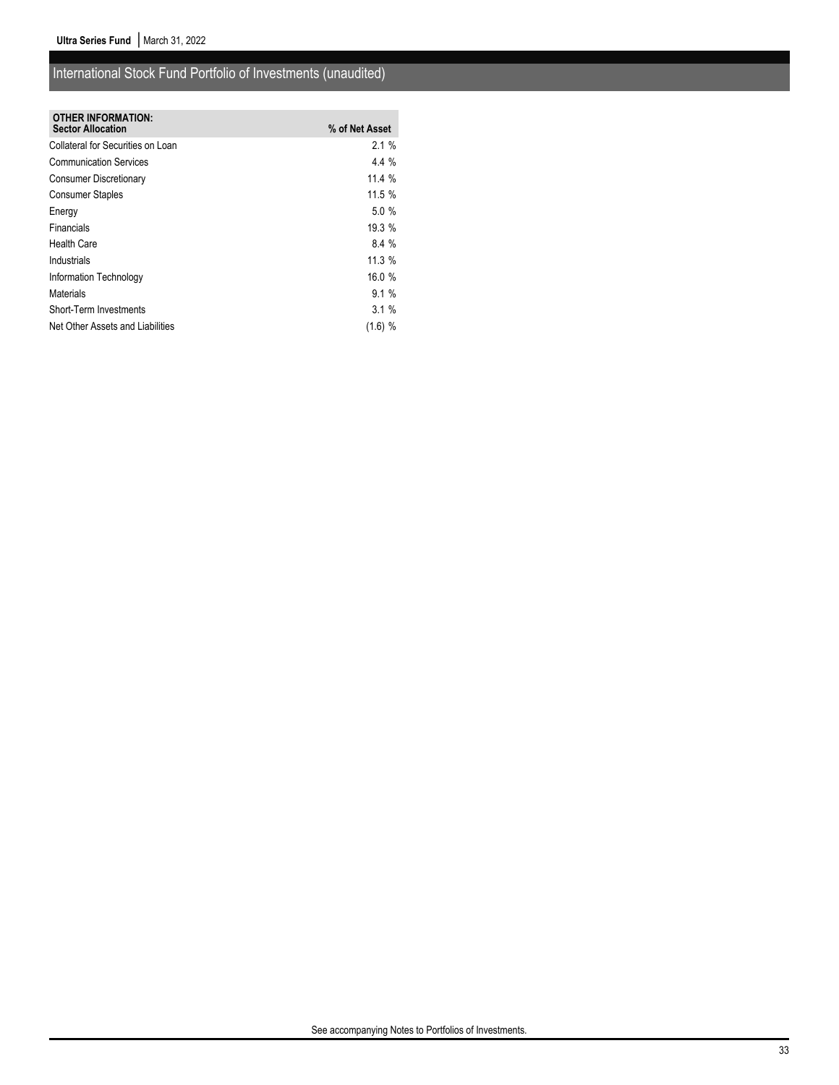## International Stock Fund Portfolio of Investments (unaudited)

| <b>OTHER INFORMATION:</b><br><b>Sector Allocation</b> | % of Net Asset |
|-------------------------------------------------------|----------------|
| Collateral for Securities on Loan                     | 2.1%           |
| <b>Communication Services</b>                         | $4.4\%$        |
| <b>Consumer Discretionary</b>                         | 11.4%          |
| <b>Consumer Staples</b>                               | 11.5 %         |
| Energy                                                | 5.0%           |
| Financials                                            | 19.3 %         |
| <b>Health Care</b>                                    | 8.4%           |
| Industrials                                           | 11.3%          |
| Information Technology                                | 16.0%          |
| <b>Materials</b>                                      | $9.1\%$        |
| Short-Term Investments                                | 3.1%           |
| Net Other Assets and Liabilities                      | $(1.6)$ %      |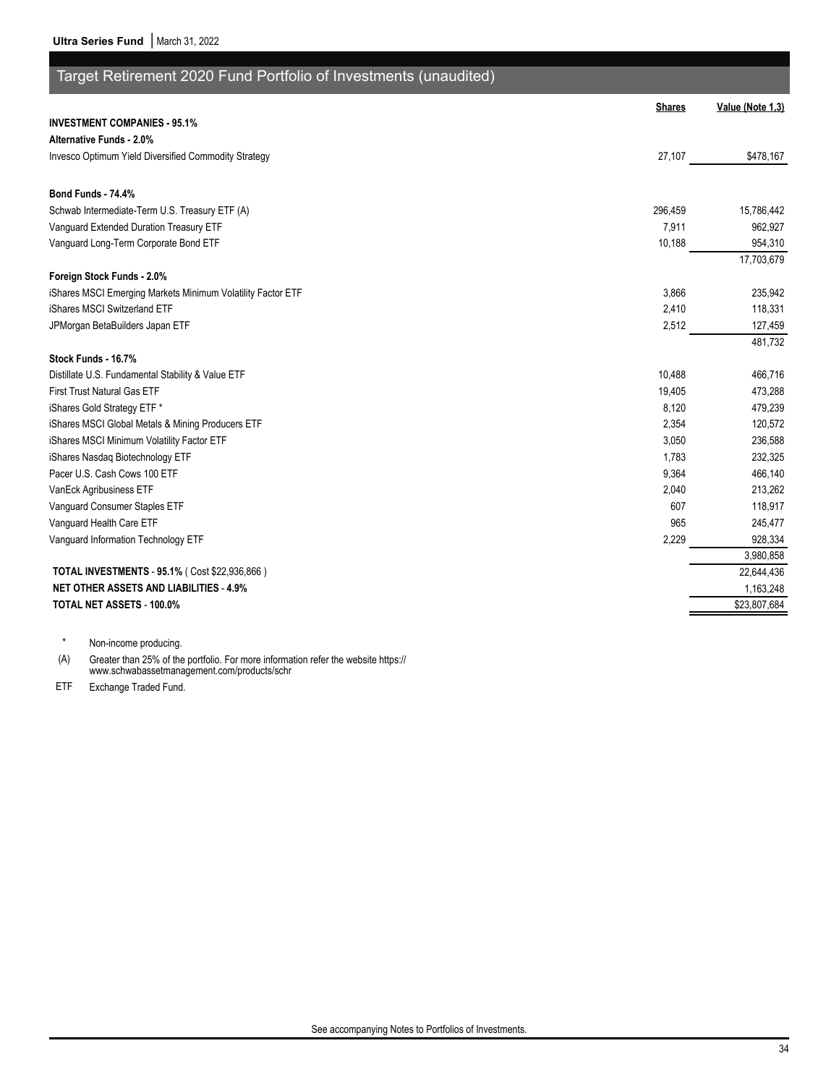| Target Retirement 2020 Fund Portfolio of Investments (unaudited) |               |                  |
|------------------------------------------------------------------|---------------|------------------|
|                                                                  | <b>Shares</b> | Value (Note 1,3) |
| <b>INVESTMENT COMPANIES - 95.1%</b>                              |               |                  |
| Alternative Funds - 2.0%                                         |               |                  |
| Invesco Optimum Yield Diversified Commodity Strategy             | 27,107        | \$478,167        |
| <b>Bond Funds - 74.4%</b>                                        |               |                  |
| Schwab Intermediate-Term U.S. Treasury ETF (A)                   | 296,459       | 15,786,442       |
| Vanguard Extended Duration Treasury ETF                          | 7,911         | 962,927          |
| Vanguard Long-Term Corporate Bond ETF                            | 10,188        | 954,310          |
|                                                                  |               | 17,703,679       |
| Foreign Stock Funds - 2.0%                                       |               |                  |
| iShares MSCI Emerging Markets Minimum Volatility Factor ETF      | 3.866         | 235,942          |
| iShares MSCI Switzerland ETF                                     | 2,410         | 118,331          |
| JPMorgan BetaBuilders Japan ETF                                  | 2,512         | 127,459          |
|                                                                  |               | 481.732          |
| Stock Funds - 16.7%                                              |               |                  |
| Distillate U.S. Fundamental Stability & Value ETF                | 10,488        | 466,716          |
| First Trust Natural Gas ETF                                      | 19,405        | 473,288          |
| iShares Gold Strategy ETF *                                      | 8,120         | 479,239          |
| iShares MSCI Global Metals & Mining Producers ETF                | 2,354         | 120,572          |
| iShares MSCI Minimum Volatility Factor ETF                       | 3,050         | 236,588          |
| iShares Nasdaq Biotechnology ETF                                 | 1,783         | 232,325          |
| Pacer U.S. Cash Cows 100 ETF                                     | 9,364         | 466,140          |
| VanEck Agribusiness ETF                                          | 2,040         | 213,262          |
| Vanguard Consumer Staples ETF                                    | 607           | 118,917          |
| Vanguard Health Care ETF                                         | 965           | 245,477          |
| Vanguard Information Technology ETF                              | 2,229         | 928,334          |
|                                                                  |               | 3,980,858        |
| TOTAL INVESTMENTS - 95.1% (Cost \$22,936,866)                    |               | 22,644,436       |
| <b>NET OTHER ASSETS AND LIABILITIES - 4.9%</b>                   |               | 1,163,248        |
| TOTAL NET ASSETS - 100.0%                                        |               | \$23,807,684     |

\* Non-income producing.

(A) Greater than 25% of the portfolio. For more information refer the website https:// www.schwabassetmanagement.com/products/schr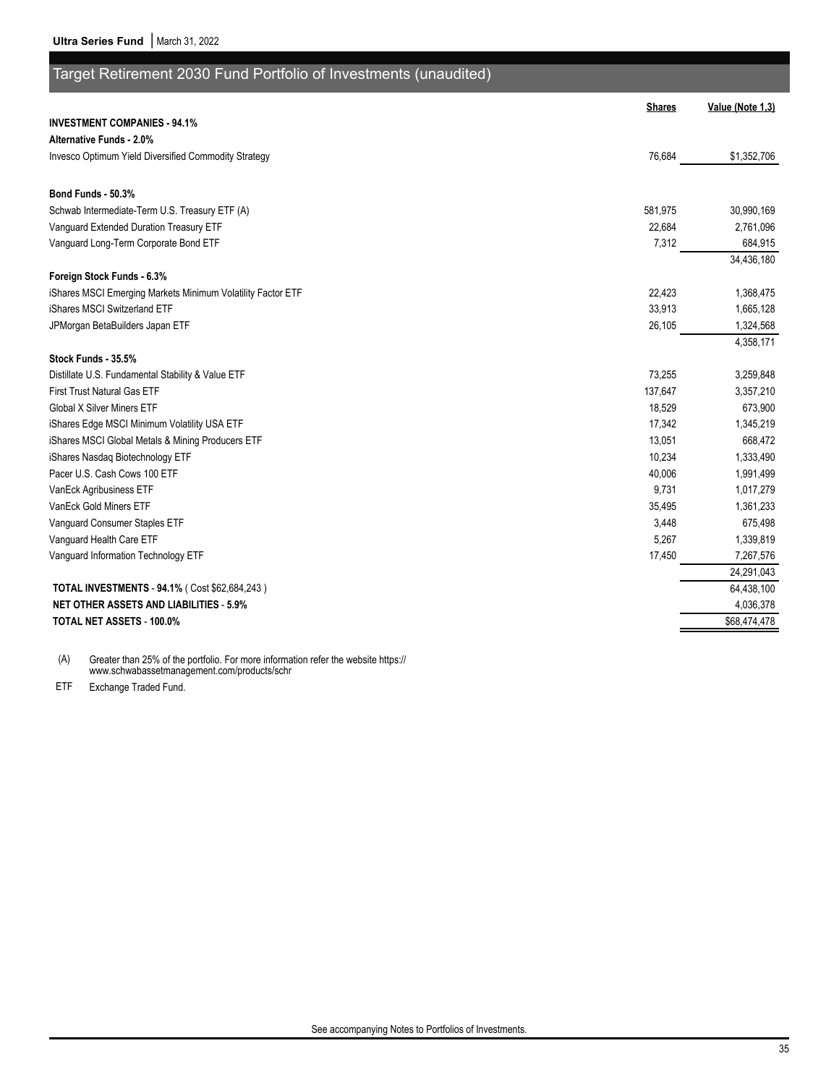| Target Retirement 2030 Fund Portfolio of Investments (unaudited) |               |                  |
|------------------------------------------------------------------|---------------|------------------|
|                                                                  | <b>Shares</b> | Value (Note 1,3) |
| <b>INVESTMENT COMPANIES - 94.1%</b>                              |               |                  |
| <b>Alternative Funds - 2.0%</b>                                  |               |                  |
| Invesco Optimum Yield Diversified Commodity Strategy             | 76,684        | \$1,352,706      |
| Bond Funds - 50.3%                                               |               |                  |
| Schwab Intermediate-Term U.S. Treasury ETF (A)                   | 581,975       | 30,990,169       |
| Vanguard Extended Duration Treasury ETF                          | 22,684        | 2,761,096        |
| Vanguard Long-Term Corporate Bond ETF                            | 7,312         | 684,915          |
|                                                                  |               | 34,436,180       |
| Foreign Stock Funds - 6.3%                                       |               |                  |
| iShares MSCI Emerging Markets Minimum Volatility Factor ETF      | 22,423        | 1,368,475        |
| iShares MSCI Switzerland ETF                                     | 33,913        | 1,665,128        |
| JPMorgan BetaBuilders Japan ETF                                  | 26,105        | 1,324,568        |
| Stock Funds - 35.5%                                              |               | 4,358,171        |
| Distillate U.S. Fundamental Stability & Value ETF                | 73,255        | 3,259,848        |
| <b>First Trust Natural Gas ETF</b>                               | 137,647       | 3,357,210        |
| <b>Global X Silver Miners ETF</b>                                | 18,529        | 673,900          |
| iShares Edge MSCI Minimum Volatility USA ETF                     | 17,342        | 1,345,219        |
| iShares MSCI Global Metals & Mining Producers ETF                | 13,051        | 668,472          |
| iShares Nasdaq Biotechnology ETF                                 | 10,234        | 1,333,490        |
| Pacer U.S. Cash Cows 100 ETF                                     | 40,006        | 1,991,499        |
| VanEck Agribusiness ETF                                          | 9,731         | 1,017,279        |
| VanEck Gold Miners ETF                                           | 35,495        | 1,361,233        |
| Vanguard Consumer Staples ETF                                    | 3,448         | 675,498          |
| Vanguard Health Care ETF                                         | 5,267         | 1,339,819        |
| Vanguard Information Technology ETF                              | 17,450        | 7,267,576        |
|                                                                  |               | 24,291,043       |
| TOTAL INVESTMENTS - 94.1% (Cost \$62,684,243)                    |               | 64,438,100       |
| <b>NET OTHER ASSETS AND LIABILITIES - 5.9%</b>                   |               | 4,036,378        |
| <b>TOTAL NET ASSETS - 100.0%</b>                                 |               | \$68,474,478     |

(A) Greater than 25% of the portfolio. For more information refer the website https:// www.schwabassetmanagement.com/products/schr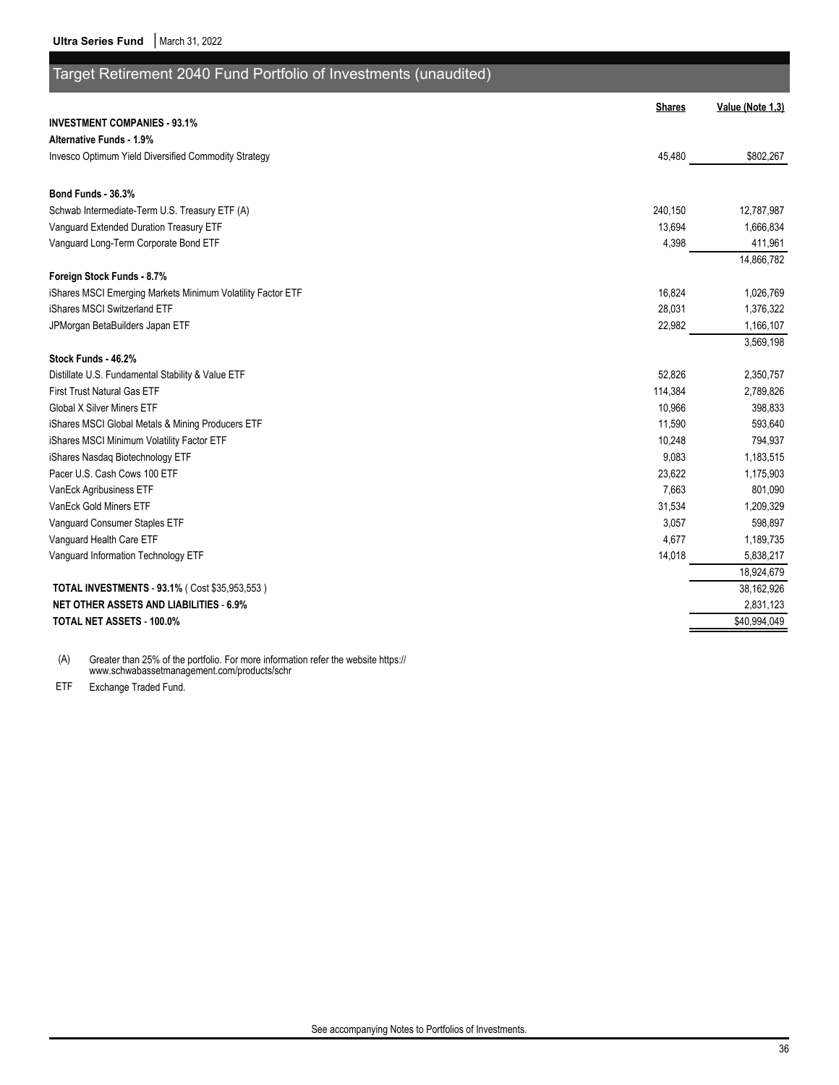| Target Retirement 2040 Fund Portfolio of Investments (unaudited) |               |                  |
|------------------------------------------------------------------|---------------|------------------|
|                                                                  | <b>Shares</b> | Value (Note 1,3) |
| <b>INVESTMENT COMPANIES - 93.1%</b>                              |               |                  |
| Alternative Funds - 1.9%                                         |               |                  |
| Invesco Optimum Yield Diversified Commodity Strategy             | 45,480        | \$802,267        |
| Bond Funds - 36.3%                                               |               |                  |
| Schwab Intermediate-Term U.S. Treasury ETF (A)                   | 240,150       | 12,787,987       |
| Vanguard Extended Duration Treasury ETF                          | 13,694        | 1,666,834        |
| Vanguard Long-Term Corporate Bond ETF                            | 4,398         | 411,961          |
|                                                                  |               | 14,866,782       |
| Foreign Stock Funds - 8.7%                                       |               |                  |
| iShares MSCI Emerging Markets Minimum Volatility Factor ETF      | 16,824        | 1,026,769        |
| iShares MSCI Switzerland ETF                                     | 28,031        | 1,376,322        |
| JPMorgan BetaBuilders Japan ETF                                  | 22,982        | 1,166,107        |
| Stock Funds - 46.2%                                              |               | 3,569,198        |
| Distillate U.S. Fundamental Stability & Value ETF                | 52,826        | 2,350,757        |
| <b>First Trust Natural Gas ETF</b>                               | 114,384       | 2,789,826        |
| <b>Global X Silver Miners ETF</b>                                | 10,966        | 398,833          |
| iShares MSCI Global Metals & Mining Producers ETF                | 11,590        | 593,640          |
| iShares MSCI Minimum Volatility Factor ETF                       | 10,248        | 794,937          |
| iShares Nasdag Biotechnology ETF                                 | 9,083         | 1,183,515        |
| Pacer U.S. Cash Cows 100 ETF                                     | 23,622        | 1,175,903        |
| VanEck Agribusiness ETF                                          | 7,663         | 801,090          |
| VanEck Gold Miners ETF                                           | 31,534        | 1,209,329        |
| Vanguard Consumer Staples ETF                                    | 3,057         | 598,897          |
| Vanguard Health Care ETF                                         | 4,677         | 1,189,735        |
| Vanguard Information Technology ETF                              | 14,018        | 5,838,217        |
|                                                                  |               | 18,924,679       |
| <b>TOTAL INVESTMENTS - 93.1% (Cost \$35,953,553)</b>             |               | 38,162,926       |
| <b>NET OTHER ASSETS AND LIABILITIES - 6.9%</b>                   |               | 2,831,123        |
| <b>TOTAL NET ASSETS - 100.0%</b>                                 |               | \$40,994,049     |

(A) Greater than 25% of the portfolio. For more information refer the website https:// www.schwabassetmanagement.com/products/schr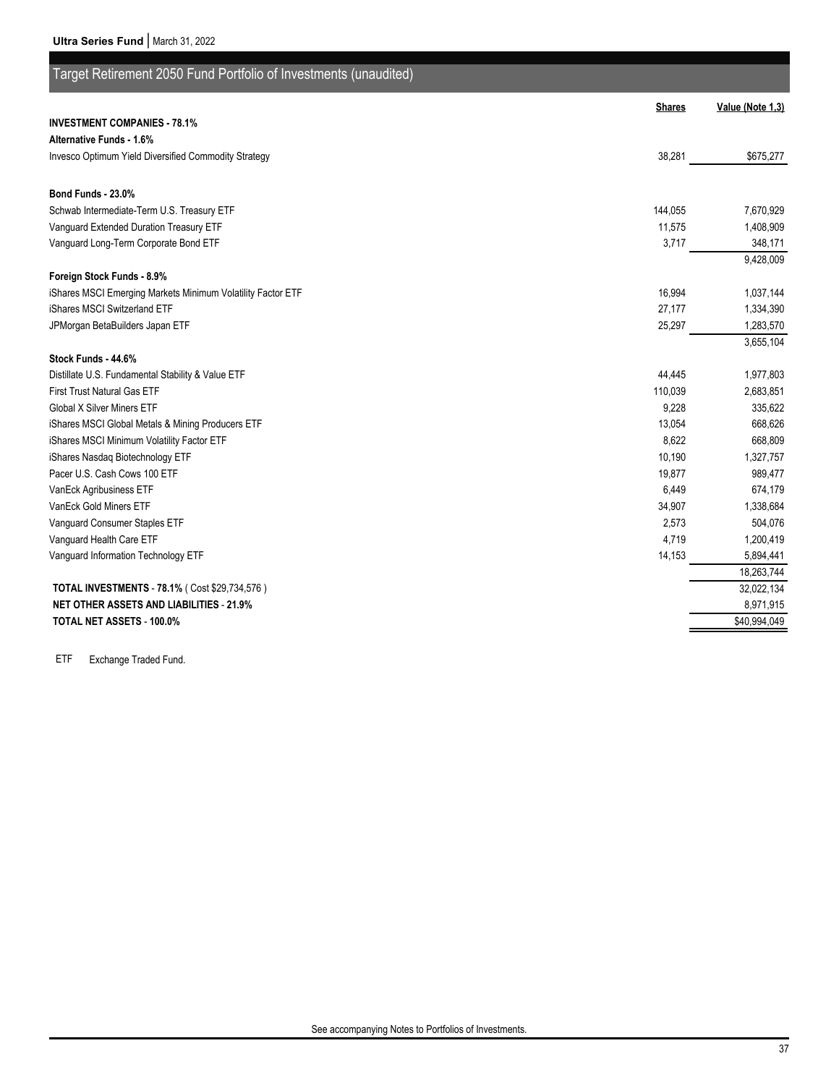| Target Retirement 2050 Fund Portfolio of Investments (unaudited) |               |                  |
|------------------------------------------------------------------|---------------|------------------|
|                                                                  | <b>Shares</b> | Value (Note 1,3) |
| <b>INVESTMENT COMPANIES - 78.1%</b>                              |               |                  |
| Alternative Funds - 1.6%                                         |               |                  |
| Invesco Optimum Yield Diversified Commodity Strategy             | 38,281        | \$675,277        |
| Bond Funds - 23.0%                                               |               |                  |
| Schwab Intermediate-Term U.S. Treasury ETF                       | 144,055       | 7,670,929        |
| Vanguard Extended Duration Treasury ETF                          | 11,575        | 1,408,909        |
| Vanguard Long-Term Corporate Bond ETF                            | 3,717         | 348,171          |
|                                                                  |               | 9,428,009        |
| Foreign Stock Funds - 8.9%                                       |               |                  |
| iShares MSCI Emerging Markets Minimum Volatility Factor ETF      | 16,994        | 1,037,144        |
| iShares MSCI Switzerland ETF                                     | 27,177        | 1,334,390        |
| JPMorgan BetaBuilders Japan ETF                                  | 25,297        | 1,283,570        |
|                                                                  |               | 3,655,104        |
| Stock Funds - 44.6%                                              |               |                  |
| Distillate U.S. Fundamental Stability & Value ETF                | 44,445        | 1,977,803        |
| <b>First Trust Natural Gas ETF</b>                               | 110,039       | 2,683,851        |
| <b>Global X Silver Miners ETF</b>                                | 9,228         | 335,622          |
| iShares MSCI Global Metals & Mining Producers ETF                | 13,054        | 668,626          |
| iShares MSCI Minimum Volatility Factor ETF                       | 8,622         | 668,809          |
| iShares Nasdag Biotechnology ETF                                 | 10,190        | 1,327,757        |
| Pacer U.S. Cash Cows 100 ETF                                     | 19,877        | 989,477          |
| VanEck Agribusiness ETF                                          | 6,449         | 674,179          |
| VanEck Gold Miners ETF                                           | 34,907        | 1,338,684        |
| Vanguard Consumer Staples ETF                                    | 2,573         | 504,076          |
| Vanguard Health Care ETF                                         | 4,719         | 1,200,419        |
| Vanguard Information Technology ETF                              | 14,153        | 5,894,441        |
|                                                                  |               | 18,263,744       |
| TOTAL INVESTMENTS - 78.1% ( Cost \$29,734,576)                   |               | 32,022,134       |
| <b>NET OTHER ASSETS AND LIABILITIES - 21.9%</b>                  |               | 8,971,915        |
| <b>TOTAL NET ASSETS - 100.0%</b>                                 |               | \$40,994,049     |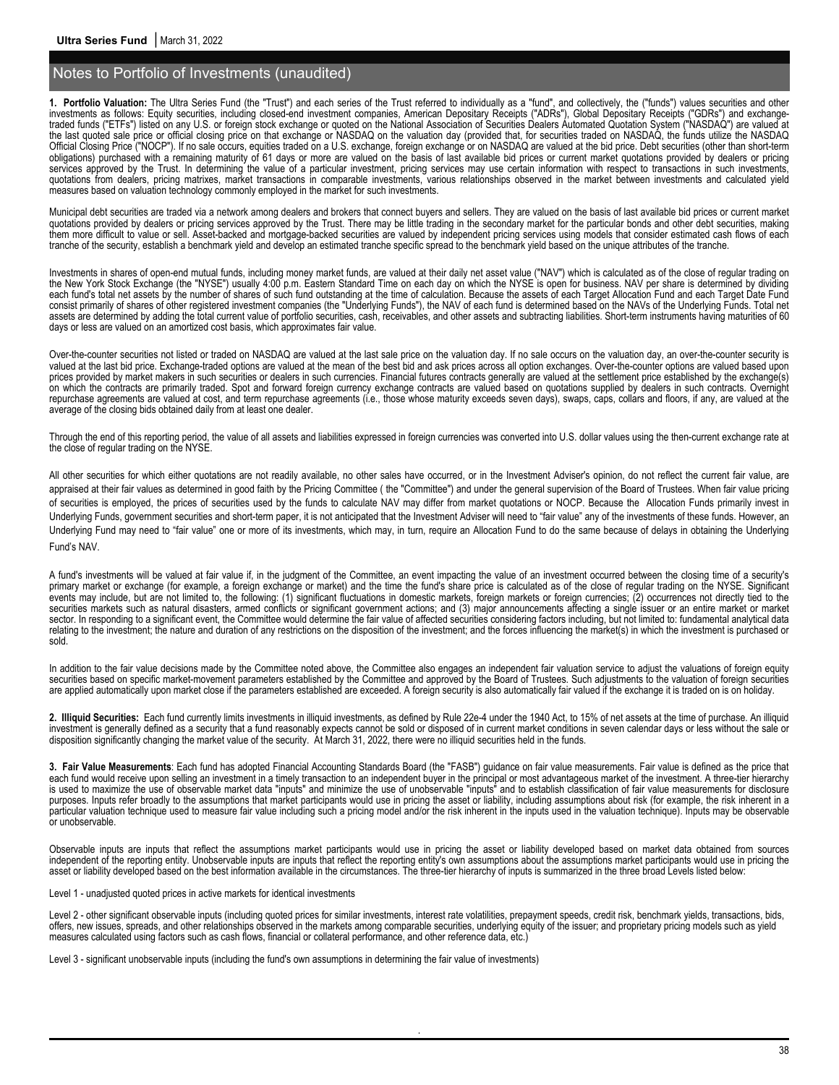**1. Portfolio Valuation:** The Ultra Series Fund (the "Trust") and each series of the Trust referred to individually as a "fund", and collectively, the ("funds") values securities and other investments as follows: Equity securities, including closed-end investment companies, American Depositary Receipts ("ADRs"), Global Depositary Receipts ("GDRs") and exchangetraded funds ("ETFs") listed on any U.S. or foreign stock exchange or quoted on the National Association of Securities Dealers Automated Quotation System ("NASDAQ") are valued at the last quoted sale price or official closing price on that exchange or NASDAQ on the valuation day (provided that, for securities traded on NASDAQ, the funds utilize the NASDAQ Official Closing Price ("NOCP"). If no sale occurs, equities traded on a U.S. exchange, foreign exchange or on NASDAQ are valued at the bid price. Debt securities (other than short-term obligations) purchased with a remaining maturity of 61 days or more are valued on the basis of last available bid prices or current market quotations provided by dealers or pricing services approved by the Trust. In determining the value of a particular investment, pricing services may use certain information with respect to transactions in such investments, quotations from dealers, pricing matrixes, market transactions in comparable investments, various relationships observed in the market between investments and calculated yield measures based on valuation technology commonly employed in the market for such investments.

Municipal debt securities are traded via a network among dealers and brokers that connect buyers and sellers. They are valued on the basis of last available bid prices or current market quotations provided by dealers or pricing services approved by the Trust. There may be little trading in the secondary market for the particular bonds and other debt securities, making them more difficult to value or sell. Asset-backed and mortgage-backed securities are valued by independent pricing services using models that consider estimated cash flows of each tranche of the security, establish a benchmark yield and develop an estimated tranche specific spread to the benchmark yield based on the unique attributes of the tranche.

Investments in shares of open-end mutual funds, including money market funds, are valued at their daily net asset value ("NAV") which is calculated as of the close of regular trading on the New York Stock Exchange (the "NYSE") usually 4:00 p.m. Eastern Standard Time on each day on which the NYSE is open for business. NAV per share is determined by dividing each fund's total net assets by the number of shares of such fund outstanding at the time of calculation. Because the assets of each Target Allocation Fund and each Target Date Fund consist primarily of shares of other registered investment companies (the "Underlying Funds"), the NAV of each fund is determined based on the NAVs of the Underlying Funds. Total net assets are determined by adding the total current value of portfolio securities, cash, receivables, and other assets and subtracting liabilities. Short-term instruments having maturities of 60 days or less are valued on an amortized cost basis, which approximates fair value.

Over-the-counter securities not listed or traded on NASDAQ are valued at the last sale price on the valuation day. If no sale occurs on the valuation day, an over-the-counter security is valued at the last bid price. Exchange-traded options are valued at the mean of the best bid and ask prices across all option exchanges. Over-the-counter options are valued based upon prices provided by market makers in such securities or dealers in such currencies. Financial futures contracts generally are valued at the settlement price established by the exchange(s) on which the contracts are primarily traded. Spot and forward foreign currency exchange contracts are valued based on quotations supplied by dealers in such contracts. Overnight repurchase agreements are valued at cost, and term repurchase agreements (i.e., those whose maturity exceeds seven days), swaps, caps, collars and floors, if any, are valued at the average of the closing bids obtained daily from at least one dealer.

Through the end of this reporting period, the value of all assets and liabilities expressed in foreign currencies was converted into U.S. dollar values using the then-current exchange rate at the close of regular trading on the NYSE.

All other securities for which either quotations are not readily available, no other sales have occurred, or in the Investment Adviser's opinion, do not reflect the current fair value, are appraised at their fair values as determined in good faith by the Pricing Committee (the "Committee") and under the general supervision of the Board of Trustees. When fair value pricing of securities is employed, the prices of securities used by the funds to calculate NAV may differ from market quotations or NOCP. Because the Allocation Funds primarily invest in Underlying Funds, government securities and short-term paper, it is not anticipated that the Investment Adviser will need to "fair value" any of the investments of these funds. However, an Underlying Fund may need to "fair value" one or more of its investments, which may, in turn, require an Allocation Fund to do the same because of delays in obtaining the Underlying Fund's NAV.

A fund's investments will be valued at fair value if, in the judgment of the Committee, an event impacting the value of an investment occurred between the closing time of a security's primary market or exchange (for example, a foreign exchange or market) and the time the fund's share price is calculated as of the close of regular trading on the NYSE. Significant events may include, but are not limited to, the following: (1) significant fluctuations in domestic markets, foreign markets or foreign currencies; (2) occurrences not directly tied to the securities markets such as natural disasters, armed conflicts or significant government actions; and (3) major announcements affecting a single issuer or an entire market or market sector. In responding to a significant event, the Committee would determine the fair value of affected securities considering factors including, but not limited to: fundamental analytical data relating to the investment; the nature and duration of any restrictions on the disposition of the investment; and the forces influencing the market(s) in which the investment is purchased or sold.

In addition to the fair value decisions made by the Committee noted above, the Committee also engages an independent fair valuation service to adjust the valuations of foreign equity securities based on specific market-movement parameters established by the Committee and approved by the Board of Trustees. Such adjustments to the valuation of foreign securities are applied automatically upon market close if the parameters established are exceeded. A foreign security is also automatically fair valued if the exchange it is traded on is on holiday.

**2. Illiquid Securities:** Each fund currently limits investments in illiquid investments, as defined by Rule 22e-4 under the 1940 Act, to 15% of net assets at the time of purchase. An illiquid investment is generally defined as a security that a fund reasonably expects cannot be sold or disposed of in current market conditions in seven calendar days or less without the sale or disposition significantly changing the market value of the security. At March 31, 2022, there were no illiquid securities held in the funds.

**3. Fair Value Measurements**: Each fund has adopted Financial Accounting Standards Board (the "FASB") guidance on fair value measurements. Fair value is defined as the price that each fund would receive upon selling an investment in a timely transaction to an independent buyer in the principal or most advantageous market of the investment. A three-tier hierarchy is used to maximize the use of observable market data "inputs" and minimize the use of unobservable "inputs" and to establish classification of fair value measurements for disclosure purposes. Inputs refer broadly to the assumptions that market participants would use in pricing the asset or liability, including assumptions about risk (for example, the risk inherent in a particular valuation technique used to measure fair value including such a pricing model and/or the risk inherent in the inputs used in the valuation technique). Inputs may be observable or unobservable.

Observable inputs are inputs that reflect the assumptions market participants would use in pricing the asset or liability developed based on market data obtained from sources independent of the reporting entity. Unobservable inputs are inputs that reflect the reporting entity's own assumptions about the assumptions market participants would use in pricing the asset or liability developed based on the best information available in the circumstances. The three-tier hierarchy of inputs is summarized in the three broad Levels listed below:

Level 1 - unadjusted quoted prices in active markets for identical investments

Level 2 - other significant observable inputs (including quoted prices for similar investments, interest rate volatilities, prepayment speeds, credit risk, benchmark yields, transactions, bids, offers, new issues, spreads, and other relationships observed in the markets among comparable securities, underlying equity of the issuer; and proprietary pricing models such as yield measures calculated using factors such as cash flows, financial or collateral performance, and other reference data, etc.)

.

Level 3 - significant unobservable inputs (including the fund's own assumptions in determining the fair value of investments)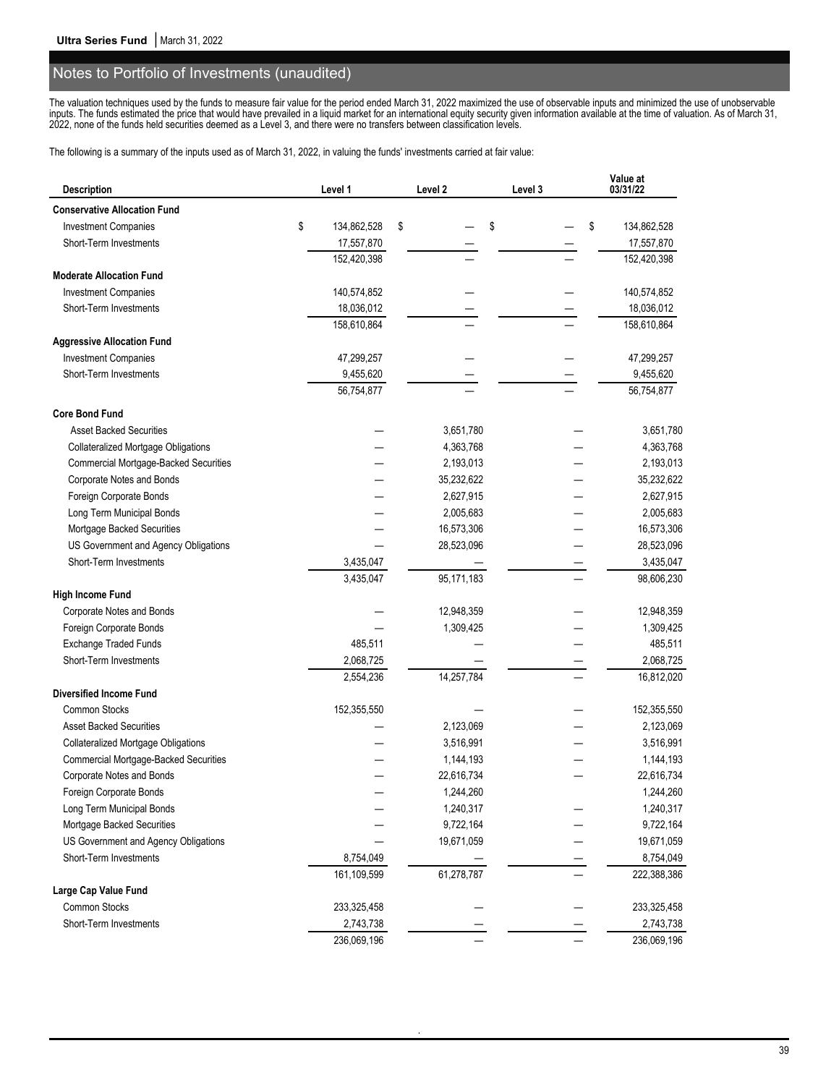The valuation techniques used by the funds to measure fair value for the period ended March 31, 2022 maximized the use of observable inputs and minimized the use of unobservable inputs. The funds estimated the price that would have prevailed in a liquid market for an international equity security given information available at the time of valuation. As of March 31, 2022, none of the funds held securities deemed as a Level 3, and there were no transfers between classification levels.

The following is a summary of the inputs used as of March 31, 2022, in valuing the funds' investments carried at fair value:

| <b>Description</b>                           | Level 1           | Level 2    | Level 3  | Value at<br>03/31/22 |
|----------------------------------------------|-------------------|------------|----------|----------------------|
| <b>Conservative Allocation Fund</b>          |                   |            |          |                      |
| <b>Investment Companies</b>                  | \$<br>134,862,528 | \$         | \$<br>\$ | 134,862,528          |
| Short-Term Investments                       | 17,557,870        |            |          | 17,557,870           |
|                                              | 152,420,398       |            |          | 152,420,398          |
| <b>Moderate Allocation Fund</b>              |                   |            |          |                      |
| <b>Investment Companies</b>                  | 140,574,852       |            |          | 140,574,852          |
| Short-Term Investments                       | 18,036,012        |            |          | 18,036,012           |
|                                              | 158,610,864       |            |          | 158,610,864          |
| <b>Aggressive Allocation Fund</b>            |                   |            |          |                      |
| <b>Investment Companies</b>                  | 47,299,257        |            |          | 47,299,257           |
| Short-Term Investments                       | 9,455,620         |            |          | 9,455,620            |
|                                              | 56,754,877        |            |          | 56,754,877           |
| <b>Core Bond Fund</b>                        |                   |            |          |                      |
| <b>Asset Backed Securities</b>               |                   | 3,651,780  |          | 3,651,780            |
| <b>Collateralized Mortgage Obligations</b>   |                   | 4,363,768  |          | 4,363,768            |
| <b>Commercial Mortgage-Backed Securities</b> |                   | 2,193,013  |          | 2,193,013            |
| Corporate Notes and Bonds                    |                   | 35,232,622 |          | 35,232,622           |
| Foreign Corporate Bonds                      |                   | 2,627,915  |          | 2,627,915            |
| Long Term Municipal Bonds                    |                   | 2,005,683  |          | 2,005,683            |
| Mortgage Backed Securities                   |                   | 16,573,306 |          | 16,573,306           |
| US Government and Agency Obligations         |                   | 28,523,096 |          | 28,523,096           |
| Short-Term Investments                       | 3,435,047         |            |          | 3,435,047            |
|                                              | 3,435,047         | 95,171,183 |          | 98,606,230           |
| <b>High Income Fund</b>                      |                   |            |          |                      |
| Corporate Notes and Bonds                    |                   | 12,948,359 |          | 12,948,359           |
| Foreign Corporate Bonds                      |                   | 1,309,425  |          | 1,309,425            |
| Exchange Traded Funds                        | 485,511           |            |          | 485,511              |
| Short-Term Investments                       | 2,068,725         |            |          | 2,068,725            |
|                                              | 2,554,236         | 14,257,784 |          | 16,812,020           |
| <b>Diversified Income Fund</b>               |                   |            |          |                      |
| Common Stocks                                | 152,355,550       |            |          | 152,355,550          |
| <b>Asset Backed Securities</b>               |                   | 2,123,069  |          | 2,123,069            |
| <b>Collateralized Mortgage Obligations</b>   |                   | 3,516,991  |          | 3,516,991            |
| <b>Commercial Mortgage-Backed Securities</b> |                   | 1,144,193  |          | 1,144,193            |
| Corporate Notes and Bonds                    |                   | 22,616,734 |          | 22,616,734           |
| Foreign Corporate Bonds                      |                   | 1,244,260  |          | 1,244,260            |
| Long Term Municipal Bonds                    |                   | 1,240,317  |          | 1,240,317            |
| Mortgage Backed Securities                   |                   | 9,722,164  |          | 9,722,164            |
| US Government and Agency Obligations         |                   | 19,671,059 |          | 19,671,059           |
| Short-Term Investments                       | 8,754,049         |            |          | 8,754,049            |
|                                              | 161,109,599       | 61,278,787 |          | 222,388,386          |
| Large Cap Value Fund                         |                   |            |          |                      |
| Common Stocks                                | 233,325,458       |            |          | 233,325,458          |
| Short-Term Investments                       | 2,743,738         |            |          | 2,743,738            |
|                                              | 236,069,196       |            |          | 236,069,196          |

.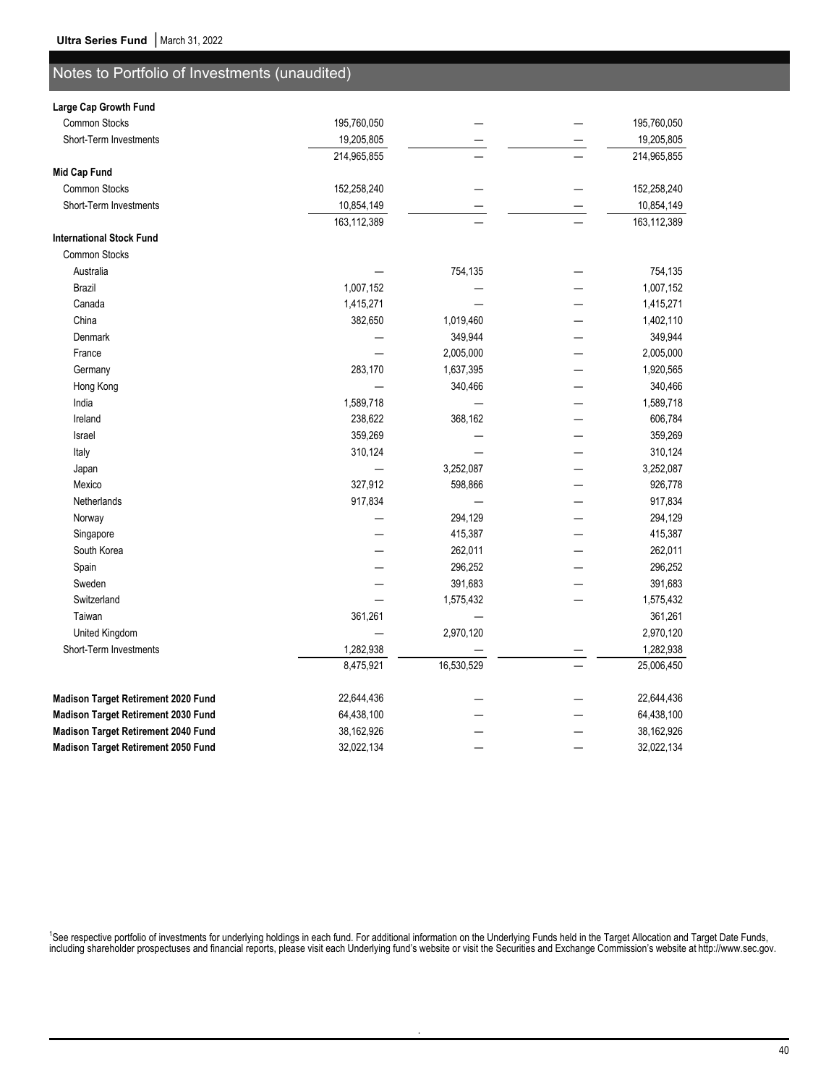| Large Cap Growth Fund               |             |            |             |
|-------------------------------------|-------------|------------|-------------|
| <b>Common Stocks</b>                | 195,760,050 |            | 195,760,050 |
| Short-Term Investments              | 19,205,805  |            | 19,205,805  |
|                                     | 214,965,855 |            | 214,965,855 |
| <b>Mid Cap Fund</b>                 |             |            |             |
| Common Stocks                       | 152,258,240 |            | 152,258,240 |
| Short-Term Investments              | 10,854,149  |            | 10,854,149  |
|                                     | 163,112,389 |            | 163,112,389 |
| <b>International Stock Fund</b>     |             |            |             |
| <b>Common Stocks</b>                |             |            |             |
| Australia                           |             | 754,135    | 754,135     |
| <b>Brazil</b>                       | 1,007,152   |            | 1,007,152   |
| Canada                              | 1,415,271   |            | 1,415,271   |
| China                               | 382,650     | 1,019,460  | 1,402,110   |
| Denmark                             |             | 349,944    | 349,944     |
| France                              |             | 2,005,000  | 2,005,000   |
| Germany                             | 283,170     | 1,637,395  | 1,920,565   |
| Hong Kong                           |             | 340,466    | 340,466     |
| India                               | 1,589,718   |            | 1,589,718   |
| Ireland                             | 238,622     | 368,162    | 606,784     |
| Israel                              | 359,269     |            | 359,269     |
| Italy                               | 310,124     |            | 310,124     |
| Japan                               |             | 3,252,087  | 3,252,087   |
| Mexico                              | 327,912     | 598,866    | 926,778     |
| Netherlands                         | 917,834     |            | 917,834     |
| Norway                              |             | 294,129    | 294,129     |
| Singapore                           |             | 415,387    | 415,387     |
| South Korea                         |             | 262,011    | 262,011     |
| Spain                               |             | 296,252    | 296,252     |
| Sweden                              |             | 391,683    | 391,683     |
| Switzerland                         |             | 1,575,432  | 1,575,432   |
| Taiwan                              | 361,261     |            | 361,261     |
| United Kingdom                      |             | 2,970,120  | 2,970,120   |
| Short-Term Investments              | 1,282,938   |            | 1,282,938   |
|                                     | 8,475,921   | 16,530,529 | 25,006,450  |
| Madison Target Retirement 2020 Fund | 22,644,436  |            | 22,644,436  |
| Madison Target Retirement 2030 Fund | 64,438,100  |            | 64,438,100  |
| Madison Target Retirement 2040 Fund | 38,162,926  |            | 38,162,926  |

<sup>1</sup>See respective portfolio of investments for underlying holdings in each fund. For additional information on the Underlying Funds held in the Target Allocation and Target Date Funds, including shareholder prospectuses and financial reports, please visit each Underlying fund's website or visit the Securities and Exchange Commission's website at http://www.sec.gov.

.

**Madison Target Retirement 2050 Fund** 32,022,134 — — 32,022,134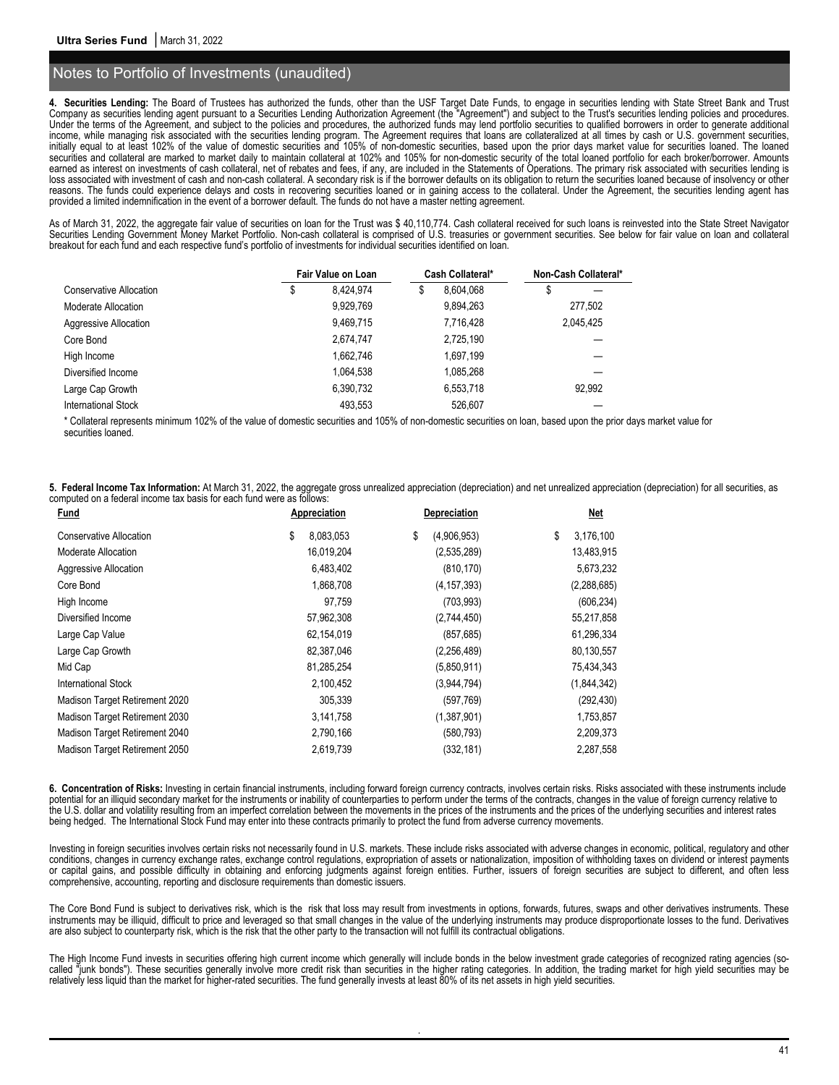**4. Securities Lending:** The Board of Trustees has authorized the funds, other than the USF Target Date Funds, to engage in securities lending with State Street Bank and Trust Company as securities lending agent pursuant to a Securities Lending Authorization Agreement (the "Agreement") and subject to the Trust's securities lending policies and procedures. Under the terms of the Agreement, and subject to the policies and procedures, the authorized funds may lend portfolio securities to qualified borrowers in order to generate additional income, while managing risk associated with the securities lending program. The Agreement requires that loans are collateralized at all times by cash or U.S. government securities, initially equal to at least 102% of the value of domestic securities and 105% of non-domestic securities, based upon the prior days market value for securities loaned. The loaned securities and collateral are marked to market daily to maintain collateral at 102% and 105% for non-domestic security of the total loaned portfolio for each broker/borrower. Amounts earned as interest on investments of cash collateral, net of rebates and fees, if any, are included in the Statements of Operations. The primary risk associated with securities lending is loss associated with investment of cash and non-cash collateral. A secondary risk is if the borrower defaults on its obligation to return the securities loaned because of insolvency or other reasons. The funds could experience delays and costs in recovering securities loaned or in gaining access to the collateral. Under the Agreement, the securities lending agent has provided a limited indemnification in the event of a borrower default. The funds do not have a master netting agreement.

As of March 31, 2022, the aggregate fair value of securities on loan for the Trust was \$40,110,774. Cash collateral received for such loans is reinvested into the State Street Navigator Securities Lending Government Money Market Portfolio. Non-cash collateral is comprised of U.S. treasuries or government securities. See below for fair value on loan and collateral breakout for each fund and each respective fund's portfolio of investments for individual securities identified on loan.

|                            | Fair Value on Loan |   | Cash Collateral* | Non-Cash Collateral* |           |
|----------------------------|--------------------|---|------------------|----------------------|-----------|
| Conservative Allocation    | \$<br>8.424.974    | S | 8.604.068        |                      |           |
| Moderate Allocation        | 9,929,769          |   | 9,894,263        |                      | 277,502   |
| Aggressive Allocation      | 9.469.715          |   | 7,716,428        |                      | 2.045.425 |
| Core Bond                  | 2.674.747          |   | 2,725,190        |                      |           |
| High Income                | 1,662,746          |   | 1,697,199        |                      |           |
| Diversified Income         | 1.064.538          |   | 1,085,268        |                      |           |
| Large Cap Growth           | 6,390,732          |   | 6,553,718        |                      | 92.992    |
| <b>International Stock</b> | 493,553            |   | 526,607          |                      |           |

\* Collateral represents minimum 102% of the value of domestic securities and 105% of non-domestic securities on loan, based upon the prior days market value for securities loaned.

**5. Federal Income Tax Information:** At March 31, 2022, the aggregate gross unrealized appreciation (depreciation) and net unrealized appreciation (depreciation) for all securities, as computed on a federal income tax basis for each fund were as follows:

| Fund                           | <b>Appreciation</b> | <b>Depreciation</b> | Net             |
|--------------------------------|---------------------|---------------------|-----------------|
| \$<br>Conservative Allocation  | 8,083,053           | \$<br>(4,906,953)   | \$<br>3,176,100 |
| Moderate Allocation            | 16,019,204          | (2,535,289)         | 13,483,915      |
| Aggressive Allocation          | 6,483,402           | (810, 170)          | 5,673,232       |
| Core Bond                      | 1,868,708           | (4, 157, 393)       | (2, 288, 685)   |
| High Income                    | 97,759              | (703, 993)          | (606, 234)      |
| Diversified Income             | 57,962,308          | (2,744,450)         | 55,217,858      |
| Large Cap Value                | 62,154,019          | (857, 685)          | 61,296,334      |
| Large Cap Growth               | 82,387,046          | (2,256,489)         | 80,130,557      |
| Mid Cap                        | 81,285,254          | (5,850,911)         | 75,434,343      |
| International Stock            | 2,100,452           | (3.944.794)         | (1,844,342)     |
| Madison Target Retirement 2020 | 305,339             | (597, 769)          | (292, 430)      |
| Madison Target Retirement 2030 | 3,141,758           | (1,387,901)         | 1,753,857       |
| Madison Target Retirement 2040 | 2,790,166           | (580, 793)          | 2,209,373       |
| Madison Target Retirement 2050 | 2,619,739           | (332, 181)          | 2,287,558       |

**6. Concentration of Risks:** Investing in certain financial instruments, including forward foreign currency contracts, involves certain risks. Risks associated with these instruments include potential for an illiquid secondary market for the instruments or inability of counterparties to perform under the terms of the contracts, changes in the value of foreign currency relative to the U.S. dollar and volatility resulting from an imperfect correlation between the movements in the prices of the instruments and the prices of the underlying securities and interest rates being hedged. The International Stock Fund may enter into these contracts primarily to protect the fund from adverse currency movements.

Investing in foreign securities involves certain risks not necessarily found in U.S. markets. These include risks associated with adverse changes in economic, political, regulatory and other conditions, changes in currency exchange rates, exchange control regulations, expropriation of assets or nationalization, imposition of withholding taxes on dividend or interest payments or capital gains, and possible difficulty in obtaining and enforcing judgments against foreign entities. Further, issuers of foreign securities are subject to different, and often less comprehensive, accounting, reporting and disclosure requirements than domestic issuers.

The Core Bond Fund is subject to derivatives risk, which is the risk that loss may result from investments in options, forwards, futures, swaps and other derivatives instruments. These instruments may be illiquid, difficult to price and leveraged so that small changes in the value of the underlying instruments may produce disproportionate losses to the fund. Derivatives are also subject to counterparty risk, which is the risk that the other party to the transaction will not fulfill its contractual obligations.

The High Income Fund invests in securities offering high current income which generally will include bonds in the below investment grade categories of recognized rating agencies (socalled "junk bonds"). These securities generally involve more credit risk than securities in the higher rating categories. In addition, the trading market for high yield securities may be relatively less liquid than the market for higher-rated securities. The fund generally invests at least 80% of its net assets in high yield securities.

.